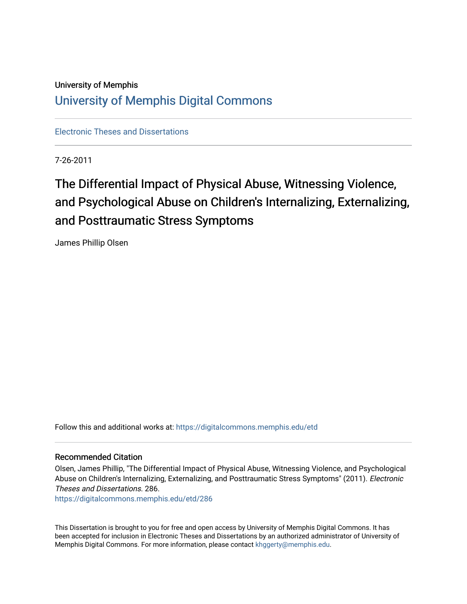# University of Memphis [University of Memphis Digital Commons](https://digitalcommons.memphis.edu/)

[Electronic Theses and Dissertations](https://digitalcommons.memphis.edu/etd)

7-26-2011

# The Differential Impact of Physical Abuse, Witnessing Violence, and Psychological Abuse on Children's Internalizing, Externalizing, and Posttraumatic Stress Symptoms

James Phillip Olsen

Follow this and additional works at: [https://digitalcommons.memphis.edu/etd](https://digitalcommons.memphis.edu/etd?utm_source=digitalcommons.memphis.edu%2Fetd%2F286&utm_medium=PDF&utm_campaign=PDFCoverPages) 

#### Recommended Citation

Olsen, James Phillip, "The Differential Impact of Physical Abuse, Witnessing Violence, and Psychological Abuse on Children's Internalizing, Externalizing, and Posttraumatic Stress Symptoms" (2011). Electronic Theses and Dissertations. 286.

[https://digitalcommons.memphis.edu/etd/286](https://digitalcommons.memphis.edu/etd/286?utm_source=digitalcommons.memphis.edu%2Fetd%2F286&utm_medium=PDF&utm_campaign=PDFCoverPages) 

This Dissertation is brought to you for free and open access by University of Memphis Digital Commons. It has been accepted for inclusion in Electronic Theses and Dissertations by an authorized administrator of University of Memphis Digital Commons. For more information, please contact [khggerty@memphis.edu.](mailto:khggerty@memphis.edu)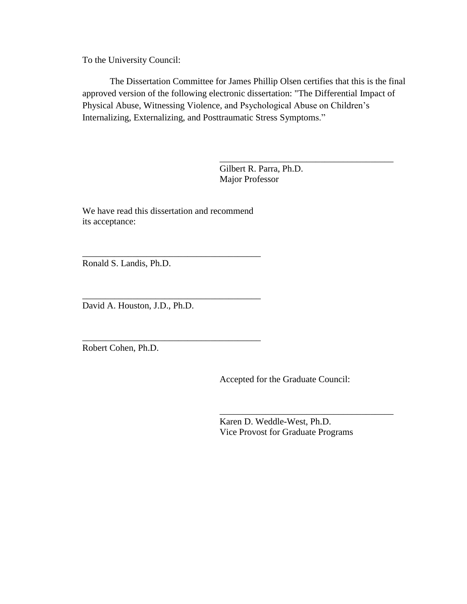To the University Council:

The Dissertation Committee for James Phillip Olsen certifies that this is the final approved version of the following electronic dissertation: "The Differential Impact of Physical Abuse, Witnessing Violence, and Psychological Abuse on Children's Internalizing, Externalizing, and Posttraumatic Stress Symptoms."

> Gilbert R. Parra, Ph.D. Major Professor

\_\_\_\_\_\_\_\_\_\_\_\_\_\_\_\_\_\_\_\_\_\_\_\_\_\_\_\_\_\_\_\_\_\_\_\_\_\_

We have read this dissertation and recommend its acceptance:

\_\_\_\_\_\_\_\_\_\_\_\_\_\_\_\_\_\_\_\_\_\_\_\_\_\_\_\_\_\_\_\_\_\_\_\_\_\_\_

\_\_\_\_\_\_\_\_\_\_\_\_\_\_\_\_\_\_\_\_\_\_\_\_\_\_\_\_\_\_\_\_\_\_\_\_\_\_\_

\_\_\_\_\_\_\_\_\_\_\_\_\_\_\_\_\_\_\_\_\_\_\_\_\_\_\_\_\_\_\_\_\_\_\_\_\_\_\_

Ronald S. Landis, Ph.D.

David A. Houston, J.D., Ph.D.

Robert Cohen, Ph.D.

Accepted for the Graduate Council:

Karen D. Weddle-West, Ph.D. Vice Provost for Graduate Programs

\_\_\_\_\_\_\_\_\_\_\_\_\_\_\_\_\_\_\_\_\_\_\_\_\_\_\_\_\_\_\_\_\_\_\_\_\_\_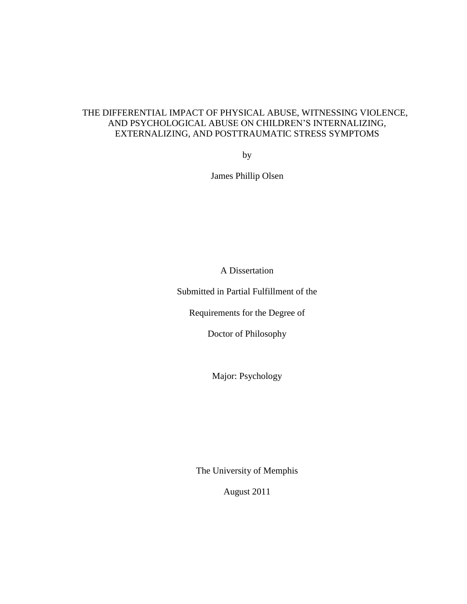## THE DIFFERENTIAL IMPACT OF PHYSICAL ABUSE, WITNESSING VIOLENCE, AND PSYCHOLOGICAL ABUSE ON CHILDREN'S INTERNALIZING, EXTERNALIZING, AND POSTTRAUMATIC STRESS SYMPTOMS

by

James Phillip Olsen

A Dissertation

Submitted in Partial Fulfillment of the

Requirements for the Degree of

Doctor of Philosophy

Major: Psychology

The University of Memphis

August 2011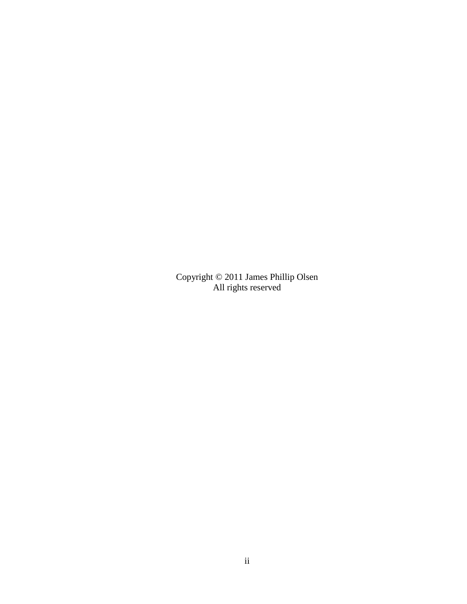Copyright © 2011 James Phillip Olsen All rights reserved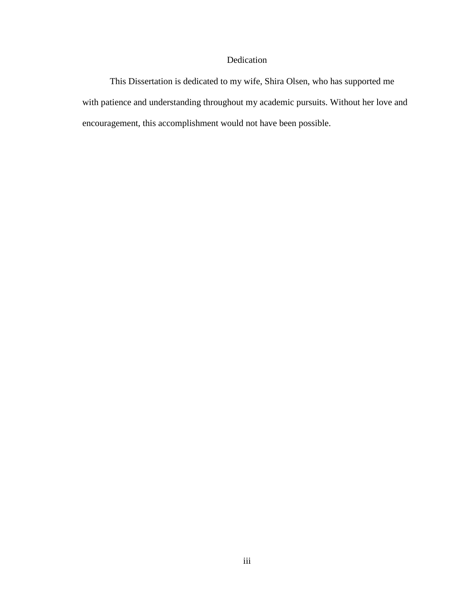### Dedication

This Dissertation is dedicated to my wife, Shira Olsen, who has supported me with patience and understanding throughout my academic pursuits. Without her love and encouragement, this accomplishment would not have been possible.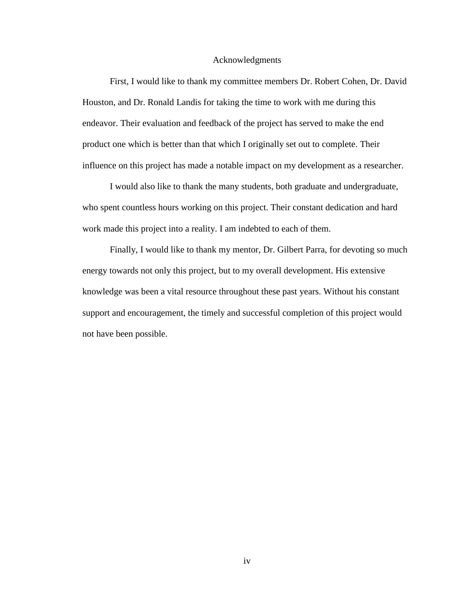#### Acknowledgments

First, I would like to thank my committee members Dr. Robert Cohen, Dr. David Houston, and Dr. Ronald Landis for taking the time to work with me during this endeavor. Their evaluation and feedback of the project has served to make the end product one which is better than that which I originally set out to complete. Their influence on this project has made a notable impact on my development as a researcher.

I would also like to thank the many students, both graduate and undergraduate, who spent countless hours working on this project. Their constant dedication and hard work made this project into a reality. I am indebted to each of them.

Finally, I would like to thank my mentor, Dr. Gilbert Parra, for devoting so much energy towards not only this project, but to my overall development. His extensive knowledge was been a vital resource throughout these past years. Without his constant support and encouragement, the timely and successful completion of this project would not have been possible.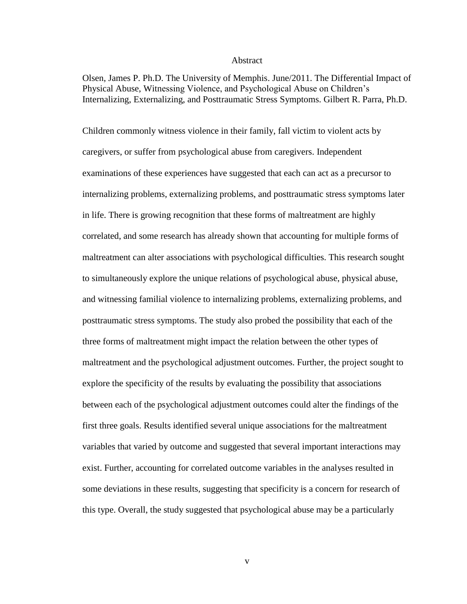#### Abstract

Olsen, James P. Ph.D. The University of Memphis. June/2011. The Differential Impact of Physical Abuse, Witnessing Violence, and Psychological Abuse on Children's Internalizing, Externalizing, and Posttraumatic Stress Symptoms. Gilbert R. Parra, Ph.D.

Children commonly witness violence in their family, fall victim to violent acts by caregivers, or suffer from psychological abuse from caregivers. Independent examinations of these experiences have suggested that each can act as a precursor to internalizing problems, externalizing problems, and posttraumatic stress symptoms later in life. There is growing recognition that these forms of maltreatment are highly correlated, and some research has already shown that accounting for multiple forms of maltreatment can alter associations with psychological difficulties. This research sought to simultaneously explore the unique relations of psychological abuse, physical abuse, and witnessing familial violence to internalizing problems, externalizing problems, and posttraumatic stress symptoms. The study also probed the possibility that each of the three forms of maltreatment might impact the relation between the other types of maltreatment and the psychological adjustment outcomes. Further, the project sought to explore the specificity of the results by evaluating the possibility that associations between each of the psychological adjustment outcomes could alter the findings of the first three goals. Results identified several unique associations for the maltreatment variables that varied by outcome and suggested that several important interactions may exist. Further, accounting for correlated outcome variables in the analyses resulted in some deviations in these results, suggesting that specificity is a concern for research of this type. Overall, the study suggested that psychological abuse may be a particularly

v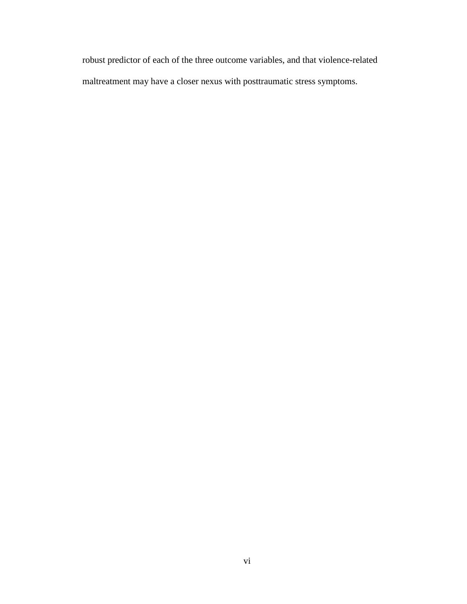robust predictor of each of the three outcome variables, and that violence-related maltreatment may have a closer nexus with posttraumatic stress symptoms.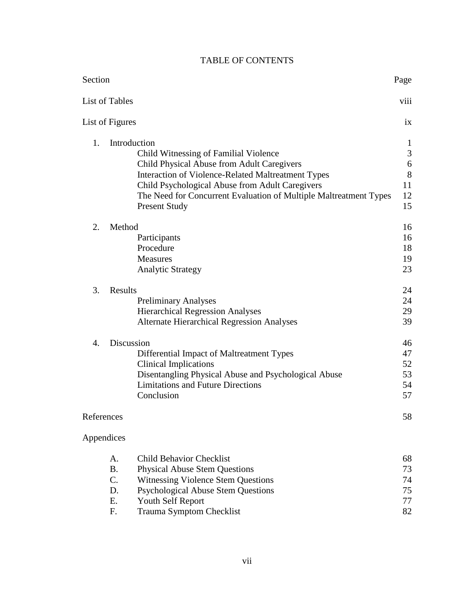## TABLE OF CONTENTS

| Section        |                                                                                           | Page           |
|----------------|-------------------------------------------------------------------------------------------|----------------|
|                | List of Tables                                                                            | viii           |
|                | List of Figures                                                                           | ix             |
| 1.             | Introduction                                                                              | 1              |
|                | Child Witnessing of Familial Violence                                                     | $\mathfrak{Z}$ |
|                | Child Physical Abuse from Adult Caregivers                                                | 6              |
|                | Interaction of Violence-Related Maltreatment Types                                        | 8              |
|                | Child Psychological Abuse from Adult Caregivers                                           | 11             |
|                | The Need for Concurrent Evaluation of Multiple Maltreatment Types<br><b>Present Study</b> | 12<br>15       |
| 2.             | Method                                                                                    | 16             |
|                | Participants                                                                              | 16             |
|                | Procedure                                                                                 | 18             |
|                | <b>Measures</b>                                                                           | 19             |
|                | <b>Analytic Strategy</b>                                                                  | 23             |
| 3.             | Results                                                                                   | 24             |
|                | <b>Preliminary Analyses</b>                                                               | 24             |
|                | <b>Hierarchical Regression Analyses</b>                                                   | 29             |
|                | <b>Alternate Hierarchical Regression Analyses</b>                                         | 39             |
| $\mathbf{4}$ . | Discussion                                                                                | 46             |
|                | Differential Impact of Maltreatment Types                                                 | 47             |
|                | <b>Clinical Implications</b>                                                              | 52             |
|                | Disentangling Physical Abuse and Psychological Abuse                                      | 53             |
|                | <b>Limitations and Future Directions</b>                                                  | 54             |
|                | Conclusion                                                                                | 57             |
| References     |                                                                                           | 58             |
| Appendices     |                                                                                           |                |
|                | <b>Child Behavior Checklist</b><br>A.                                                     | 68             |
|                | <b>B.</b><br><b>Physical Abuse Stem Questions</b>                                         | 73             |
|                | $C_{\cdot}$<br><b>Witnessing Violence Stem Questions</b>                                  | 74             |
|                | D.<br><b>Psychological Abuse Stem Questions</b>                                           | 75             |
|                | Ε.<br><b>Youth Self Report</b>                                                            | 77             |
|                | F.<br>Trauma Symptom Checklist                                                            | 82             |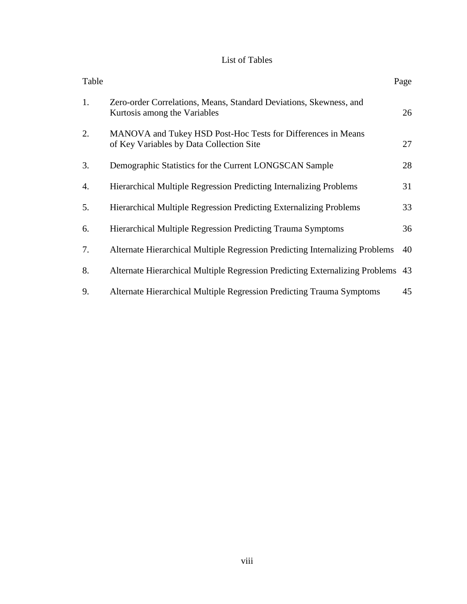## List of Tables

| Table |                                                                                                          | Page |
|-------|----------------------------------------------------------------------------------------------------------|------|
| 1.    | Zero-order Correlations, Means, Standard Deviations, Skewness, and<br>Kurtosis among the Variables       | 26   |
| 2.    | MANOVA and Tukey HSD Post-Hoc Tests for Differences in Means<br>of Key Variables by Data Collection Site | 27   |
| 3.    | Demographic Statistics for the Current LONGSCAN Sample                                                   | 28   |
| 4.    | <b>Hierarchical Multiple Regression Predicting Internalizing Problems</b>                                | 31   |
| 5.    | <b>Hierarchical Multiple Regression Predicting Externalizing Problems</b>                                | 33   |
| 6.    | <b>Hierarchical Multiple Regression Predicting Trauma Symptoms</b>                                       | 36   |
| 7.    | Alternate Hierarchical Multiple Regression Predicting Internalizing Problems                             | 40   |
| 8.    | Alternate Hierarchical Multiple Regression Predicting Externalizing Problems                             | 43   |
| 9.    | Alternate Hierarchical Multiple Regression Predicting Trauma Symptoms                                    | 45   |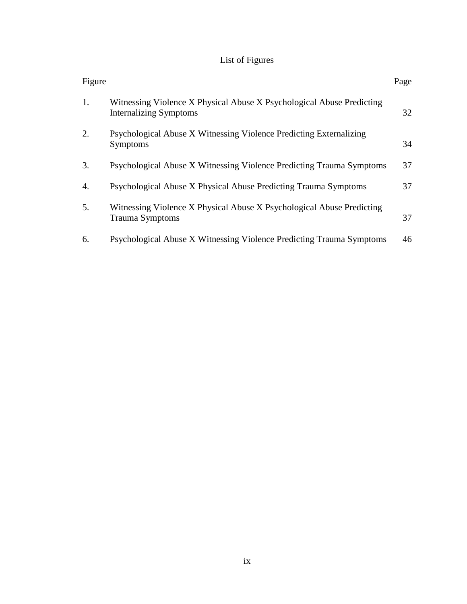# List of Figures

| Figure |                                                                                                        | Page |
|--------|--------------------------------------------------------------------------------------------------------|------|
| 1.     | Witnessing Violence X Physical Abuse X Psychological Abuse Predicting<br><b>Internalizing Symptoms</b> | 32   |
| 2.     | Psychological Abuse X Witnessing Violence Predicting Externalizing<br><b>Symptoms</b>                  | 34   |
| 3.     | Psychological Abuse X Witnessing Violence Predicting Trauma Symptoms                                   | 37   |
| 4.     | Psychological Abuse X Physical Abuse Predicting Trauma Symptoms                                        | 37   |
| 5.     | Witnessing Violence X Physical Abuse X Psychological Abuse Predicting<br><b>Trauma Symptoms</b>        | 37   |
| 6.     | Psychological Abuse X Witnessing Violence Predicting Trauma Symptoms                                   | 46   |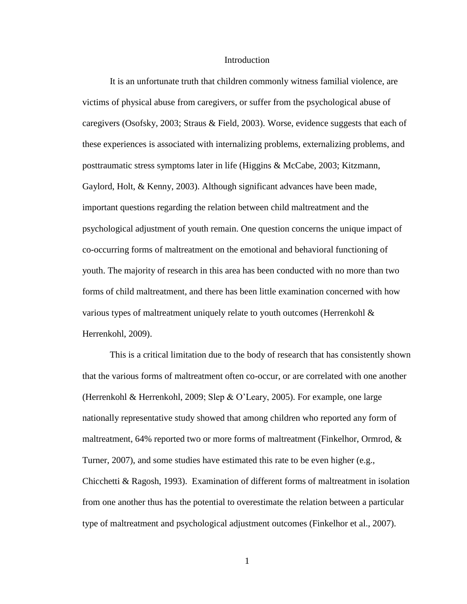#### Introduction

It is an unfortunate truth that children commonly witness familial violence, are victims of physical abuse from caregivers, or suffer from the psychological abuse of caregivers (Osofsky, 2003; Straus & Field, 2003). Worse, evidence suggests that each of these experiences is associated with internalizing problems, externalizing problems, and posttraumatic stress symptoms later in life (Higgins & McCabe, 2003; Kitzmann, Gaylord, Holt, & Kenny, 2003). Although significant advances have been made, important questions regarding the relation between child maltreatment and the psychological adjustment of youth remain. One question concerns the unique impact of co-occurring forms of maltreatment on the emotional and behavioral functioning of youth. The majority of research in this area has been conducted with no more than two forms of child maltreatment, and there has been little examination concerned with how various types of maltreatment uniquely relate to youth outcomes (Herrenkohl & Herrenkohl, 2009).

This is a critical limitation due to the body of research that has consistently shown that the various forms of maltreatment often co-occur, or are correlated with one another (Herrenkohl & Herrenkohl, 2009; Slep & O'Leary, 2005). For example, one large nationally representative study showed that among children who reported any form of maltreatment, 64% reported two or more forms of maltreatment (Finkelhor, Ormrod,  $\&$ Turner, 2007), and some studies have estimated this rate to be even higher (e.g., Chicchetti & Ragosh, 1993). Examination of different forms of maltreatment in isolation from one another thus has the potential to overestimate the relation between a particular type of maltreatment and psychological adjustment outcomes (Finkelhor et al., 2007).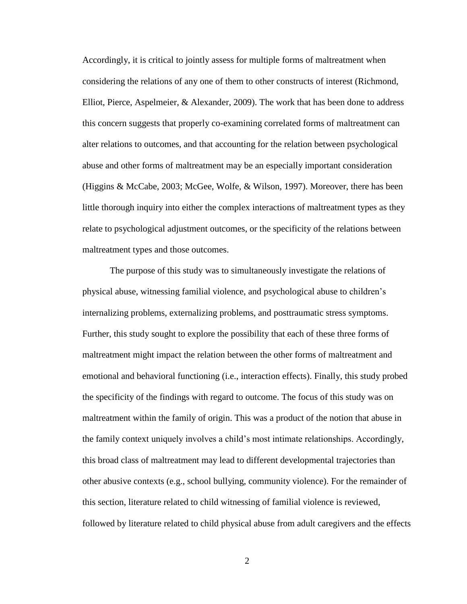Accordingly, it is critical to jointly assess for multiple forms of maltreatment when considering the relations of any one of them to other constructs of interest (Richmond, Elliot, Pierce, Aspelmeier, & Alexander, 2009). The work that has been done to address this concern suggests that properly co-examining correlated forms of maltreatment can alter relations to outcomes, and that accounting for the relation between psychological abuse and other forms of maltreatment may be an especially important consideration (Higgins & McCabe, 2003; McGee, Wolfe, & Wilson, 1997). Moreover, there has been little thorough inquiry into either the complex interactions of maltreatment types as they relate to psychological adjustment outcomes, or the specificity of the relations between maltreatment types and those outcomes.

The purpose of this study was to simultaneously investigate the relations of physical abuse, witnessing familial violence, and psychological abuse to children's internalizing problems, externalizing problems, and posttraumatic stress symptoms. Further, this study sought to explore the possibility that each of these three forms of maltreatment might impact the relation between the other forms of maltreatment and emotional and behavioral functioning (i.e., interaction effects). Finally, this study probed the specificity of the findings with regard to outcome. The focus of this study was on maltreatment within the family of origin. This was a product of the notion that abuse in the family context uniquely involves a child's most intimate relationships. Accordingly, this broad class of maltreatment may lead to different developmental trajectories than other abusive contexts (e.g., school bullying, community violence). For the remainder of this section, literature related to child witnessing of familial violence is reviewed, followed by literature related to child physical abuse from adult caregivers and the effects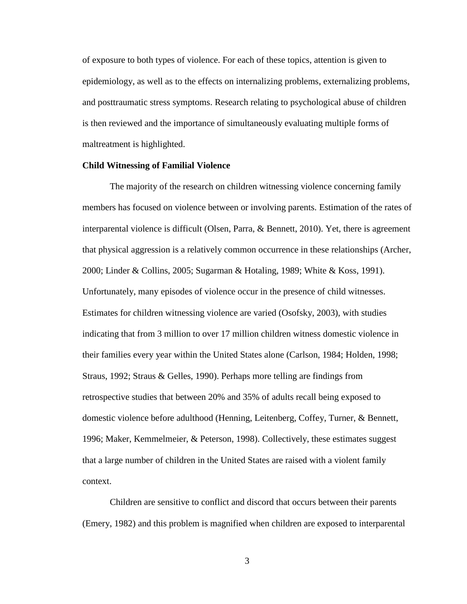of exposure to both types of violence. For each of these topics, attention is given to epidemiology, as well as to the effects on internalizing problems, externalizing problems, and posttraumatic stress symptoms. Research relating to psychological abuse of children is then reviewed and the importance of simultaneously evaluating multiple forms of maltreatment is highlighted.

#### **Child Witnessing of Familial Violence**

The majority of the research on children witnessing violence concerning family members has focused on violence between or involving parents. Estimation of the rates of interparental violence is difficult (Olsen, Parra, & Bennett, 2010). Yet, there is agreement that physical aggression is a relatively common occurrence in these relationships (Archer, 2000; Linder & Collins, 2005; Sugarman & Hotaling, 1989; White & Koss, 1991). Unfortunately, many episodes of violence occur in the presence of child witnesses. Estimates for children witnessing violence are varied (Osofsky, 2003), with studies indicating that from 3 million to over 17 million children witness domestic violence in their families every year within the United States alone (Carlson, 1984; Holden, 1998; Straus, 1992; Straus & Gelles, 1990). Perhaps more telling are findings from retrospective studies that between 20% and 35% of adults recall being exposed to domestic violence before adulthood (Henning, Leitenberg, Coffey, Turner, & Bennett, 1996; Maker, Kemmelmeier, & Peterson, 1998). Collectively, these estimates suggest that a large number of children in the United States are raised with a violent family context.

Children are sensitive to conflict and discord that occurs between their parents (Emery, 1982) and this problem is magnified when children are exposed to interparental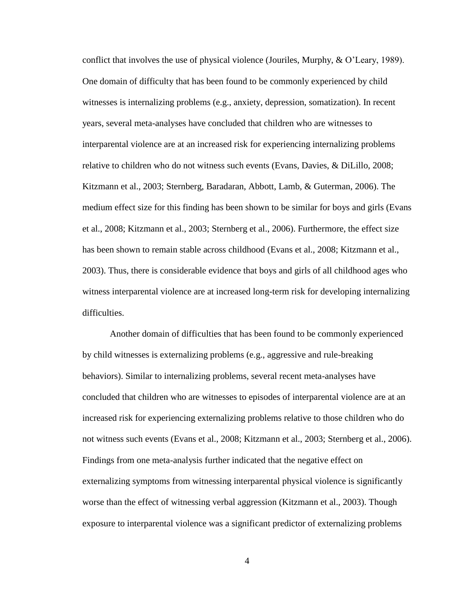conflict that involves the use of physical violence (Jouriles, Murphy, & O'Leary, 1989). One domain of difficulty that has been found to be commonly experienced by child witnesses is internalizing problems (e.g., anxiety, depression, somatization). In recent years, several meta-analyses have concluded that children who are witnesses to interparental violence are at an increased risk for experiencing internalizing problems relative to children who do not witness such events (Evans, Davies, & DiLillo, 2008; Kitzmann et al., 2003; Sternberg, Baradaran, Abbott, Lamb, & Guterman, 2006). The medium effect size for this finding has been shown to be similar for boys and girls (Evans et al., 2008; Kitzmann et al., 2003; Sternberg et al., 2006). Furthermore, the effect size has been shown to remain stable across childhood (Evans et al., 2008; Kitzmann et al., 2003). Thus, there is considerable evidence that boys and girls of all childhood ages who witness interparental violence are at increased long-term risk for developing internalizing difficulties.

Another domain of difficulties that has been found to be commonly experienced by child witnesses is externalizing problems (e.g., aggressive and rule-breaking behaviors). Similar to internalizing problems, several recent meta-analyses have concluded that children who are witnesses to episodes of interparental violence are at an increased risk for experiencing externalizing problems relative to those children who do not witness such events (Evans et al., 2008; Kitzmann et al., 2003; Sternberg et al., 2006). Findings from one meta-analysis further indicated that the negative effect on externalizing symptoms from witnessing interparental physical violence is significantly worse than the effect of witnessing verbal aggression (Kitzmann et al., 2003). Though exposure to interparental violence was a significant predictor of externalizing problems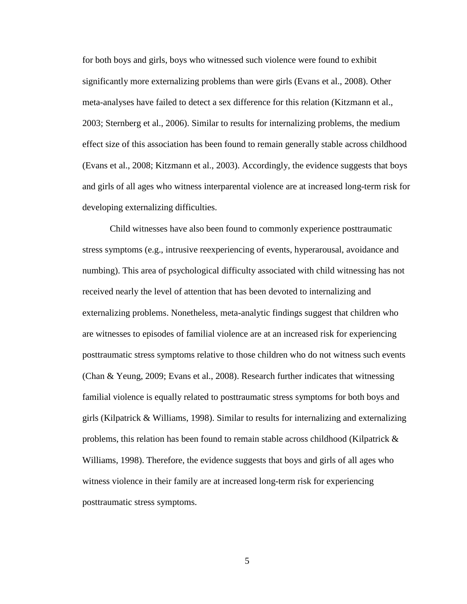for both boys and girls, boys who witnessed such violence were found to exhibit significantly more externalizing problems than were girls (Evans et al., 2008). Other meta-analyses have failed to detect a sex difference for this relation (Kitzmann et al., 2003; Sternberg et al., 2006). Similar to results for internalizing problems, the medium effect size of this association has been found to remain generally stable across childhood (Evans et al., 2008; Kitzmann et al., 2003). Accordingly, the evidence suggests that boys and girls of all ages who witness interparental violence are at increased long-term risk for developing externalizing difficulties.

Child witnesses have also been found to commonly experience posttraumatic stress symptoms (e.g., intrusive reexperiencing of events, hyperarousal, avoidance and numbing). This area of psychological difficulty associated with child witnessing has not received nearly the level of attention that has been devoted to internalizing and externalizing problems. Nonetheless, meta-analytic findings suggest that children who are witnesses to episodes of familial violence are at an increased risk for experiencing posttraumatic stress symptoms relative to those children who do not witness such events (Chan & Yeung, 2009; Evans et al., 2008). Research further indicates that witnessing familial violence is equally related to posttraumatic stress symptoms for both boys and girls (Kilpatrick & Williams, 1998). Similar to results for internalizing and externalizing problems, this relation has been found to remain stable across childhood (Kilpatrick  $\&$ Williams, 1998). Therefore, the evidence suggests that boys and girls of all ages who witness violence in their family are at increased long-term risk for experiencing posttraumatic stress symptoms.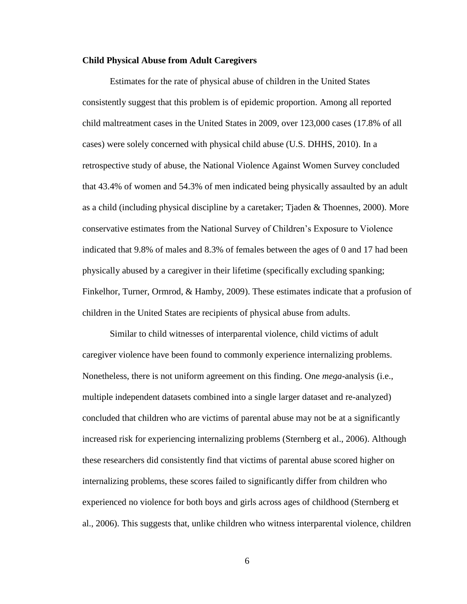#### **Child Physical Abuse from Adult Caregivers**

Estimates for the rate of physical abuse of children in the United States consistently suggest that this problem is of epidemic proportion. Among all reported child maltreatment cases in the United States in 2009, over 123,000 cases (17.8% of all cases) were solely concerned with physical child abuse (U.S. DHHS, 2010). In a retrospective study of abuse, the National Violence Against Women Survey concluded that 43.4% of women and 54.3% of men indicated being physically assaulted by an adult as a child (including physical discipline by a caretaker; Tjaden & Thoennes, 2000). More conservative estimates from the National Survey of Children's Exposure to Violence indicated that 9.8% of males and 8.3% of females between the ages of 0 and 17 had been physically abused by a caregiver in their lifetime (specifically excluding spanking; Finkelhor, Turner, Ormrod, & Hamby, 2009). These estimates indicate that a profusion of children in the United States are recipients of physical abuse from adults.

Similar to child witnesses of interparental violence, child victims of adult caregiver violence have been found to commonly experience internalizing problems. Nonetheless, there is not uniform agreement on this finding. One *mega*-analysis (i.e., multiple independent datasets combined into a single larger dataset and re-analyzed) concluded that children who are victims of parental abuse may not be at a significantly increased risk for experiencing internalizing problems (Sternberg et al., 2006). Although these researchers did consistently find that victims of parental abuse scored higher on internalizing problems, these scores failed to significantly differ from children who experienced no violence for both boys and girls across ages of childhood (Sternberg et al., 2006). This suggests that, unlike children who witness interparental violence, children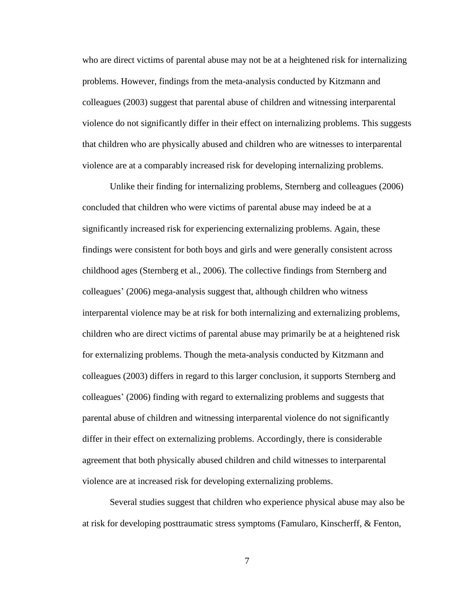who are direct victims of parental abuse may not be at a heightened risk for internalizing problems. However, findings from the meta-analysis conducted by Kitzmann and colleagues (2003) suggest that parental abuse of children and witnessing interparental violence do not significantly differ in their effect on internalizing problems. This suggests that children who are physically abused and children who are witnesses to interparental violence are at a comparably increased risk for developing internalizing problems.

Unlike their finding for internalizing problems, Sternberg and colleagues (2006) concluded that children who were victims of parental abuse may indeed be at a significantly increased risk for experiencing externalizing problems. Again, these findings were consistent for both boys and girls and were generally consistent across childhood ages (Sternberg et al., 2006). The collective findings from Sternberg and colleagues' (2006) mega-analysis suggest that, although children who witness interparental violence may be at risk for both internalizing and externalizing problems, children who are direct victims of parental abuse may primarily be at a heightened risk for externalizing problems. Though the meta-analysis conducted by Kitzmann and colleagues (2003) differs in regard to this larger conclusion, it supports Sternberg and colleagues' (2006) finding with regard to externalizing problems and suggests that parental abuse of children and witnessing interparental violence do not significantly differ in their effect on externalizing problems. Accordingly, there is considerable agreement that both physically abused children and child witnesses to interparental violence are at increased risk for developing externalizing problems.

Several studies suggest that children who experience physical abuse may also be at risk for developing posttraumatic stress symptoms (Famularo, Kinscherff, & Fenton,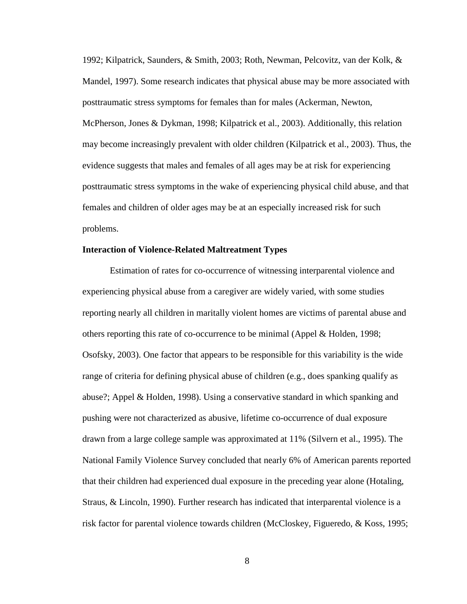1992; Kilpatrick, Saunders, & Smith, 2003; Roth, Newman, Pelcovitz, van der Kolk, & Mandel, 1997). Some research indicates that physical abuse may be more associated with posttraumatic stress symptoms for females than for males (Ackerman, Newton, McPherson, Jones & Dykman, 1998; Kilpatrick et al., 2003). Additionally, this relation may become increasingly prevalent with older children (Kilpatrick et al., 2003). Thus, the evidence suggests that males and females of all ages may be at risk for experiencing posttraumatic stress symptoms in the wake of experiencing physical child abuse, and that females and children of older ages may be at an especially increased risk for such problems.

#### **Interaction of Violence-Related Maltreatment Types**

Estimation of rates for co-occurrence of witnessing interparental violence and experiencing physical abuse from a caregiver are widely varied, with some studies reporting nearly all children in maritally violent homes are victims of parental abuse and others reporting this rate of co-occurrence to be minimal (Appel & Holden, 1998; Osofsky, 2003). One factor that appears to be responsible for this variability is the wide range of criteria for defining physical abuse of children (e.g., does spanking qualify as abuse?; Appel & Holden, 1998). Using a conservative standard in which spanking and pushing were not characterized as abusive, lifetime co-occurrence of dual exposure drawn from a large college sample was approximated at 11% (Silvern et al., 1995). The National Family Violence Survey concluded that nearly 6% of American parents reported that their children had experienced dual exposure in the preceding year alone (Hotaling, Straus, & Lincoln, 1990). Further research has indicated that interparental violence is a risk factor for parental violence towards children (McCloskey, Figueredo, & Koss, 1995;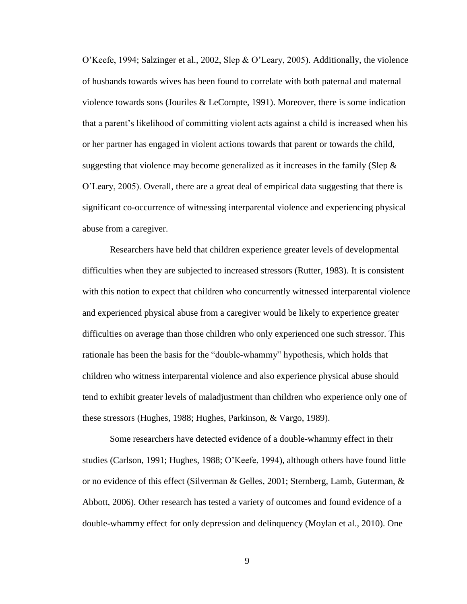O'Keefe, 1994; Salzinger et al., 2002, Slep & O'Leary, 2005). Additionally, the violence of husbands towards wives has been found to correlate with both paternal and maternal violence towards sons (Jouriles & LeCompte, 1991). Moreover, there is some indication that a parent's likelihood of committing violent acts against a child is increased when his or her partner has engaged in violent actions towards that parent or towards the child, suggesting that violence may become generalized as it increases in the family (Slep  $\&$ O'Leary, 2005). Overall, there are a great deal of empirical data suggesting that there is significant co-occurrence of witnessing interparental violence and experiencing physical abuse from a caregiver.

Researchers have held that children experience greater levels of developmental difficulties when they are subjected to increased stressors (Rutter, 1983). It is consistent with this notion to expect that children who concurrently witnessed interparental violence and experienced physical abuse from a caregiver would be likely to experience greater difficulties on average than those children who only experienced one such stressor. This rationale has been the basis for the "double-whammy" hypothesis, which holds that children who witness interparental violence and also experience physical abuse should tend to exhibit greater levels of maladjustment than children who experience only one of these stressors (Hughes, 1988; Hughes, Parkinson, & Vargo, 1989).

Some researchers have detected evidence of a double-whammy effect in their studies (Carlson, 1991; Hughes, 1988; O'Keefe, 1994), although others have found little or no evidence of this effect (Silverman & Gelles, 2001; Sternberg, Lamb, Guterman, & Abbott, 2006). Other research has tested a variety of outcomes and found evidence of a double-whammy effect for only depression and delinquency (Moylan et al., 2010). One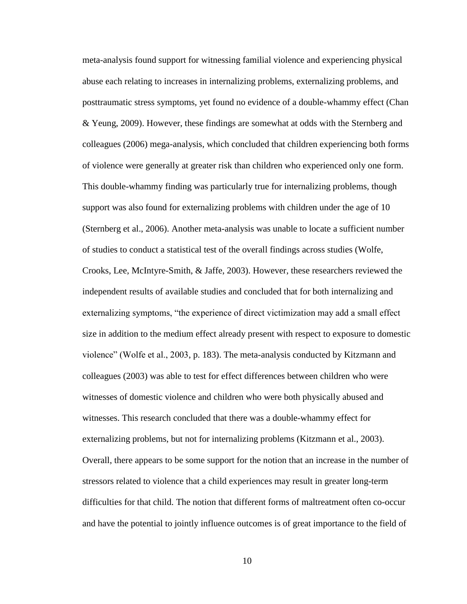meta-analysis found support for witnessing familial violence and experiencing physical abuse each relating to increases in internalizing problems, externalizing problems, and posttraumatic stress symptoms, yet found no evidence of a double-whammy effect (Chan & Yeung, 2009). However, these findings are somewhat at odds with the Sternberg and colleagues (2006) mega-analysis, which concluded that children experiencing both forms of violence were generally at greater risk than children who experienced only one form. This double-whammy finding was particularly true for internalizing problems, though support was also found for externalizing problems with children under the age of 10 (Sternberg et al., 2006). Another meta-analysis was unable to locate a sufficient number of studies to conduct a statistical test of the overall findings across studies (Wolfe, Crooks, Lee, McIntyre-Smith, & Jaffe, 2003). However, these researchers reviewed the independent results of available studies and concluded that for both internalizing and externalizing symptoms, "the experience of direct victimization may add a small effect size in addition to the medium effect already present with respect to exposure to domestic violence" (Wolfe et al., 2003, p. 183). The meta-analysis conducted by Kitzmann and colleagues (2003) was able to test for effect differences between children who were witnesses of domestic violence and children who were both physically abused and witnesses. This research concluded that there was a double-whammy effect for externalizing problems, but not for internalizing problems (Kitzmann et al., 2003). Overall, there appears to be some support for the notion that an increase in the number of stressors related to violence that a child experiences may result in greater long-term difficulties for that child. The notion that different forms of maltreatment often co-occur and have the potential to jointly influence outcomes is of great importance to the field of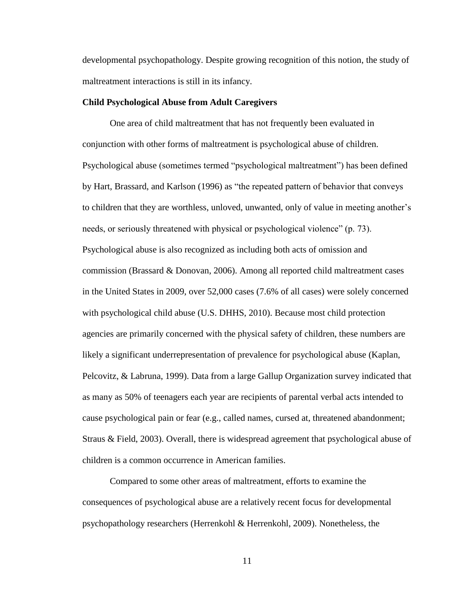developmental psychopathology. Despite growing recognition of this notion, the study of maltreatment interactions is still in its infancy.

#### **Child Psychological Abuse from Adult Caregivers**

One area of child maltreatment that has not frequently been evaluated in conjunction with other forms of maltreatment is psychological abuse of children. Psychological abuse (sometimes termed "psychological maltreatment") has been defined by Hart, Brassard, and Karlson (1996) as "the repeated pattern of behavior that conveys to children that they are worthless, unloved, unwanted, only of value in meeting another's needs, or seriously threatened with physical or psychological violence" (p. 73). Psychological abuse is also recognized as including both acts of omission and commission (Brassard & Donovan, 2006). Among all reported child maltreatment cases in the United States in 2009, over 52,000 cases (7.6% of all cases) were solely concerned with psychological child abuse (U.S. DHHS, 2010). Because most child protection agencies are primarily concerned with the physical safety of children, these numbers are likely a significant underrepresentation of prevalence for psychological abuse (Kaplan, Pelcovitz, & Labruna, 1999). Data from a large Gallup Organization survey indicated that as many as 50% of teenagers each year are recipients of parental verbal acts intended to cause psychological pain or fear (e.g., called names, cursed at, threatened abandonment; Straus & Field, 2003). Overall, there is widespread agreement that psychological abuse of children is a common occurrence in American families.

Compared to some other areas of maltreatment, efforts to examine the consequences of psychological abuse are a relatively recent focus for developmental psychopathology researchers (Herrenkohl & Herrenkohl, 2009). Nonetheless, the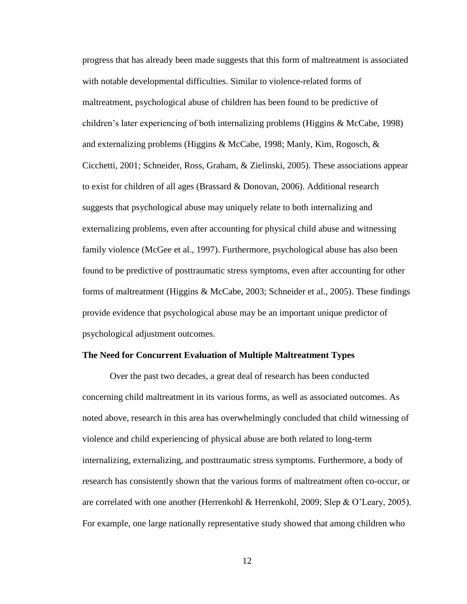progress that has already been made suggests that this form of maltreatment is associated with notable developmental difficulties. Similar to violence-related forms of maltreatment, psychological abuse of children has been found to be predictive of children's later experiencing of both internalizing problems (Higgins & McCabe, 1998) and externalizing problems (Higgins & McCabe, 1998; Manly, Kim, Rogosch, & Cicchetti, 2001; Schneider, Ross, Graham, & Zielinski, 2005). These associations appear to exist for children of all ages (Brassard & Donovan, 2006). Additional research suggests that psychological abuse may uniquely relate to both internalizing and externalizing problems, even after accounting for physical child abuse and witnessing family violence (McGee et al., 1997). Furthermore, psychological abuse has also been found to be predictive of posttraumatic stress symptoms, even after accounting for other forms of maltreatment (Higgins & McCabe, 2003; Schneider et al., 2005). These findings provide evidence that psychological abuse may be an important unique predictor of psychological adjustment outcomes.

#### **The Need for Concurrent Evaluation of Multiple Maltreatment Types**

Over the past two decades, a great deal of research has been conducted concerning child maltreatment in its various forms, as well as associated outcomes. As noted above, research in this area has overwhelmingly concluded that child witnessing of violence and child experiencing of physical abuse are both related to long-term internalizing, externalizing, and posttraumatic stress symptoms. Furthermore, a body of research has consistently shown that the various forms of maltreatment often co-occur, or are correlated with one another (Herrenkohl & Herrenkohl, 2009; Slep & O'Leary, 2005). For example, one large nationally representative study showed that among children who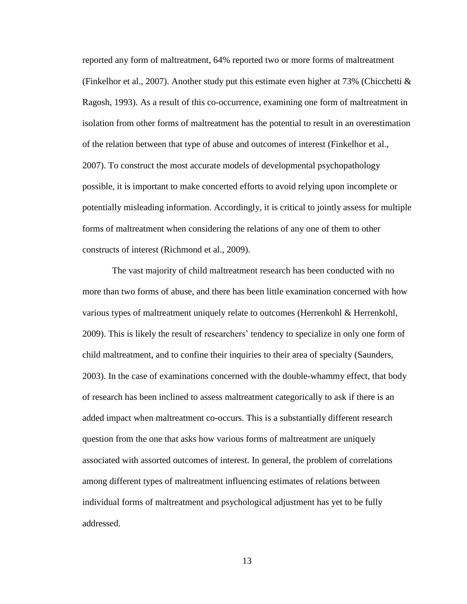reported any form of maltreatment, 64% reported two or more forms of maltreatment (Finkelhor et al., 2007). Another study put this estimate even higher at 73% (Chicchetti  $\&$ Ragosh, 1993). As a result of this co-occurrence, examining one form of maltreatment in isolation from other forms of maltreatment has the potential to result in an overestimation of the relation between that type of abuse and outcomes of interest (Finkelhor et al., 2007). To construct the most accurate models of developmental psychopathology possible, it is important to make concerted efforts to avoid relying upon incomplete or potentially misleading information. Accordingly, it is critical to jointly assess for multiple forms of maltreatment when considering the relations of any one of them to other constructs of interest (Richmond et al., 2009).

The vast majority of child maltreatment research has been conducted with no more than two forms of abuse, and there has been little examination concerned with how various types of maltreatment uniquely relate to outcomes (Herrenkohl & Herrenkohl, 2009). This is likely the result of researchers' tendency to specialize in only one form of child maltreatment, and to confine their inquiries to their area of specialty (Saunders, 2003). In the case of examinations concerned with the double-whammy effect, that body of research has been inclined to assess maltreatment categorically to ask if there is an added impact when maltreatment co-occurs. This is a substantially different research question from the one that asks how various forms of maltreatment are uniquely associated with assorted outcomes of interest. In general, the problem of correlations among different types of maltreatment influencing estimates of relations between individual forms of maltreatment and psychological adjustment has yet to be fully addressed.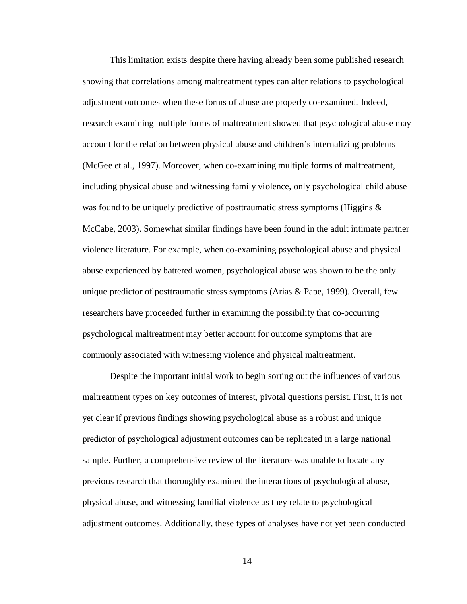This limitation exists despite there having already been some published research showing that correlations among maltreatment types can alter relations to psychological adjustment outcomes when these forms of abuse are properly co-examined. Indeed, research examining multiple forms of maltreatment showed that psychological abuse may account for the relation between physical abuse and children's internalizing problems (McGee et al., 1997). Moreover, when co-examining multiple forms of maltreatment, including physical abuse and witnessing family violence, only psychological child abuse was found to be uniquely predictive of posttraumatic stress symptoms (Higgins & McCabe, 2003). Somewhat similar findings have been found in the adult intimate partner violence literature. For example, when co-examining psychological abuse and physical abuse experienced by battered women, psychological abuse was shown to be the only unique predictor of posttraumatic stress symptoms (Arias & Pape, 1999). Overall, few researchers have proceeded further in examining the possibility that co-occurring psychological maltreatment may better account for outcome symptoms that are commonly associated with witnessing violence and physical maltreatment.

Despite the important initial work to begin sorting out the influences of various maltreatment types on key outcomes of interest, pivotal questions persist. First, it is not yet clear if previous findings showing psychological abuse as a robust and unique predictor of psychological adjustment outcomes can be replicated in a large national sample. Further, a comprehensive review of the literature was unable to locate any previous research that thoroughly examined the interactions of psychological abuse, physical abuse, and witnessing familial violence as they relate to psychological adjustment outcomes. Additionally, these types of analyses have not yet been conducted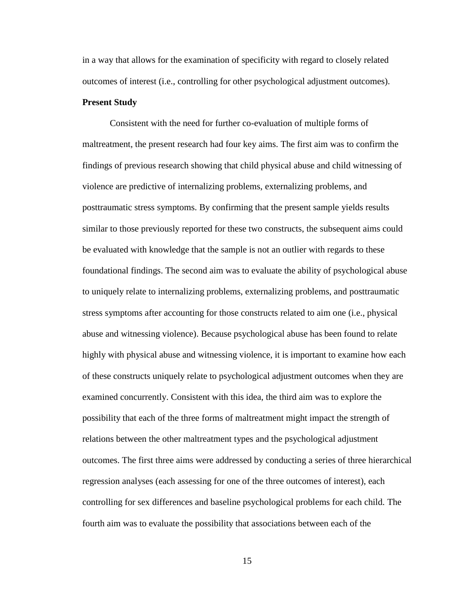in a way that allows for the examination of specificity with regard to closely related outcomes of interest (i.e., controlling for other psychological adjustment outcomes).

#### **Present Study**

Consistent with the need for further co-evaluation of multiple forms of maltreatment, the present research had four key aims. The first aim was to confirm the findings of previous research showing that child physical abuse and child witnessing of violence are predictive of internalizing problems, externalizing problems, and posttraumatic stress symptoms. By confirming that the present sample yields results similar to those previously reported for these two constructs, the subsequent aims could be evaluated with knowledge that the sample is not an outlier with regards to these foundational findings. The second aim was to evaluate the ability of psychological abuse to uniquely relate to internalizing problems, externalizing problems, and posttraumatic stress symptoms after accounting for those constructs related to aim one (i.e., physical abuse and witnessing violence). Because psychological abuse has been found to relate highly with physical abuse and witnessing violence, it is important to examine how each of these constructs uniquely relate to psychological adjustment outcomes when they are examined concurrently. Consistent with this idea, the third aim was to explore the possibility that each of the three forms of maltreatment might impact the strength of relations between the other maltreatment types and the psychological adjustment outcomes. The first three aims were addressed by conducting a series of three hierarchical regression analyses (each assessing for one of the three outcomes of interest), each controlling for sex differences and baseline psychological problems for each child. The fourth aim was to evaluate the possibility that associations between each of the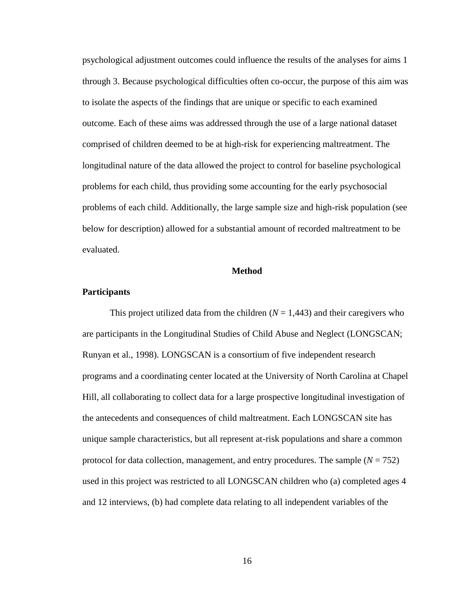psychological adjustment outcomes could influence the results of the analyses for aims 1 through 3. Because psychological difficulties often co-occur, the purpose of this aim was to isolate the aspects of the findings that are unique or specific to each examined outcome. Each of these aims was addressed through the use of a large national dataset comprised of children deemed to be at high-risk for experiencing maltreatment. The longitudinal nature of the data allowed the project to control for baseline psychological problems for each child, thus providing some accounting for the early psychosocial problems of each child. Additionally, the large sample size and high-risk population (see below for description) allowed for a substantial amount of recorded maltreatment to be evaluated.

#### **Method**

#### **Participants**

This project utilized data from the children  $(N = 1,443)$  and their caregivers who are participants in the Longitudinal Studies of Child Abuse and Neglect (LONGSCAN; Runyan et al., 1998). LONGSCAN is a consortium of five independent research programs and a coordinating center located at the University of North Carolina at Chapel Hill, all collaborating to collect data for a large prospective longitudinal investigation of the antecedents and consequences of child maltreatment. Each LONGSCAN site has unique sample characteristics, but all represent at-risk populations and share a common protocol for data collection, management, and entry procedures. The sample (*N* = 752) used in this project was restricted to all LONGSCAN children who (a) completed ages 4 and 12 interviews, (b) had complete data relating to all independent variables of the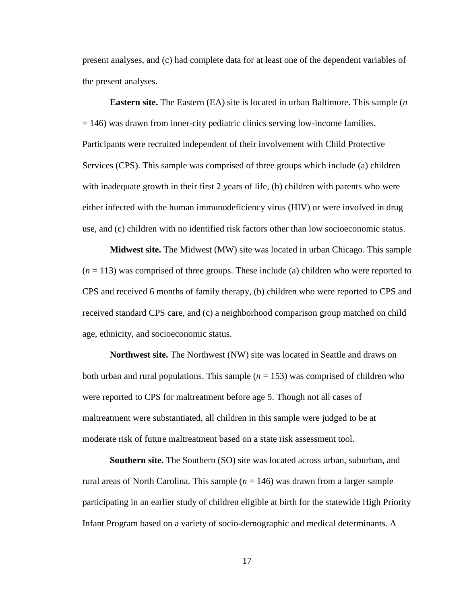present analyses, and (c) had complete data for at least one of the dependent variables of the present analyses.

**Eastern site.** The Eastern (EA) site is located in urban Baltimore. This sample (*n* = 146) was drawn from inner-city pediatric clinics serving low-income families. Participants were recruited independent of their involvement with Child Protective Services (CPS). This sample was comprised of three groups which include (a) children with inadequate growth in their first 2 years of life, (b) children with parents who were either infected with the human immunodeficiency virus (HIV) or were involved in drug use, and (c) children with no identified risk factors other than low socioeconomic status.

**Midwest site.** The Midwest (MW) site was located in urban Chicago. This sample (*n* = 113) was comprised of three groups. These include (a) children who were reported to CPS and received 6 months of family therapy, (b) children who were reported to CPS and received standard CPS care, and (c) a neighborhood comparison group matched on child age, ethnicity, and socioeconomic status.

**Northwest site.** The Northwest (NW) site was located in Seattle and draws on both urban and rural populations. This sample  $(n = 153)$  was comprised of children who were reported to CPS for maltreatment before age 5. Though not all cases of maltreatment were substantiated, all children in this sample were judged to be at moderate risk of future maltreatment based on a state risk assessment tool.

**Southern site.** The Southern (SO) site was located across urban, suburban, and rural areas of North Carolina. This sample (*n* = 146) was drawn from a larger sample participating in an earlier study of children eligible at birth for the statewide High Priority Infant Program based on a variety of socio-demographic and medical determinants. A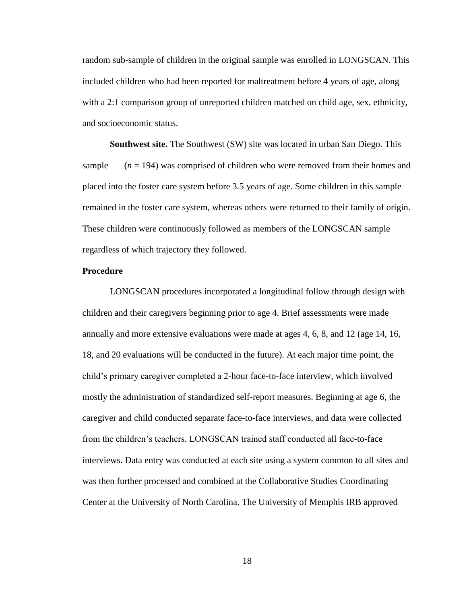random sub-sample of children in the original sample was enrolled in LONGSCAN. This included children who had been reported for maltreatment before 4 years of age, along with a 2:1 comparison group of unreported children matched on child age, sex, ethnicity, and socioeconomic status.

**Southwest site.** The Southwest (SW) site was located in urban San Diego. This sample  $(n = 194)$  was comprised of children who were removed from their homes and placed into the foster care system before 3.5 years of age. Some children in this sample remained in the foster care system, whereas others were returned to their family of origin. These children were continuously followed as members of the LONGSCAN sample regardless of which trajectory they followed.

#### **Procedure**

LONGSCAN procedures incorporated a longitudinal follow through design with children and their caregivers beginning prior to age 4. Brief assessments were made annually and more extensive evaluations were made at ages 4, 6, 8, and 12 (age 14, 16, 18, and 20 evaluations will be conducted in the future). At each major time point, the child's primary caregiver completed a 2-hour face-to-face interview, which involved mostly the administration of standardized self-report measures. Beginning at age 6, the caregiver and child conducted separate face-to-face interviews, and data were collected from the children's teachers. LONGSCAN trained staff conducted all face-to-face interviews. Data entry was conducted at each site using a system common to all sites and was then further processed and combined at the Collaborative Studies Coordinating Center at the University of North Carolina. The University of Memphis IRB approved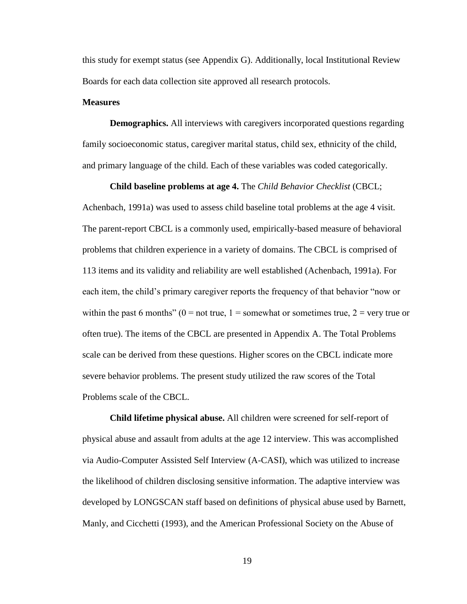this study for exempt status (see Appendix G). Additionally, local Institutional Review Boards for each data collection site approved all research protocols.

#### **Measures**

**Demographics.** All interviews with caregivers incorporated questions regarding family socioeconomic status, caregiver marital status, child sex, ethnicity of the child, and primary language of the child. Each of these variables was coded categorically.

**Child baseline problems at age 4.** The *Child Behavior Checklist* (CBCL; Achenbach, 1991a) was used to assess child baseline total problems at the age 4 visit. The parent-report CBCL is a commonly used, empirically-based measure of behavioral problems that children experience in a variety of domains. The CBCL is comprised of 113 items and its validity and reliability are well established (Achenbach, 1991a). For each item, the child's primary caregiver reports the frequency of that behavior "now or within the past 6 months" ( $0 = not$  true,  $1 =$  somewhat or sometimes true,  $2 =$  very true or often true). The items of the CBCL are presented in Appendix A. The Total Problems scale can be derived from these questions. Higher scores on the CBCL indicate more severe behavior problems. The present study utilized the raw scores of the Total Problems scale of the CBCL.

**Child lifetime physical abuse.** All children were screened for self-report of physical abuse and assault from adults at the age 12 interview. This was accomplished via Audio-Computer Assisted Self Interview (A-CASI), which was utilized to increase the likelihood of children disclosing sensitive information. The adaptive interview was developed by LONGSCAN staff based on definitions of physical abuse used by Barnett, Manly, and Cicchetti (1993), and the American Professional Society on the Abuse of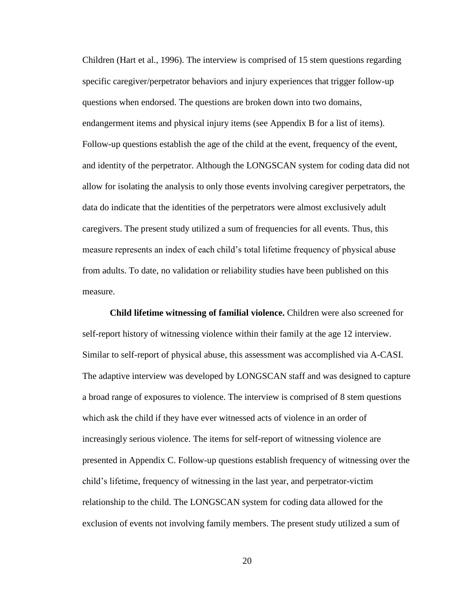Children (Hart et al., 1996). The interview is comprised of 15 stem questions regarding specific caregiver/perpetrator behaviors and injury experiences that trigger follow-up questions when endorsed. The questions are broken down into two domains, endangerment items and physical injury items (see Appendix B for a list of items). Follow-up questions establish the age of the child at the event, frequency of the event, and identity of the perpetrator. Although the LONGSCAN system for coding data did not allow for isolating the analysis to only those events involving caregiver perpetrators, the data do indicate that the identities of the perpetrators were almost exclusively adult caregivers. The present study utilized a sum of frequencies for all events. Thus, this measure represents an index of each child's total lifetime frequency of physical abuse from adults. To date, no validation or reliability studies have been published on this measure.

**Child lifetime witnessing of familial violence.** Children were also screened for self-report history of witnessing violence within their family at the age 12 interview. Similar to self-report of physical abuse, this assessment was accomplished via A-CASI. The adaptive interview was developed by LONGSCAN staff and was designed to capture a broad range of exposures to violence. The interview is comprised of 8 stem questions which ask the child if they have ever witnessed acts of violence in an order of increasingly serious violence. The items for self-report of witnessing violence are presented in Appendix C. Follow-up questions establish frequency of witnessing over the child's lifetime, frequency of witnessing in the last year, and perpetrator-victim relationship to the child. The LONGSCAN system for coding data allowed for the exclusion of events not involving family members. The present study utilized a sum of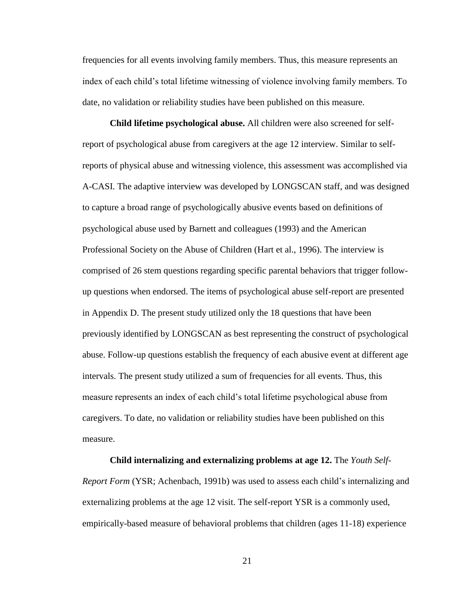frequencies for all events involving family members. Thus, this measure represents an index of each child's total lifetime witnessing of violence involving family members. To date, no validation or reliability studies have been published on this measure.

**Child lifetime psychological abuse.** All children were also screened for selfreport of psychological abuse from caregivers at the age 12 interview. Similar to selfreports of physical abuse and witnessing violence, this assessment was accomplished via A-CASI. The adaptive interview was developed by LONGSCAN staff, and was designed to capture a broad range of psychologically abusive events based on definitions of psychological abuse used by Barnett and colleagues (1993) and the American Professional Society on the Abuse of Children (Hart et al., 1996). The interview is comprised of 26 stem questions regarding specific parental behaviors that trigger followup questions when endorsed. The items of psychological abuse self-report are presented in Appendix D. The present study utilized only the 18 questions that have been previously identified by LONGSCAN as best representing the construct of psychological abuse. Follow-up questions establish the frequency of each abusive event at different age intervals. The present study utilized a sum of frequencies for all events. Thus, this measure represents an index of each child's total lifetime psychological abuse from caregivers. To date, no validation or reliability studies have been published on this measure.

**Child internalizing and externalizing problems at age 12.** The *Youth Self-Report Form* (YSR; Achenbach, 1991b) was used to assess each child's internalizing and externalizing problems at the age 12 visit. The self-report YSR is a commonly used, empirically-based measure of behavioral problems that children (ages 11-18) experience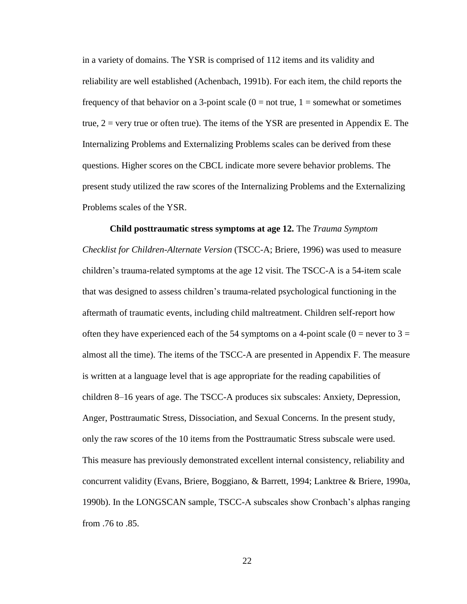in a variety of domains. The YSR is comprised of 112 items and its validity and reliability are well established (Achenbach, 1991b). For each item, the child reports the frequency of that behavior on a 3-point scale  $(0 = not true, 1 = somewhat or sometimes)$ true,  $2 = \text{very true}$  or often true). The items of the YSR are presented in Appendix E. The Internalizing Problems and Externalizing Problems scales can be derived from these questions. Higher scores on the CBCL indicate more severe behavior problems. The present study utilized the raw scores of the Internalizing Problems and the Externalizing Problems scales of the YSR.

**Child posttraumatic stress symptoms at age 12.** The *Trauma Symptom Checklist for Children-Alternate Version* (TSCC-A; Briere, 1996) was used to measure children's trauma-related symptoms at the age 12 visit. The TSCC-A is a 54-item scale that was designed to assess children's trauma-related psychological functioning in the aftermath of traumatic events, including child maltreatment. Children self-report how often they have experienced each of the 54 symptoms on a 4-point scale ( $0 =$  never to  $3 =$ almost all the time). The items of the TSCC-A are presented in Appendix F. The measure is written at a language level that is age appropriate for the reading capabilities of children 8–16 years of age. The TSCC-A produces six subscales: Anxiety, Depression, Anger, Posttraumatic Stress, Dissociation, and Sexual Concerns. In the present study, only the raw scores of the 10 items from the Posttraumatic Stress subscale were used. This measure has previously demonstrated excellent internal consistency, reliability and concurrent validity (Evans, Briere, Boggiano, & Barrett, 1994; Lanktree & Briere, 1990a, 1990b). In the LONGSCAN sample, TSCC-A subscales show Cronbach's alphas ranging from .76 to .85.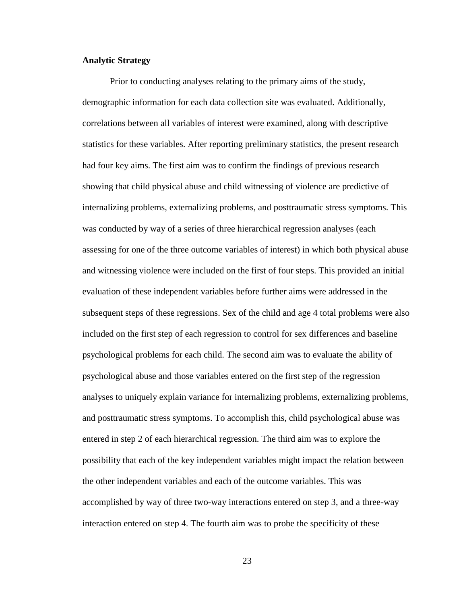#### **Analytic Strategy**

Prior to conducting analyses relating to the primary aims of the study, demographic information for each data collection site was evaluated. Additionally, correlations between all variables of interest were examined, along with descriptive statistics for these variables. After reporting preliminary statistics, the present research had four key aims. The first aim was to confirm the findings of previous research showing that child physical abuse and child witnessing of violence are predictive of internalizing problems, externalizing problems, and posttraumatic stress symptoms. This was conducted by way of a series of three hierarchical regression analyses (each assessing for one of the three outcome variables of interest) in which both physical abuse and witnessing violence were included on the first of four steps. This provided an initial evaluation of these independent variables before further aims were addressed in the subsequent steps of these regressions. Sex of the child and age 4 total problems were also included on the first step of each regression to control for sex differences and baseline psychological problems for each child. The second aim was to evaluate the ability of psychological abuse and those variables entered on the first step of the regression analyses to uniquely explain variance for internalizing problems, externalizing problems, and posttraumatic stress symptoms. To accomplish this, child psychological abuse was entered in step 2 of each hierarchical regression. The third aim was to explore the possibility that each of the key independent variables might impact the relation between the other independent variables and each of the outcome variables. This was accomplished by way of three two-way interactions entered on step 3, and a three-way interaction entered on step 4. The fourth aim was to probe the specificity of these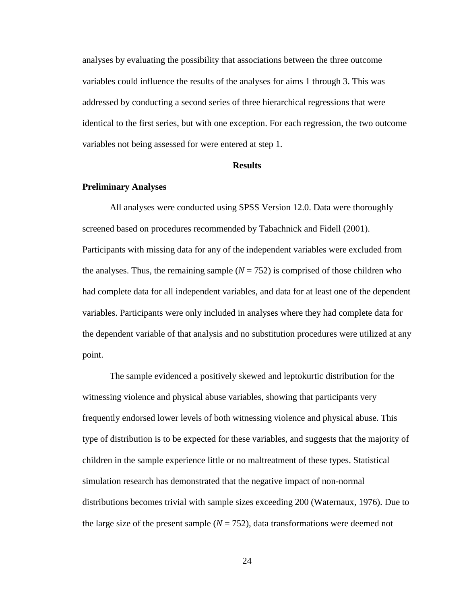analyses by evaluating the possibility that associations between the three outcome variables could influence the results of the analyses for aims 1 through 3. This was addressed by conducting a second series of three hierarchical regressions that were identical to the first series, but with one exception. For each regression, the two outcome variables not being assessed for were entered at step 1.

#### **Results**

#### **Preliminary Analyses**

All analyses were conducted using SPSS Version 12.0. Data were thoroughly screened based on procedures recommended by Tabachnick and Fidell (2001). Participants with missing data for any of the independent variables were excluded from the analyses. Thus, the remaining sample  $(N = 752)$  is comprised of those children who had complete data for all independent variables, and data for at least one of the dependent variables. Participants were only included in analyses where they had complete data for the dependent variable of that analysis and no substitution procedures were utilized at any point.

The sample evidenced a positively skewed and leptokurtic distribution for the witnessing violence and physical abuse variables, showing that participants very frequently endorsed lower levels of both witnessing violence and physical abuse. This type of distribution is to be expected for these variables, and suggests that the majority of children in the sample experience little or no maltreatment of these types. Statistical simulation research has demonstrated that the negative impact of non-normal distributions becomes trivial with sample sizes exceeding 200 (Waternaux, 1976). Due to the large size of the present sample  $(N = 752)$ , data transformations were deemed not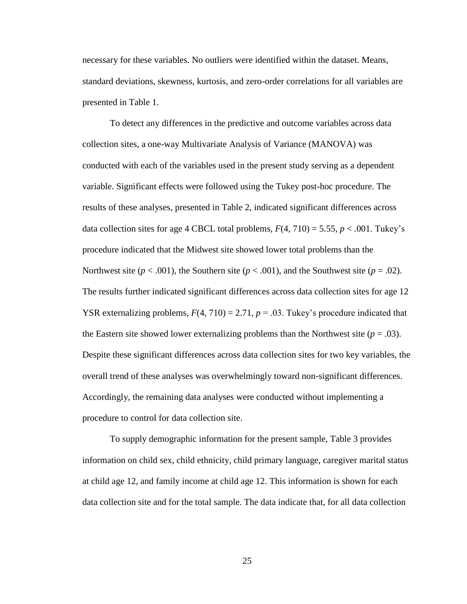necessary for these variables. No outliers were identified within the dataset. Means, standard deviations, skewness, kurtosis, and zero-order correlations for all variables are presented in Table 1.

To detect any differences in the predictive and outcome variables across data collection sites, a one-way Multivariate Analysis of Variance (MANOVA) was conducted with each of the variables used in the present study serving as a dependent variable. Significant effects were followed using the Tukey post-hoc procedure. The results of these analyses, presented in Table 2, indicated significant differences across data collection sites for age 4 CBCL total problems,  $F(4, 710) = 5.55$ ,  $p < .001$ . Tukey's procedure indicated that the Midwest site showed lower total problems than the Northwest site ( $p < .001$ ), the Southern site ( $p < .001$ ), and the Southwest site ( $p = .02$ ). The results further indicated significant differences across data collection sites for age 12 YSR externalizing problems,  $F(4, 710) = 2.71$ ,  $p = .03$ . Tukey's procedure indicated that the Eastern site showed lower externalizing problems than the Northwest site  $(p = .03)$ . Despite these significant differences across data collection sites for two key variables, the overall trend of these analyses was overwhelmingly toward non-significant differences. Accordingly, the remaining data analyses were conducted without implementing a procedure to control for data collection site.

To supply demographic information for the present sample, Table 3 provides information on child sex, child ethnicity, child primary language, caregiver marital status at child age 12, and family income at child age 12. This information is shown for each data collection site and for the total sample. The data indicate that, for all data collection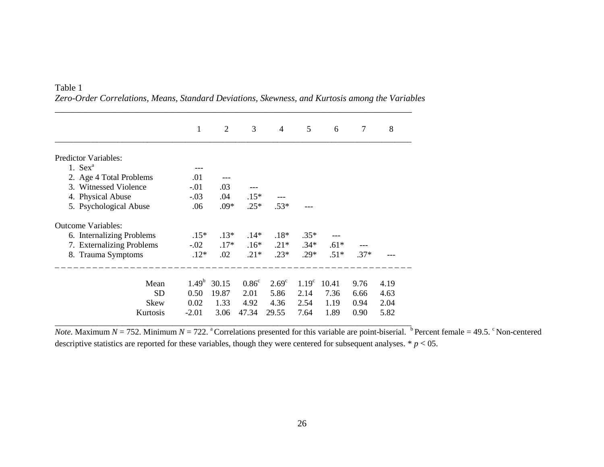| Table 1 |                                                                                                 |  |  |  |  |  |
|---------|-------------------------------------------------------------------------------------------------|--|--|--|--|--|
|         | Zero-Order Correlations, Means, Standard Deviations, Skewness, and Kurtosis among the Variables |  |  |  |  |  |

\_\_\_\_\_\_\_\_\_\_\_\_\_\_\_\_\_\_\_\_\_\_\_\_\_\_\_\_\_\_\_\_\_\_\_\_\_\_\_\_\_\_\_\_\_\_\_\_\_\_\_\_\_\_\_\_\_\_\_\_\_\_\_\_\_\_\_\_\_\_\_\_\_\_\_\_\_\_

|                           | 1                 | $\overline{2}$ | 3              | $\overline{4}$    | 5                 | 6      | 7      | 8    |
|---------------------------|-------------------|----------------|----------------|-------------------|-------------------|--------|--------|------|
| Predictor Variables:      |                   |                |                |                   |                   |        |        |      |
| 1. $Sex^a$                |                   |                |                |                   |                   |        |        |      |
| 2. Age 4 Total Problems   | .01               |                |                |                   |                   |        |        |      |
| 3. Witnessed Violence     | $-.01$            | .03            |                |                   |                   |        |        |      |
| 4. Physical Abuse         | $-.03$            | .04            | $.15*$         |                   |                   |        |        |      |
| 5. Psychological Abuse    | .06               | $.09*$         | $.25*$         | $.53*$            |                   |        |        |      |
| <b>Outcome Variables:</b> |                   |                |                |                   |                   |        |        |      |
| 6. Internalizing Problems | $.15*$            | $.13*$         | $.14*$         | $.18*$            | $.35*$            |        |        |      |
| 7. Externalizing Problems | $-.02$            | $.17*$         | $.16*$         | $.21*$            | $.34*$            | $.61*$ |        |      |
| 8. Trauma Symptoms        | $.12*$            | .02            | $.21*$         | $.23*$            | $.29*$            | $.51*$ | $.37*$ |      |
|                           |                   |                |                |                   |                   |        |        |      |
| Mean                      | 1.49 <sup>b</sup> | 30.15          | $0.86^{\circ}$ | 2.69 <sup>c</sup> | 1.19 <sup>c</sup> | 10.41  | 9.76   | 4.19 |
| <b>SD</b>                 | 0.50              | 19.87          | 2.01           | 5.86              | 2.14              | 7.36   | 6.66   | 4.63 |
| <b>Skew</b>               | 0.02              | 1.33           | 4.92           | 4.36              | 2.54              | 1.19   | 0.94   | 2.04 |
| Kurtosis                  | $-2.01$           | 3.06           | 47.34          | 29.55             | 7.64              | 1.89   | 0.90   | 5.82 |

*Note*. Maximum *N* = 752. Minimum *N* = 722. <sup>a</sup>Correlations presented for this variable are point-biserial. <sup>b</sup> Percent female = 49.5. <sup>c</sup> Non-centered descriptive statistics are reported for these variables, though they were centered for subsequent analyses.  $* p < 05$ .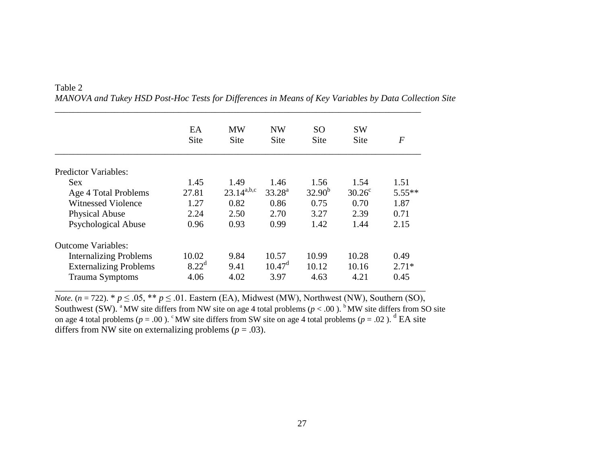|                               | EA<br>Site     | <b>MW</b><br><b>Site</b>             | <b>NW</b><br>Site | SO.<br>Site | <b>SW</b><br>Site | $\,F$    |
|-------------------------------|----------------|--------------------------------------|-------------------|-------------|-------------------|----------|
|                               |                |                                      |                   |             |                   |          |
| <b>Predictor Variables:</b>   |                |                                      |                   |             |                   |          |
| <b>Sex</b>                    | 1.45           | 1.49                                 | 1.46              | 1.56        | 1.54              | 1.51     |
| Age 4 Total Problems          | 27.81          | $23.14^{\text{a},\text{b},\text{c}}$ | $33.28^{\rm a}$   | $32.90^{b}$ | $30.26^{\circ}$   | $5.55**$ |
| Witnessed Violence            | 1.27           | 0.82                                 | 0.86              | 0.75        | 0.70              | 1.87     |
| <b>Physical Abuse</b>         | 2.24           | 2.50                                 | 2.70              | 3.27        | 2.39              | 0.71     |
| <b>Psychological Abuse</b>    | 0.96           | 0.93                                 | 0.99              | 1.42        | 1.44              | 2.15     |
| <b>Outcome Variables:</b>     |                |                                      |                   |             |                   |          |
| <b>Internalizing Problems</b> | 10.02          | 9.84                                 | 10.57             | 10.99       | 10.28             | 0.49     |
| <b>Externalizing Problems</b> | $8.22^{\rm d}$ | 9.41                                 | $10.47^{\rm d}$   | 10.12       | 10.16             | $2.71*$  |
| <b>Trauma Symptoms</b>        | 4.06           | 4.02                                 | 3.97              | 4.63        | 4.21              | 0.45     |

\_\_\_\_\_\_\_\_\_\_\_\_\_\_\_\_\_\_\_\_\_\_\_\_\_\_\_\_\_\_\_\_\_\_\_\_\_\_\_\_\_\_\_\_\_\_\_\_\_\_\_\_\_\_\_\_\_\_\_\_\_\_\_\_\_\_\_\_\_\_\_\_\_\_\_\_\_\_\_\_

Table 2 *MANOVA and Tukey HSD Post-Hoc Tests for Differences in Means of Key Variables by Data Collection Site*

*Note.* ( $n = 722$ ). \*  $p \le 0.05$ , \*\*  $p \le 0.01$ . Eastern (EA), Midwest (MW), Northwest (NW), Southern (SO), Southwest (SW). <sup>a</sup> MW site differs from NW site on age 4 total problems ( $p < .00$ ). <sup>b</sup> MW site differs from SO site on age 4 total problems ( $p = .00$ ). <sup>c</sup>MW site differs from SW site on age 4 total problems ( $p = .02$ ). <sup>d</sup> EA site differs from NW site on externalizing problems ( $p = .03$ ).

\_\_\_\_\_\_\_\_\_\_\_\_\_\_\_\_\_\_\_\_\_\_\_\_\_\_\_\_\_\_\_\_\_\_\_\_\_\_\_\_\_\_\_\_\_\_\_\_\_\_\_\_\_\_\_\_\_\_\_\_\_\_\_\_\_\_\_\_\_\_\_\_\_\_\_\_\_\_\_\_\_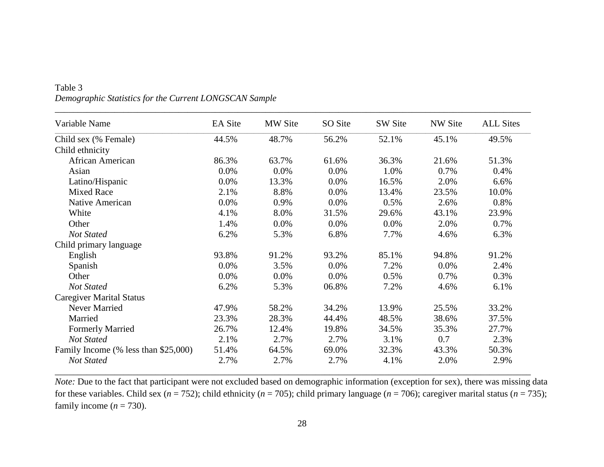| Variable Name                        | <b>EA</b> Site | MW Site | SO Site | SW Site | <b>NW Site</b> | <b>ALL Sites</b> |
|--------------------------------------|----------------|---------|---------|---------|----------------|------------------|
| Child sex (% Female)                 | 44.5%          | 48.7%   | 56.2%   | 52.1%   | 45.1%          | 49.5%            |
| Child ethnicity                      |                |         |         |         |                |                  |
| African American                     | 86.3%          | 63.7%   | 61.6%   | 36.3%   | 21.6%          | 51.3%            |
| Asian                                | 0.0%           | 0.0%    | 0.0%    | 1.0%    | 0.7%           | 0.4%             |
| Latino/Hispanic                      | 0.0%           | 13.3%   | 0.0%    | 16.5%   | 2.0%           | 6.6%             |
| <b>Mixed Race</b>                    | 2.1%           | 8.8%    | 0.0%    | 13.4%   | 23.5%          | 10.0%            |
| Native American                      | 0.0%           | 0.9%    | 0.0%    | 0.5%    | 2.6%           | 0.8%             |
| White                                | 4.1%           | 8.0%    | 31.5%   | 29.6%   | 43.1%          | 23.9%            |
| Other                                | 1.4%           | 0.0%    | 0.0%    | 0.0%    | 2.0%           | 0.7%             |
| <b>Not Stated</b>                    | 6.2%           | 5.3%    | 6.8%    | 7.7%    | 4.6%           | 6.3%             |
| Child primary language               |                |         |         |         |                |                  |
| English                              | 93.8%          | 91.2%   | 93.2%   | 85.1%   | 94.8%          | 91.2%            |
| Spanish                              | 0.0%           | 3.5%    | 0.0%    | 7.2%    | 0.0%           | 2.4%             |
| Other                                | 0.0%           | 0.0%    | 0.0%    | 0.5%    | 0.7%           | 0.3%             |
| <b>Not Stated</b>                    | 6.2%           | 5.3%    | 06.8%   | 7.2%    | 4.6%           | 6.1%             |
| <b>Caregiver Marital Status</b>      |                |         |         |         |                |                  |
| Never Married                        | 47.9%          | 58.2%   | 34.2%   | 13.9%   | 25.5%          | 33.2%            |
| Married                              | 23.3%          | 28.3%   | 44.4%   | 48.5%   | 38.6%          | 37.5%            |
| <b>Formerly Married</b>              | 26.7%          | 12.4%   | 19.8%   | 34.5%   | 35.3%          | 27.7%            |
| <b>Not Stated</b>                    | 2.1%           | 2.7%    | 2.7%    | 3.1%    | 0.7            | 2.3%             |
| Family Income (% less than \$25,000) | 51.4%          | 64.5%   | 69.0%   | 32.3%   | 43.3%          | 50.3%            |
| <b>Not Stated</b>                    | 2.7%           | 2.7%    | 2.7%    | 4.1%    | 2.0%           | 2.9%             |

# Table 3 *Demographic Statistics for the Current LONGSCAN Sample*

*Note:* Due to the fact that participant were not excluded based on demographic information (exception for sex), there was missing data for these variables. Child sex (*n* = 752); child ethnicity (*n* = 705); child primary language (*n* = 706); caregiver marital status (*n* = 735); family income  $(n = 730)$ .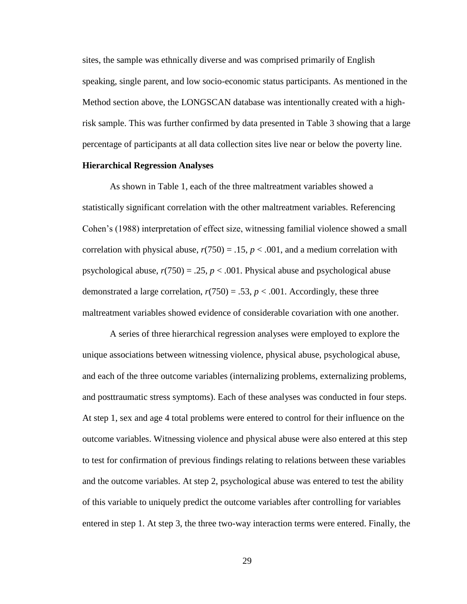sites, the sample was ethnically diverse and was comprised primarily of English speaking, single parent, and low socio-economic status participants. As mentioned in the Method section above, the LONGSCAN database was intentionally created with a highrisk sample. This was further confirmed by data presented in Table 3 showing that a large percentage of participants at all data collection sites live near or below the poverty line.

## **Hierarchical Regression Analyses**

As shown in Table 1, each of the three maltreatment variables showed a statistically significant correlation with the other maltreatment variables. Referencing Cohen's (1988) interpretation of effect size, witnessing familial violence showed a small correlation with physical abuse,  $r(750) = .15$ ,  $p < .001$ , and a medium correlation with psychological abuse,  $r(750) = .25$ ,  $p < .001$ . Physical abuse and psychological abuse demonstrated a large correlation,  $r(750) = .53$ ,  $p < .001$ . Accordingly, these three maltreatment variables showed evidence of considerable covariation with one another.

A series of three hierarchical regression analyses were employed to explore the unique associations between witnessing violence, physical abuse, psychological abuse, and each of the three outcome variables (internalizing problems, externalizing problems, and posttraumatic stress symptoms). Each of these analyses was conducted in four steps. At step 1, sex and age 4 total problems were entered to control for their influence on the outcome variables. Witnessing violence and physical abuse were also entered at this step to test for confirmation of previous findings relating to relations between these variables and the outcome variables. At step 2, psychological abuse was entered to test the ability of this variable to uniquely predict the outcome variables after controlling for variables entered in step 1. At step 3, the three two-way interaction terms were entered. Finally, the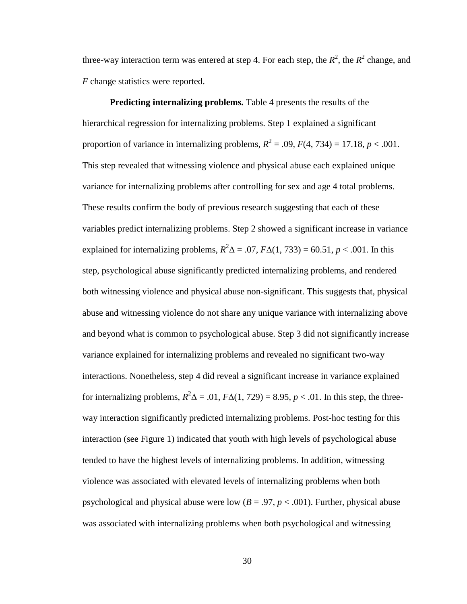three-way interaction term was entered at step 4. For each step, the  $R^2$ , the  $R^2$  change, and *F* change statistics were reported.

**Predicting internalizing problems.** Table 4 presents the results of the hierarchical regression for internalizing problems. Step 1 explained a significant proportion of variance in internalizing problems,  $R^2 = .09$ ,  $F(4, 734) = 17.18$ ,  $p < .001$ . This step revealed that witnessing violence and physical abuse each explained unique variance for internalizing problems after controlling for sex and age 4 total problems. These results confirm the body of previous research suggesting that each of these variables predict internalizing problems. Step 2 showed a significant increase in variance explained for internalizing problems,  $R^2\Delta = .07$ ,  $F\Delta(1, 733) = 60.51$ ,  $p < .001$ . In this step, psychological abuse significantly predicted internalizing problems, and rendered both witnessing violence and physical abuse non-significant. This suggests that, physical abuse and witnessing violence do not share any unique variance with internalizing above and beyond what is common to psychological abuse. Step 3 did not significantly increase variance explained for internalizing problems and revealed no significant two-way interactions. Nonetheless, step 4 did reveal a significant increase in variance explained for internalizing problems,  $R^2\Delta = .01$ ,  $F\Delta(1, 729) = 8.95$ ,  $p < .01$ . In this step, the threeway interaction significantly predicted internalizing problems. Post-hoc testing for this interaction (see Figure 1) indicated that youth with high levels of psychological abuse tended to have the highest levels of internalizing problems. In addition, witnessing violence was associated with elevated levels of internalizing problems when both psychological and physical abuse were low  $(B = .97, p < .001)$ . Further, physical abuse was associated with internalizing problems when both psychological and witnessing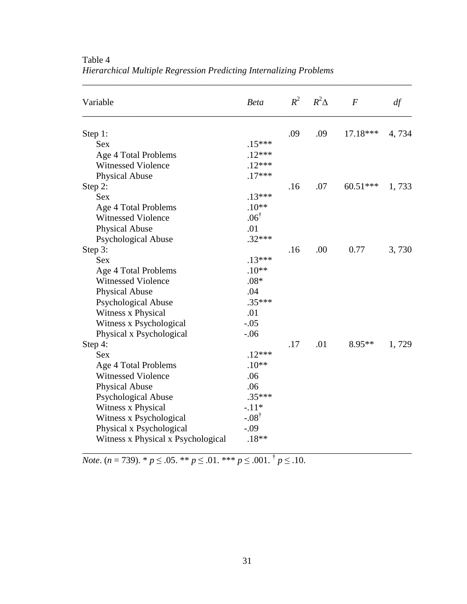| Variable                           | <b>Beta</b>      | $R^2$ | $R^2\Delta$ | $\boldsymbol{F}$ | df    |
|------------------------------------|------------------|-------|-------------|------------------|-------|
| Step 1:                            |                  | .09   | .09         | 17.18***         | 4,734 |
| <b>Sex</b>                         | $.15***$         |       |             |                  |       |
| Age 4 Total Problems               | $.12***$         |       |             |                  |       |
| <b>Witnessed Violence</b>          | $.12***$         |       |             |                  |       |
| <b>Physical Abuse</b>              | $.17***$         |       |             |                  |       |
| Step 2:                            |                  | .16   | .07         | $60.51***$       | 1,733 |
| <b>Sex</b>                         | $.13***$         |       |             |                  |       |
| Age 4 Total Problems               | $.10**$          |       |             |                  |       |
| <b>Witnessed Violence</b>          | $.06^{\dagger}$  |       |             |                  |       |
| <b>Physical Abuse</b>              | .01              |       |             |                  |       |
| <b>Psychological Abuse</b>         | $.32***$         |       |             |                  |       |
| Step 3:                            |                  | .16   | .00         | 0.77             | 3,730 |
| <b>Sex</b>                         | $.13***$         |       |             |                  |       |
| Age 4 Total Problems               | $.10**$          |       |             |                  |       |
| <b>Witnessed Violence</b>          | $.08*$           |       |             |                  |       |
| <b>Physical Abuse</b>              | .04              |       |             |                  |       |
| <b>Psychological Abuse</b>         | $.35***$         |       |             |                  |       |
| Witness x Physical                 | .01              |       |             |                  |       |
| Witness x Psychological            | $-.05$           |       |             |                  |       |
| Physical x Psychological           | $-.06$           |       |             |                  |       |
| Step 4:                            |                  | .17   | .01         | $8.95**$         | 1,729 |
| <b>Sex</b>                         | $.12***$         |       |             |                  |       |
| Age 4 Total Problems               | $.10**$          |       |             |                  |       |
| <b>Witnessed Violence</b>          | .06              |       |             |                  |       |
| <b>Physical Abuse</b>              | .06              |       |             |                  |       |
| <b>Psychological Abuse</b>         | $.35***$         |       |             |                  |       |
| Witness x Physical                 | $-.11*$          |       |             |                  |       |
| Witness x Psychological            | $-.08^{\dagger}$ |       |             |                  |       |
| Physical x Psychological           | $-.09$           |       |             |                  |       |
| Witness x Physical x Psychological | $.18**$          |       |             |                  |       |

\_\_\_\_\_\_\_\_\_\_\_\_\_\_\_\_\_\_\_\_\_\_\_\_\_\_\_\_\_\_\_\_\_\_\_\_\_\_\_\_\_\_\_\_\_\_\_\_\_\_\_\_\_\_\_\_\_\_\_\_\_\_\_\_\_\_\_\_\_\_\_\_

Table 4 *Hierarchical Multiple Regression Predicting Internalizing Problems*

*Note*. (*n* = 739). \* *p* ≤ .05. \*\* *p* ≤ .01. \*\*\* *p* ≤ .001. † *p* ≤ .10.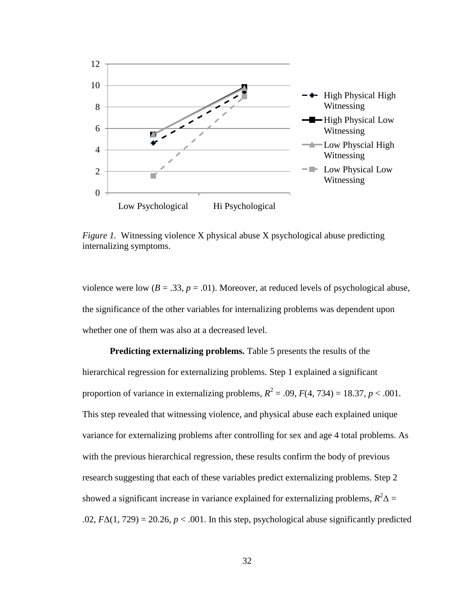

*Figure 1.* Witnessing violence X physical abuse X psychological abuse predicting internalizing symptoms.

violence were low ( $B = .33$ ,  $p = .01$ ). Moreover, at reduced levels of psychological abuse, the significance of the other variables for internalizing problems was dependent upon whether one of them was also at a decreased level.

**Predicting externalizing problems.** Table 5 presents the results of the hierarchical regression for externalizing problems. Step 1 explained a significant proportion of variance in externalizing problems,  $R^2 = .09$ ,  $F(4, 734) = 18.37$ ,  $p < .001$ . This step revealed that witnessing violence, and physical abuse each explained unique variance for externalizing problems after controlling for sex and age 4 total problems. As with the previous hierarchical regression, these results confirm the body of previous research suggesting that each of these variables predict externalizing problems. Step 2 showed a significant increase in variance explained for externalizing problems,  $R^2\Delta =$ .02,  $F\Delta(1, 729) = 20.26$ ,  $p < .001$ . In this step, psychological abuse significantly predicted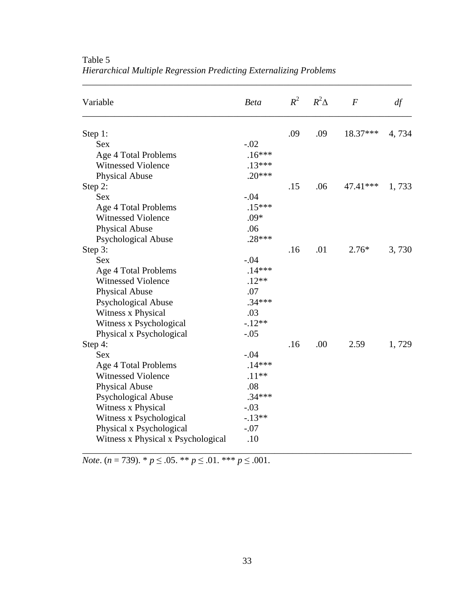| Variable                           | <b>Beta</b> | $R^2$ | $R^2\Delta$ | $\boldsymbol{F}$ | df    |
|------------------------------------|-------------|-------|-------------|------------------|-------|
| Step 1:                            |             | .09   | .09         | 18.37***         | 4,734 |
| <b>Sex</b>                         | $-.02$      |       |             |                  |       |
| Age 4 Total Problems               | $.16***$    |       |             |                  |       |
| <b>Witnessed Violence</b>          | $.13***$    |       |             |                  |       |
| <b>Physical Abuse</b>              | $.20***$    |       |             |                  |       |
| Step 2:                            |             | .15   | .06         | 47.41***         | 1,733 |
| <b>Sex</b>                         | $-.04$      |       |             |                  |       |
| Age 4 Total Problems               | $.15***$    |       |             |                  |       |
| <b>Witnessed Violence</b>          | $.09*$      |       |             |                  |       |
| <b>Physical Abuse</b>              | .06         |       |             |                  |       |
| <b>Psychological Abuse</b>         | $.28***$    |       |             |                  |       |
| Step 3:                            |             | .16   | .01         | $2.76*$          | 3,730 |
| <b>Sex</b>                         | $-.04$      |       |             |                  |       |
| Age 4 Total Problems               | $.14***$    |       |             |                  |       |
| <b>Witnessed Violence</b>          | $.12**$     |       |             |                  |       |
| <b>Physical Abuse</b>              | .07         |       |             |                  |       |
| <b>Psychological Abuse</b>         | $.34***$    |       |             |                  |       |
| Witness x Physical                 | .03         |       |             |                  |       |
| Witness x Psychological            | $-.12**$    |       |             |                  |       |
| Physical x Psychological           | $-.05$      |       |             |                  |       |
| Step 4:                            |             | .16   | .00         | 2.59             | 1,729 |
| <b>Sex</b>                         | $-.04$      |       |             |                  |       |
| Age 4 Total Problems               | $.14***$    |       |             |                  |       |
| <b>Witnessed Violence</b>          | $.11**$     |       |             |                  |       |
| <b>Physical Abuse</b>              | .08         |       |             |                  |       |
| <b>Psychological Abuse</b>         | $.34***$    |       |             |                  |       |
| Witness x Physical                 | $-.03$      |       |             |                  |       |
| Witness x Psychological            | $-.13**$    |       |             |                  |       |
| Physical x Psychological           | $-.07$      |       |             |                  |       |
| Witness x Physical x Psychological | .10         |       |             |                  |       |

\_\_\_\_\_\_\_\_\_\_\_\_\_\_\_\_\_\_\_\_\_\_\_\_\_\_\_\_\_\_\_\_\_\_\_\_\_\_\_\_\_\_\_\_\_\_\_\_\_\_\_\_\_\_\_\_\_\_\_\_\_\_\_\_\_\_\_\_\_\_\_\_

Table 5 *Hierarchical Multiple Regression Predicting Externalizing Problems*

*Note*. (*n* = 739). \* *p* ≤ .05. \*\* *p* ≤ .01. \*\*\* *p* ≤ .001.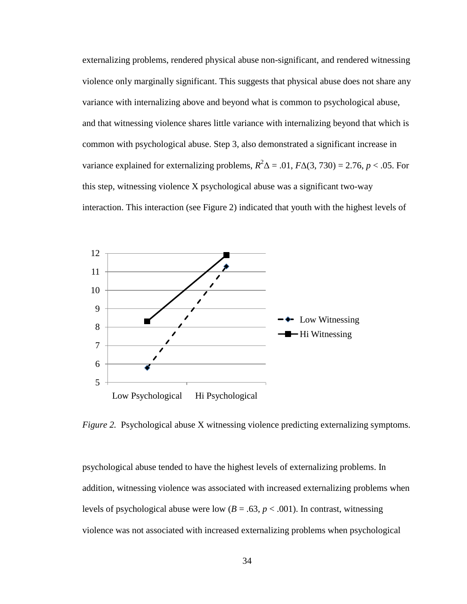externalizing problems, rendered physical abuse non-significant, and rendered witnessing violence only marginally significant. This suggests that physical abuse does not share any variance with internalizing above and beyond what is common to psychological abuse, and that witnessing violence shares little variance with internalizing beyond that which is common with psychological abuse. Step 3, also demonstrated a significant increase in variance explained for externalizing problems,  $R^2\Delta = .01$ ,  $F\Delta(3, 730) = 2.76$ ,  $p < .05$ . For this step, witnessing violence X psychological abuse was a significant two-way interaction. This interaction (see Figure 2) indicated that youth with the highest levels of



*Figure 2.* Psychological abuse X witnessing violence predicting externalizing symptoms.

psychological abuse tended to have the highest levels of externalizing problems. In addition, witnessing violence was associated with increased externalizing problems when levels of psychological abuse were low  $(B = .63, p < .001)$ . In contrast, witnessing violence was not associated with increased externalizing problems when psychological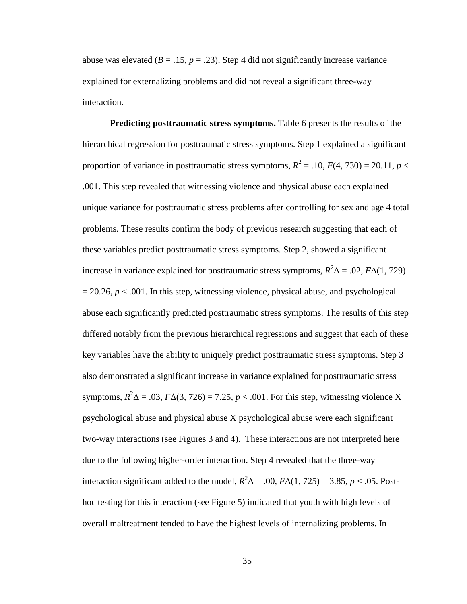abuse was elevated  $(B = .15, p = .23)$ . Step 4 did not significantly increase variance explained for externalizing problems and did not reveal a significant three-way interaction.

**Predicting posttraumatic stress symptoms.** Table 6 presents the results of the hierarchical regression for posttraumatic stress symptoms. Step 1 explained a significant proportion of variance in posttraumatic stress symptoms,  $R^2 = .10$ ,  $F(4, 730) = 20.11$ ,  $p <$ .001. This step revealed that witnessing violence and physical abuse each explained unique variance for posttraumatic stress problems after controlling for sex and age 4 total problems. These results confirm the body of previous research suggesting that each of these variables predict posttraumatic stress symptoms. Step 2, showed a significant increase in variance explained for posttraumatic stress symptoms,  $R^2\Delta = .02$ ,  $F\Delta(1, 729)$  $= 20.26$ ,  $p < .001$ . In this step, witnessing violence, physical abuse, and psychological abuse each significantly predicted posttraumatic stress symptoms. The results of this step differed notably from the previous hierarchical regressions and suggest that each of these key variables have the ability to uniquely predict posttraumatic stress symptoms. Step 3 also demonstrated a significant increase in variance explained for posttraumatic stress symptoms,  $R^2\Delta = .03$ ,  $F\Delta(3, 726) = 7.25$ ,  $p < .001$ . For this step, witnessing violence X psychological abuse and physical abuse X psychological abuse were each significant two-way interactions (see Figures 3 and 4). These interactions are not interpreted here due to the following higher-order interaction. Step 4 revealed that the three-way interaction significant added to the model,  $R^2\Delta = .00$ ,  $F\Delta(1, 725) = 3.85$ ,  $p < .05$ . Posthoc testing for this interaction (see Figure 5) indicated that youth with high levels of overall maltreatment tended to have the highest levels of internalizing problems. In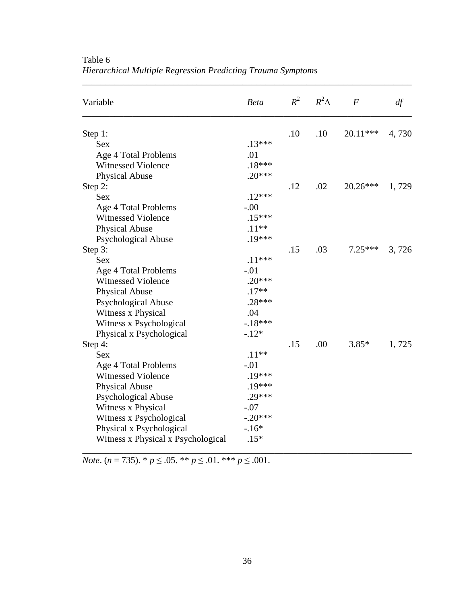| Variable                           | <b>Beta</b> |     | $R^2$ $R^2\Delta$ | $\bm{F}$   | df    |
|------------------------------------|-------------|-----|-------------------|------------|-------|
| Step 1:                            |             | .10 | .10               | 20.11***   | 4,730 |
| <b>Sex</b>                         | $.13***$    |     |                   |            |       |
| Age 4 Total Problems               | .01         |     |                   |            |       |
| <b>Witnessed Violence</b>          | $.18***$    |     |                   |            |       |
| <b>Physical Abuse</b>              | $.20***$    |     |                   |            |       |
| Step 2:                            |             | .12 | .02               | $20.26***$ | 1,729 |
| <b>Sex</b>                         | $.12***$    |     |                   |            |       |
| Age 4 Total Problems               | $-.00$      |     |                   |            |       |
| Witnessed Violence                 | $.15***$    |     |                   |            |       |
| <b>Physical Abuse</b>              | $.11**$     |     |                   |            |       |
| <b>Psychological Abuse</b>         | $.19***$    |     |                   |            |       |
| Step 3:                            |             | .15 | .03               | $7.25***$  | 3,726 |
| <b>Sex</b>                         | $.11***$    |     |                   |            |       |
| Age 4 Total Problems               | $-.01$      |     |                   |            |       |
| <b>Witnessed Violence</b>          | $.20***$    |     |                   |            |       |
| <b>Physical Abuse</b>              | $.17**$     |     |                   |            |       |
| Psychological Abuse                | $.28***$    |     |                   |            |       |
| Witness x Physical                 | .04         |     |                   |            |       |
| Witness x Psychological            | $-.18***$   |     |                   |            |       |
| Physical x Psychological           | $-.12*$     |     |                   |            |       |
| Step 4:                            |             | .15 | .00               | $3.85*$    | 1,725 |
| <b>Sex</b>                         | $.11**$     |     |                   |            |       |
| Age 4 Total Problems               | $-.01$      |     |                   |            |       |
| <b>Witnessed Violence</b>          | .19***      |     |                   |            |       |
| <b>Physical Abuse</b>              | $.19***$    |     |                   |            |       |
| <b>Psychological Abuse</b>         | $.29***$    |     |                   |            |       |
| Witness x Physical                 | $-.07$      |     |                   |            |       |
| Witness x Psychological            | $-.20***$   |     |                   |            |       |
| Physical x Psychological           | $-.16*$     |     |                   |            |       |
| Witness x Physical x Psychological | $.15*$      |     |                   |            |       |

\_\_\_\_\_\_\_\_\_\_\_\_\_\_\_\_\_\_\_\_\_\_\_\_\_\_\_\_\_\_\_\_\_\_\_\_\_\_\_\_\_\_\_\_\_\_\_\_\_\_\_\_\_\_\_\_\_\_\_\_\_\_\_\_\_\_\_\_\_\_\_\_

Table 6 *Hierarchical Multiple Regression Predicting Trauma Symptoms*

*Note*. (*n* = 735). \* *p* ≤ .05. \*\* *p* ≤ .01. \*\*\* *p* ≤ .001.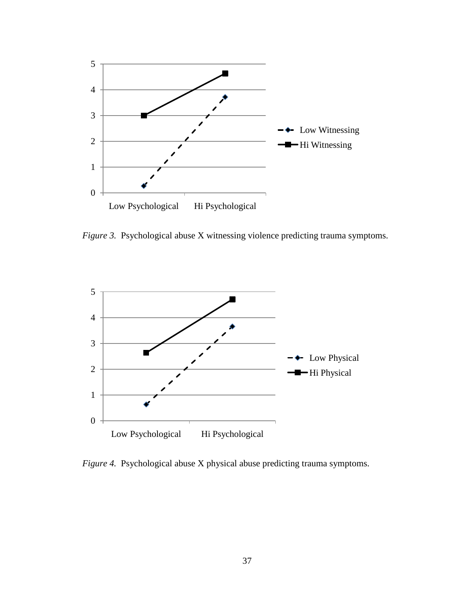

*Figure 3.* Psychological abuse X witnessing violence predicting trauma symptoms.



*Figure 4.* Psychological abuse X physical abuse predicting trauma symptoms.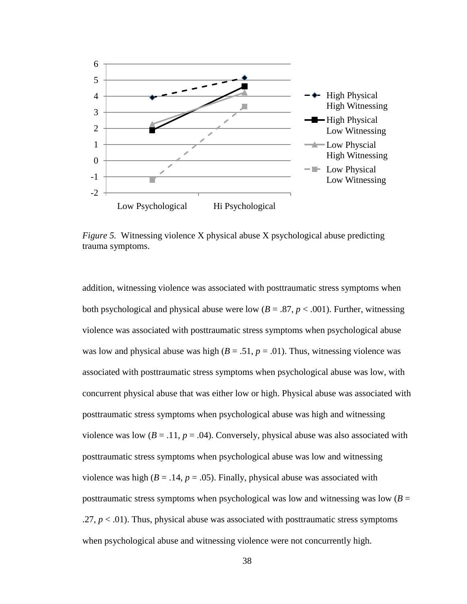

*Figure 5.* Witnessing violence X physical abuse X psychological abuse predicting trauma symptoms.

addition, witnessing violence was associated with posttraumatic stress symptoms when both psychological and physical abuse were low  $(B = .87, p < .001)$ . Further, witnessing violence was associated with posttraumatic stress symptoms when psychological abuse was low and physical abuse was high ( $B = .51$ ,  $p = .01$ ). Thus, witnessing violence was associated with posttraumatic stress symptoms when psychological abuse was low, with concurrent physical abuse that was either low or high. Physical abuse was associated with posttraumatic stress symptoms when psychological abuse was high and witnessing violence was low  $(B = .11, p = .04)$ . Conversely, physical abuse was also associated with posttraumatic stress symptoms when psychological abuse was low and witnessing violence was high ( $B = .14$ ,  $p = .05$ ). Finally, physical abuse was associated with posttraumatic stress symptoms when psychological was low and witnessing was low  $(B =$  $.27, p < .01$ ). Thus, physical abuse was associated with posttraumatic stress symptoms when psychological abuse and witnessing violence were not concurrently high.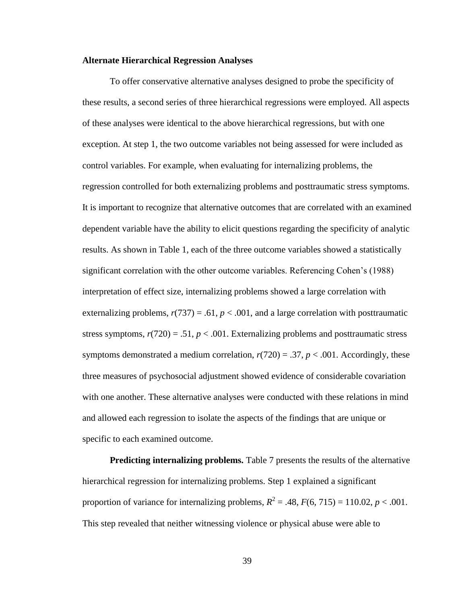## **Alternate Hierarchical Regression Analyses**

To offer conservative alternative analyses designed to probe the specificity of these results, a second series of three hierarchical regressions were employed. All aspects of these analyses were identical to the above hierarchical regressions, but with one exception. At step 1, the two outcome variables not being assessed for were included as control variables. For example, when evaluating for internalizing problems, the regression controlled for both externalizing problems and posttraumatic stress symptoms. It is important to recognize that alternative outcomes that are correlated with an examined dependent variable have the ability to elicit questions regarding the specificity of analytic results. As shown in Table 1, each of the three outcome variables showed a statistically significant correlation with the other outcome variables. Referencing Cohen's (1988) interpretation of effect size, internalizing problems showed a large correlation with externalizing problems,  $r(737) = .61$ ,  $p < .001$ , and a large correlation with posttraumatic stress symptoms,  $r(720) = .51$ ,  $p < .001$ . Externalizing problems and posttraumatic stress symptoms demonstrated a medium correlation,  $r(720) = .37$ ,  $p < .001$ . Accordingly, these three measures of psychosocial adjustment showed evidence of considerable covariation with one another. These alternative analyses were conducted with these relations in mind and allowed each regression to isolate the aspects of the findings that are unique or specific to each examined outcome.

**Predicting internalizing problems.** Table 7 presents the results of the alternative hierarchical regression for internalizing problems. Step 1 explained a significant proportion of variance for internalizing problems,  $R^2 = .48$ ,  $F(6, 715) = 110.02$ ,  $p < .001$ . This step revealed that neither witnessing violence or physical abuse were able to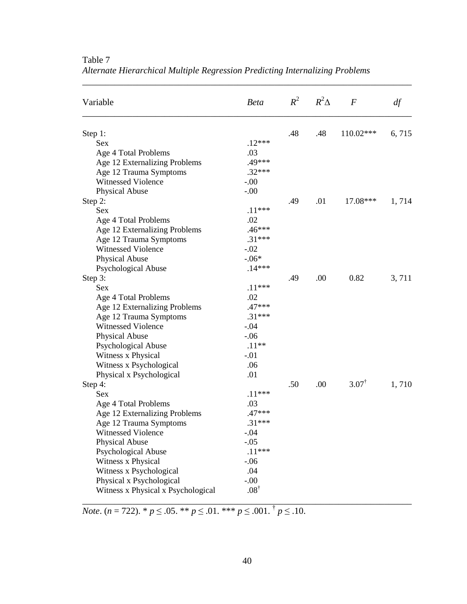| Variable                           | <b>Beta</b>     |     | $R^2$ $R^2\Delta$ | $\boldsymbol{F}$ | df    |
|------------------------------------|-----------------|-----|-------------------|------------------|-------|
| Step 1:                            |                 | .48 | .48               | 110.02***        | 6,715 |
| <b>Sex</b>                         | $.12***$        |     |                   |                  |       |
| Age 4 Total Problems               | .03             |     |                   |                  |       |
| Age 12 Externalizing Problems      | .49***          |     |                   |                  |       |
| Age 12 Trauma Symptoms             | $.32***$        |     |                   |                  |       |
| <b>Witnessed Violence</b>          | $-.00$          |     |                   |                  |       |
| Physical Abuse                     | $-.00$          |     |                   |                  |       |
| Step 2:                            |                 | .49 | .01               | 17.08***         | 1,714 |
| <b>Sex</b>                         | $.11***$        |     |                   |                  |       |
| Age 4 Total Problems               | .02             |     |                   |                  |       |
| Age 12 Externalizing Problems      | $.46***$        |     |                   |                  |       |
| Age 12 Trauma Symptoms             | $.31***$        |     |                   |                  |       |
| <b>Witnessed Violence</b>          | $-.02$          |     |                   |                  |       |
| Physical Abuse                     | $-.06*$         |     |                   |                  |       |
| Psychological Abuse                | $.14***$        |     |                   |                  |       |
| Step 3:                            |                 | .49 | .00               | 0.82             | 3,711 |
| <b>Sex</b>                         | $.11***$        |     |                   |                  |       |
| Age 4 Total Problems               | .02             |     |                   |                  |       |
| Age 12 Externalizing Problems      | $.47***$        |     |                   |                  |       |
| Age 12 Trauma Symptoms             | $.31***$        |     |                   |                  |       |
| <b>Witnessed Violence</b>          | $-.04$          |     |                   |                  |       |
| Physical Abuse                     | $-.06$          |     |                   |                  |       |
| <b>Psychological Abuse</b>         | $.11**$         |     |                   |                  |       |
| Witness x Physical                 | $-.01$          |     |                   |                  |       |
| Witness x Psychological            | .06             |     |                   |                  |       |
| Physical x Psychological           | .01             |     |                   |                  |       |
| Step 4:                            |                 | .50 | .00               | $3.07^\text{T}$  | 1,710 |
| <b>Sex</b>                         | $.11***$        |     |                   |                  |       |
| Age 4 Total Problems               | .03             |     |                   |                  |       |
| Age 12 Externalizing Problems      | $.47***$        |     |                   |                  |       |
| Age 12 Trauma Symptoms             | $.31***$        |     |                   |                  |       |
| Witnessed Violence                 | $-.04$          |     |                   |                  |       |
| Physical Abuse                     | $-.05$          |     |                   |                  |       |
| Psychological Abuse                | $.11***$        |     |                   |                  |       |
| Witness x Physical                 | $-.06$          |     |                   |                  |       |
| Witness x Psychological            | .04             |     |                   |                  |       |
| Physical x Psychological           | $-.00.$         |     |                   |                  |       |
| Witness x Physical x Psychological | $.08^{\dagger}$ |     |                   |                  |       |

Table 7 *Alternate Hierarchical Multiple Regression Predicting Internalizing Problems*

\_\_\_\_\_\_\_\_\_\_\_\_\_\_\_\_\_\_\_\_\_\_\_\_\_\_\_\_\_\_\_\_\_\_\_\_\_\_\_\_\_\_\_\_\_\_\_\_\_\_\_\_\_\_\_\_\_\_\_\_\_\_\_\_\_\_\_\_\_\_\_\_

*Note*. (*n* = 722). \* *p* ≤ .05. \*\* *p* ≤ .01. \*\*\* *p* ≤ .001. † *p* ≤ .10.

\_\_\_\_\_\_\_\_\_\_\_\_\_\_\_\_\_\_\_\_\_\_\_\_\_\_\_\_\_\_\_\_\_\_\_\_\_\_\_\_\_\_\_\_\_\_\_\_\_\_\_\_\_\_\_\_\_\_\_\_\_\_\_\_\_\_\_\_\_\_\_\_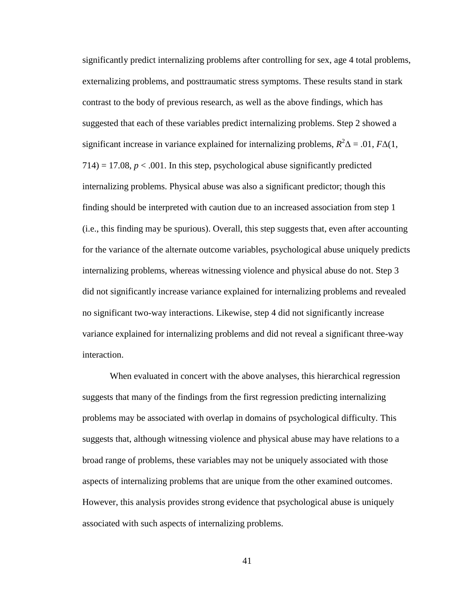significantly predict internalizing problems after controlling for sex, age 4 total problems, externalizing problems, and posttraumatic stress symptoms. These results stand in stark contrast to the body of previous research, as well as the above findings, which has suggested that each of these variables predict internalizing problems. Step 2 showed a significant increase in variance explained for internalizing problems,  $R^2\Delta = .01$ ,  $F\Delta(1)$ ,  $714$ ) = 17.08,  $p < .001$ . In this step, psychological abuse significantly predicted internalizing problems. Physical abuse was also a significant predictor; though this finding should be interpreted with caution due to an increased association from step 1 (i.e., this finding may be spurious). Overall, this step suggests that, even after accounting for the variance of the alternate outcome variables, psychological abuse uniquely predicts internalizing problems, whereas witnessing violence and physical abuse do not. Step 3 did not significantly increase variance explained for internalizing problems and revealed no significant two-way interactions. Likewise, step 4 did not significantly increase variance explained for internalizing problems and did not reveal a significant three-way interaction.

When evaluated in concert with the above analyses, this hierarchical regression suggests that many of the findings from the first regression predicting internalizing problems may be associated with overlap in domains of psychological difficulty. This suggests that, although witnessing violence and physical abuse may have relations to a broad range of problems, these variables may not be uniquely associated with those aspects of internalizing problems that are unique from the other examined outcomes. However, this analysis provides strong evidence that psychological abuse is uniquely associated with such aspects of internalizing problems.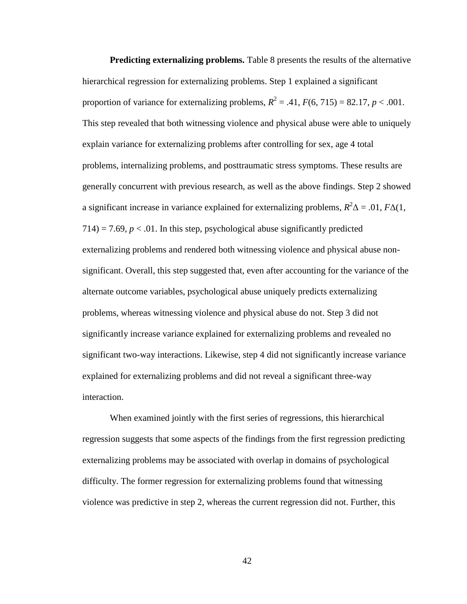**Predicting externalizing problems.** Table 8 presents the results of the alternative hierarchical regression for externalizing problems. Step 1 explained a significant proportion of variance for externalizing problems,  $R^2 = .41$ ,  $F(6, 715) = 82.17$ ,  $p < .001$ . This step revealed that both witnessing violence and physical abuse were able to uniquely explain variance for externalizing problems after controlling for sex, age 4 total problems, internalizing problems, and posttraumatic stress symptoms. These results are generally concurrent with previous research, as well as the above findings. Step 2 showed a significant increase in variance explained for externalizing problems,  $R^2\Delta = .01$ ,  $F\Delta(1)$ ,  $714$ ) = 7.69,  $p < 0.01$ . In this step, psychological abuse significantly predicted externalizing problems and rendered both witnessing violence and physical abuse nonsignificant. Overall, this step suggested that, even after accounting for the variance of the alternate outcome variables, psychological abuse uniquely predicts externalizing problems, whereas witnessing violence and physical abuse do not. Step 3 did not significantly increase variance explained for externalizing problems and revealed no significant two-way interactions. Likewise, step 4 did not significantly increase variance explained for externalizing problems and did not reveal a significant three-way interaction.

When examined jointly with the first series of regressions, this hierarchical regression suggests that some aspects of the findings from the first regression predicting externalizing problems may be associated with overlap in domains of psychological difficulty. The former regression for externalizing problems found that witnessing violence was predictive in step 2, whereas the current regression did not. Further, this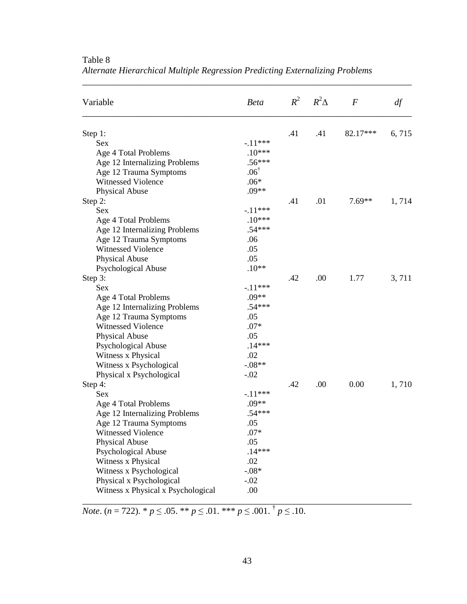| Variable                           | <b>Beta</b>     |     | $R^2$ $R^2\Delta$ | $\overline{F}$ | df    |
|------------------------------------|-----------------|-----|-------------------|----------------|-------|
| Step 1:                            |                 | .41 | .41               | 82.17***       | 6,715 |
| <b>Sex</b>                         | $-.11***$       |     |                   |                |       |
| Age 4 Total Problems               | $.10***$        |     |                   |                |       |
| Age 12 Internalizing Problems      | $.56***$        |     |                   |                |       |
| Age 12 Trauma Symptoms             | $.06^{\dagger}$ |     |                   |                |       |
| <b>Witnessed Violence</b>          | $.06*$          |     |                   |                |       |
| Physical Abuse                     | $.09**$         |     |                   |                |       |
| Step 2:                            |                 | .41 | .01               | $7.69**$       | 1,714 |
| <b>Sex</b>                         | $-.11***$       |     |                   |                |       |
| Age 4 Total Problems               | $.10***$        |     |                   |                |       |
| Age 12 Internalizing Problems      | $.54***$        |     |                   |                |       |
| Age 12 Trauma Symptoms             | .06             |     |                   |                |       |
| <b>Witnessed Violence</b>          | .05             |     |                   |                |       |
| Physical Abuse                     | .05             |     |                   |                |       |
| Psychological Abuse                | $.10**$         |     |                   |                |       |
| Step 3:                            |                 | .42 | .00               | 1.77           | 3,711 |
| <b>Sex</b>                         | $-.11***$       |     |                   |                |       |
| Age 4 Total Problems               | $.09**$         |     |                   |                |       |
| Age 12 Internalizing Problems      | $.54***$        |     |                   |                |       |
| Age 12 Trauma Symptoms             | .05             |     |                   |                |       |
| <b>Witnessed Violence</b>          | $.07*$          |     |                   |                |       |
| Physical Abuse                     | .05             |     |                   |                |       |
| <b>Psychological Abuse</b>         | $.14***$        |     |                   |                |       |
| Witness x Physical                 | .02             |     |                   |                |       |
| Witness x Psychological            | $-.08**$        |     |                   |                |       |
| Physical x Psychological           | $-.02$          |     |                   |                |       |
| Step 4:                            |                 | .42 | .00               | 0.00           | 1,710 |
| <b>Sex</b>                         | $-.11***$       |     |                   |                |       |
| Age 4 Total Problems               | $.09**$         |     |                   |                |       |
| Age 12 Internalizing Problems      | $.54***$        |     |                   |                |       |
| Age 12 Trauma Symptoms             | .05             |     |                   |                |       |
| Witnessed Violence                 | $.07*$          |     |                   |                |       |
| Physical Abuse                     | .05             |     |                   |                |       |
| Psychological Abuse                | $.14***$        |     |                   |                |       |
| Witness x Physical                 | .02             |     |                   |                |       |
| Witness x Psychological            | $-.08*$         |     |                   |                |       |
| Physical x Psychological           | $-.02$          |     |                   |                |       |
| Witness x Physical x Psychological | .00             |     |                   |                |       |

Table 8 *Alternate Hierarchical Multiple Regression Predicting Externalizing Problems*

\_\_\_\_\_\_\_\_\_\_\_\_\_\_\_\_\_\_\_\_\_\_\_\_\_\_\_\_\_\_\_\_\_\_\_\_\_\_\_\_\_\_\_\_\_\_\_\_\_\_\_\_\_\_\_\_\_\_\_\_\_\_\_\_\_\_\_\_\_\_\_\_

*Note*. (*n* = 722). \* *p* ≤ .05. \*\* *p* ≤ .01. \*\*\* *p* ≤ .001. † *p* ≤ .10.

\_\_\_\_\_\_\_\_\_\_\_\_\_\_\_\_\_\_\_\_\_\_\_\_\_\_\_\_\_\_\_\_\_\_\_\_\_\_\_\_\_\_\_\_\_\_\_\_\_\_\_\_\_\_\_\_\_\_\_\_\_\_\_\_\_\_\_\_\_\_\_\_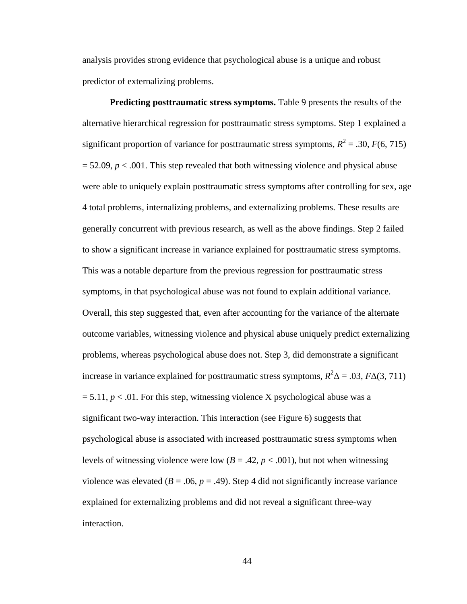analysis provides strong evidence that psychological abuse is a unique and robust predictor of externalizing problems.

**Predicting posttraumatic stress symptoms.** Table 9 presents the results of the alternative hierarchical regression for posttraumatic stress symptoms. Step 1 explained a significant proportion of variance for posttraumatic stress symptoms,  $R^2 = .30, F(6, 715)$  $= 52.09$ ,  $p < .001$ . This step revealed that both witnessing violence and physical abuse were able to uniquely explain posttraumatic stress symptoms after controlling for sex, age 4 total problems, internalizing problems, and externalizing problems. These results are generally concurrent with previous research, as well as the above findings. Step 2 failed to show a significant increase in variance explained for posttraumatic stress symptoms. This was a notable departure from the previous regression for posttraumatic stress symptoms, in that psychological abuse was not found to explain additional variance. Overall, this step suggested that, even after accounting for the variance of the alternate outcome variables, witnessing violence and physical abuse uniquely predict externalizing problems, whereas psychological abuse does not. Step 3, did demonstrate a significant increase in variance explained for posttraumatic stress symptoms,  $R^2\Delta = .03$ ,  $F\Delta(3, 711)$  $= 5.11, p < 0.01$ . For this step, witnessing violence X psychological abuse was a significant two-way interaction. This interaction (see Figure 6) suggests that psychological abuse is associated with increased posttraumatic stress symptoms when levels of witnessing violence were low  $(B = .42, p < .001)$ , but not when witnessing violence was elevated ( $B = .06$ ,  $p = .49$ ). Step 4 did not significantly increase variance explained for externalizing problems and did not reveal a significant three-way interaction.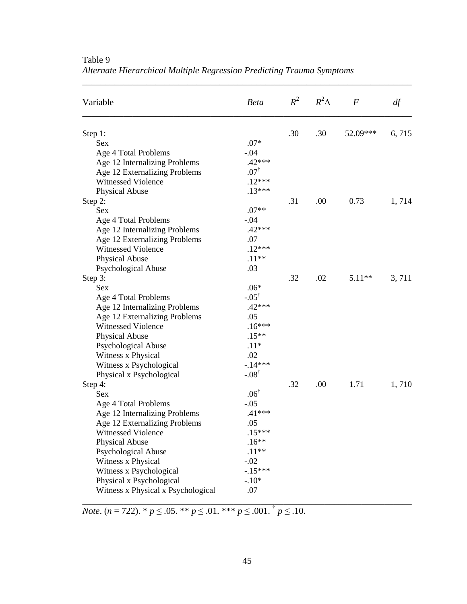| Variable                           | <b>Beta</b>      |     | $R^2$ $R^2\Delta$ | $\overline{F}$ | df    |
|------------------------------------|------------------|-----|-------------------|----------------|-------|
| Step 1:                            |                  | .30 | .30               | 52.09***       | 6,715 |
| <b>Sex</b>                         | $.07*$           |     |                   |                |       |
| Age 4 Total Problems               | $-.04$           |     |                   |                |       |
| Age 12 Internalizing Problems      | $.42***$         |     |                   |                |       |
| Age 12 Externalizing Problems      | $.07^{\dagger}$  |     |                   |                |       |
| <b>Witnessed Violence</b>          | $.12***$         |     |                   |                |       |
| Physical Abuse                     | $.13***$         |     |                   |                |       |
| Step 2:                            |                  | .31 | .00               | 0.73           | 1,714 |
| <b>Sex</b>                         | $.07**$          |     |                   |                |       |
| Age 4 Total Problems               | $-.04$           |     |                   |                |       |
| Age 12 Internalizing Problems      | $.42***$         |     |                   |                |       |
| Age 12 Externalizing Problems      | .07              |     |                   |                |       |
| <b>Witnessed Violence</b>          | $.12***$         |     |                   |                |       |
| Physical Abuse                     | $.11**$          |     |                   |                |       |
| Psychological Abuse                | .03              |     |                   |                |       |
| Step 3:                            |                  | .32 | .02               | $5.11**$       | 3,711 |
| <b>Sex</b>                         | $.06*$           |     |                   |                |       |
| Age 4 Total Problems               | $-.05^{\dagger}$ |     |                   |                |       |
| Age 12 Internalizing Problems      | $.42***$         |     |                   |                |       |
| Age 12 Externalizing Problems      | .05              |     |                   |                |       |
| <b>Witnessed Violence</b>          | $.16***$         |     |                   |                |       |
| Physical Abuse                     | $.15***$         |     |                   |                |       |
| <b>Psychological Abuse</b>         | $.11*$           |     |                   |                |       |
| Witness x Physical                 | .02              |     |                   |                |       |
| Witness x Psychological            | $-14***$         |     |                   |                |       |
| Physical x Psychological           | $-.08^{\dagger}$ |     |                   |                |       |
| Step 4:                            |                  | .32 | .00               | 1.71           | 1,710 |
| <b>Sex</b>                         | $.06^{\dagger}$  |     |                   |                |       |
| Age 4 Total Problems               | $-.05$           |     |                   |                |       |
| Age 12 Internalizing Problems      | $.41***$         |     |                   |                |       |
| Age 12 Externalizing Problems      | .05              |     |                   |                |       |
| Witnessed Violence                 | $.15***$         |     |                   |                |       |
| Physical Abuse                     | $.16**$          |     |                   |                |       |
| Psychological Abuse                | $.11**$          |     |                   |                |       |
| Witness x Physical                 | $-.02$           |     |                   |                |       |
| Witness x Psychological            | $-15***$         |     |                   |                |       |
| Physical x Psychological           | $-.10*$          |     |                   |                |       |
| Witness x Physical x Psychological | .07              |     |                   |                |       |

Table 9 *Alternate Hierarchical Multiple Regression Predicting Trauma Symptoms*

\_\_\_\_\_\_\_\_\_\_\_\_\_\_\_\_\_\_\_\_\_\_\_\_\_\_\_\_\_\_\_\_\_\_\_\_\_\_\_\_\_\_\_\_\_\_\_\_\_\_\_\_\_\_\_\_\_\_\_\_\_\_\_\_\_\_\_\_\_\_\_\_

*Note*. (*n* = 722). \* *p* ≤ .05. \*\* *p* ≤ .01. \*\*\* *p* ≤ .001. † *p* ≤ .10.

\_\_\_\_\_\_\_\_\_\_\_\_\_\_\_\_\_\_\_\_\_\_\_\_\_\_\_\_\_\_\_\_\_\_\_\_\_\_\_\_\_\_\_\_\_\_\_\_\_\_\_\_\_\_\_\_\_\_\_\_\_\_\_\_\_\_\_\_\_\_\_\_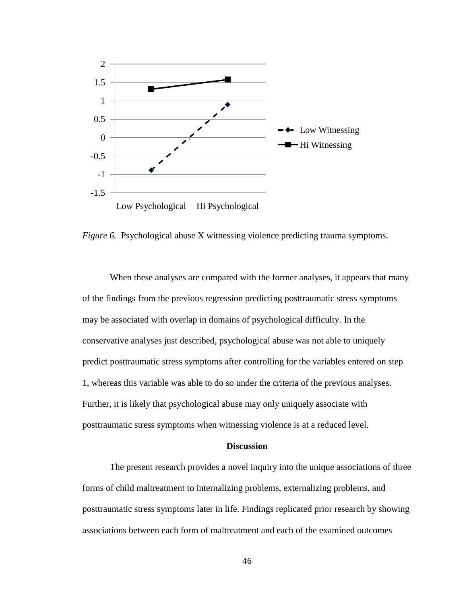

*Figure 6.* Psychological abuse X witnessing violence predicting trauma symptoms.

When these analyses are compared with the former analyses, it appears that many of the findings from the previous regression predicting posttraumatic stress symptoms may be associated with overlap in domains of psychological difficulty. In the conservative analyses just described, psychological abuse was not able to uniquely predict posttraumatic stress symptoms after controlling for the variables entered on step 1, whereas this variable was able to do so under the criteria of the previous analyses. Further, it is likely that psychological abuse may only uniquely associate with posttraumatic stress symptoms when witnessing violence is at a reduced level.

## **Discussion**

The present research provides a novel inquiry into the unique associations of three forms of child maltreatment to internalizing problems, externalizing problems, and posttraumatic stress symptoms later in life. Findings replicated prior research by showing associations between each form of maltreatment and each of the examined outcomes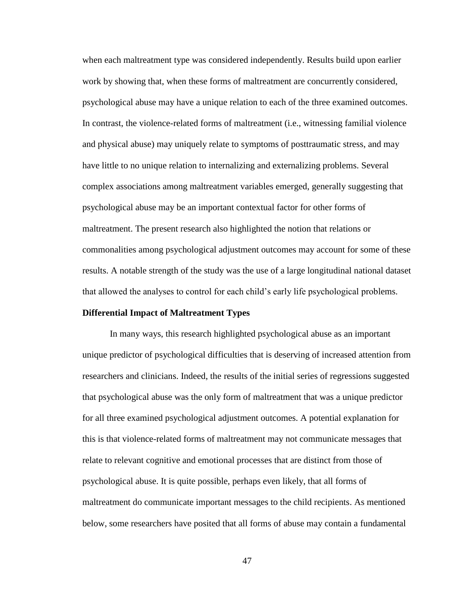when each maltreatment type was considered independently. Results build upon earlier work by showing that, when these forms of maltreatment are concurrently considered, psychological abuse may have a unique relation to each of the three examined outcomes. In contrast, the violence-related forms of maltreatment (i.e., witnessing familial violence and physical abuse) may uniquely relate to symptoms of posttraumatic stress, and may have little to no unique relation to internalizing and externalizing problems. Several complex associations among maltreatment variables emerged, generally suggesting that psychological abuse may be an important contextual factor for other forms of maltreatment. The present research also highlighted the notion that relations or commonalities among psychological adjustment outcomes may account for some of these results. A notable strength of the study was the use of a large longitudinal national dataset that allowed the analyses to control for each child's early life psychological problems.

#### **Differential Impact of Maltreatment Types**

In many ways, this research highlighted psychological abuse as an important unique predictor of psychological difficulties that is deserving of increased attention from researchers and clinicians. Indeed, the results of the initial series of regressions suggested that psychological abuse was the only form of maltreatment that was a unique predictor for all three examined psychological adjustment outcomes. A potential explanation for this is that violence-related forms of maltreatment may not communicate messages that relate to relevant cognitive and emotional processes that are distinct from those of psychological abuse. It is quite possible, perhaps even likely, that all forms of maltreatment do communicate important messages to the child recipients. As mentioned below, some researchers have posited that all forms of abuse may contain a fundamental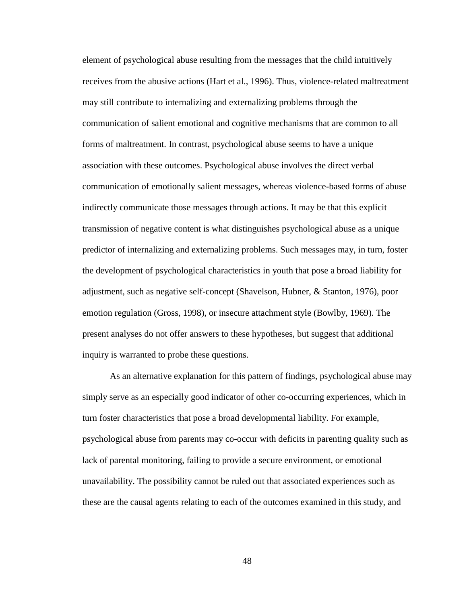element of psychological abuse resulting from the messages that the child intuitively receives from the abusive actions (Hart et al., 1996). Thus, violence-related maltreatment may still contribute to internalizing and externalizing problems through the communication of salient emotional and cognitive mechanisms that are common to all forms of maltreatment. In contrast, psychological abuse seems to have a unique association with these outcomes. Psychological abuse involves the direct verbal communication of emotionally salient messages, whereas violence-based forms of abuse indirectly communicate those messages through actions. It may be that this explicit transmission of negative content is what distinguishes psychological abuse as a unique predictor of internalizing and externalizing problems. Such messages may, in turn, foster the development of psychological characteristics in youth that pose a broad liability for adjustment, such as negative self-concept (Shavelson, Hubner, & Stanton, 1976), poor emotion regulation (Gross, 1998), or insecure attachment style (Bowlby, 1969). The present analyses do not offer answers to these hypotheses, but suggest that additional inquiry is warranted to probe these questions.

As an alternative explanation for this pattern of findings, psychological abuse may simply serve as an especially good indicator of other co-occurring experiences, which in turn foster characteristics that pose a broad developmental liability. For example, psychological abuse from parents may co-occur with deficits in parenting quality such as lack of parental monitoring, failing to provide a secure environment, or emotional unavailability. The possibility cannot be ruled out that associated experiences such as these are the causal agents relating to each of the outcomes examined in this study, and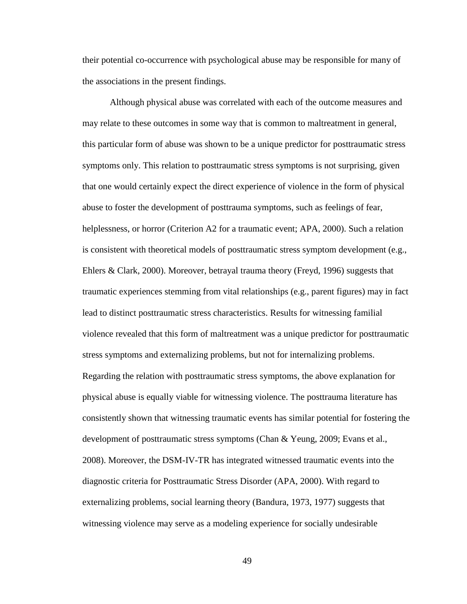their potential co-occurrence with psychological abuse may be responsible for many of the associations in the present findings.

Although physical abuse was correlated with each of the outcome measures and may relate to these outcomes in some way that is common to maltreatment in general, this particular form of abuse was shown to be a unique predictor for posttraumatic stress symptoms only. This relation to posttraumatic stress symptoms is not surprising, given that one would certainly expect the direct experience of violence in the form of physical abuse to foster the development of posttrauma symptoms, such as feelings of fear, helplessness, or horror (Criterion A2 for a traumatic event; APA, 2000). Such a relation is consistent with theoretical models of posttraumatic stress symptom development (e.g., Ehlers & Clark, 2000). Moreover, betrayal trauma theory (Freyd, 1996) suggests that traumatic experiences stemming from vital relationships (e.g., parent figures) may in fact lead to distinct posttraumatic stress characteristics. Results for witnessing familial violence revealed that this form of maltreatment was a unique predictor for posttraumatic stress symptoms and externalizing problems, but not for internalizing problems. Regarding the relation with posttraumatic stress symptoms, the above explanation for physical abuse is equally viable for witnessing violence. The posttrauma literature has consistently shown that witnessing traumatic events has similar potential for fostering the development of posttraumatic stress symptoms (Chan & Yeung, 2009; Evans et al., 2008). Moreover, the DSM-IV-TR has integrated witnessed traumatic events into the diagnostic criteria for Posttraumatic Stress Disorder (APA, 2000). With regard to externalizing problems, social learning theory (Bandura, 1973, 1977) suggests that witnessing violence may serve as a modeling experience for socially undesirable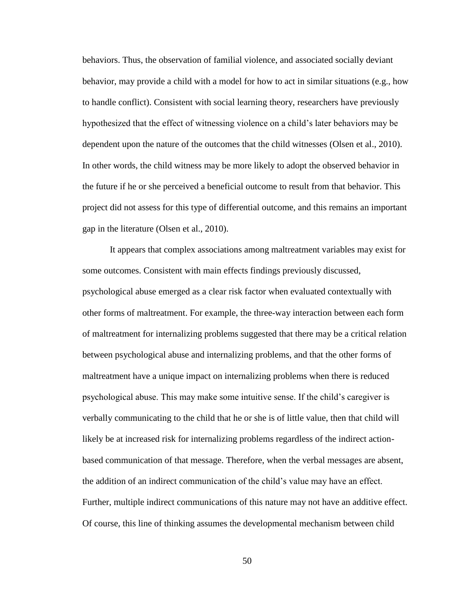behaviors. Thus, the observation of familial violence, and associated socially deviant behavior, may provide a child with a model for how to act in similar situations (e.g., how to handle conflict). Consistent with social learning theory, researchers have previously hypothesized that the effect of witnessing violence on a child's later behaviors may be dependent upon the nature of the outcomes that the child witnesses (Olsen et al., 2010). In other words, the child witness may be more likely to adopt the observed behavior in the future if he or she perceived a beneficial outcome to result from that behavior. This project did not assess for this type of differential outcome, and this remains an important gap in the literature (Olsen et al., 2010).

It appears that complex associations among maltreatment variables may exist for some outcomes. Consistent with main effects findings previously discussed, psychological abuse emerged as a clear risk factor when evaluated contextually with other forms of maltreatment. For example, the three-way interaction between each form of maltreatment for internalizing problems suggested that there may be a critical relation between psychological abuse and internalizing problems, and that the other forms of maltreatment have a unique impact on internalizing problems when there is reduced psychological abuse. This may make some intuitive sense. If the child's caregiver is verbally communicating to the child that he or she is of little value, then that child will likely be at increased risk for internalizing problems regardless of the indirect actionbased communication of that message. Therefore, when the verbal messages are absent, the addition of an indirect communication of the child's value may have an effect. Further, multiple indirect communications of this nature may not have an additive effect. Of course, this line of thinking assumes the developmental mechanism between child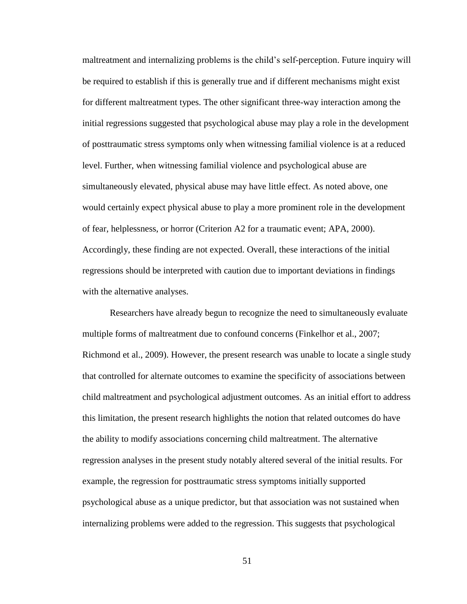maltreatment and internalizing problems is the child's self-perception. Future inquiry will be required to establish if this is generally true and if different mechanisms might exist for different maltreatment types. The other significant three-way interaction among the initial regressions suggested that psychological abuse may play a role in the development of posttraumatic stress symptoms only when witnessing familial violence is at a reduced level. Further, when witnessing familial violence and psychological abuse are simultaneously elevated, physical abuse may have little effect. As noted above, one would certainly expect physical abuse to play a more prominent role in the development of fear, helplessness, or horror (Criterion A2 for a traumatic event; APA, 2000). Accordingly, these finding are not expected. Overall, these interactions of the initial regressions should be interpreted with caution due to important deviations in findings with the alternative analyses.

Researchers have already begun to recognize the need to simultaneously evaluate multiple forms of maltreatment due to confound concerns (Finkelhor et al., 2007; Richmond et al., 2009). However, the present research was unable to locate a single study that controlled for alternate outcomes to examine the specificity of associations between child maltreatment and psychological adjustment outcomes. As an initial effort to address this limitation, the present research highlights the notion that related outcomes do have the ability to modify associations concerning child maltreatment. The alternative regression analyses in the present study notably altered several of the initial results. For example, the regression for posttraumatic stress symptoms initially supported psychological abuse as a unique predictor, but that association was not sustained when internalizing problems were added to the regression. This suggests that psychological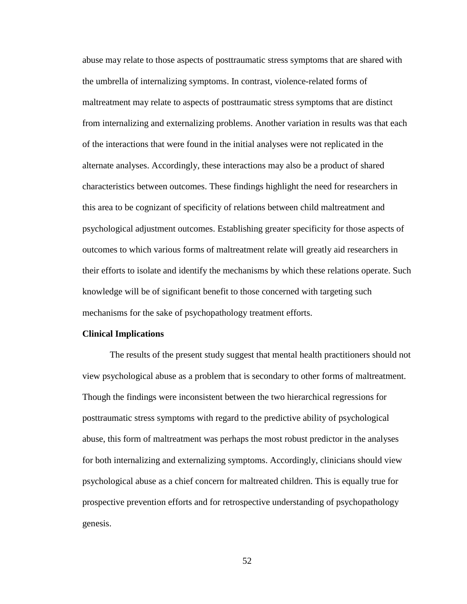abuse may relate to those aspects of posttraumatic stress symptoms that are shared with the umbrella of internalizing symptoms. In contrast, violence-related forms of maltreatment may relate to aspects of posttraumatic stress symptoms that are distinct from internalizing and externalizing problems. Another variation in results was that each of the interactions that were found in the initial analyses were not replicated in the alternate analyses. Accordingly, these interactions may also be a product of shared characteristics between outcomes. These findings highlight the need for researchers in this area to be cognizant of specificity of relations between child maltreatment and psychological adjustment outcomes. Establishing greater specificity for those aspects of outcomes to which various forms of maltreatment relate will greatly aid researchers in their efforts to isolate and identify the mechanisms by which these relations operate. Such knowledge will be of significant benefit to those concerned with targeting such mechanisms for the sake of psychopathology treatment efforts.

#### **Clinical Implications**

The results of the present study suggest that mental health practitioners should not view psychological abuse as a problem that is secondary to other forms of maltreatment. Though the findings were inconsistent between the two hierarchical regressions for posttraumatic stress symptoms with regard to the predictive ability of psychological abuse, this form of maltreatment was perhaps the most robust predictor in the analyses for both internalizing and externalizing symptoms. Accordingly, clinicians should view psychological abuse as a chief concern for maltreated children. This is equally true for prospective prevention efforts and for retrospective understanding of psychopathology genesis.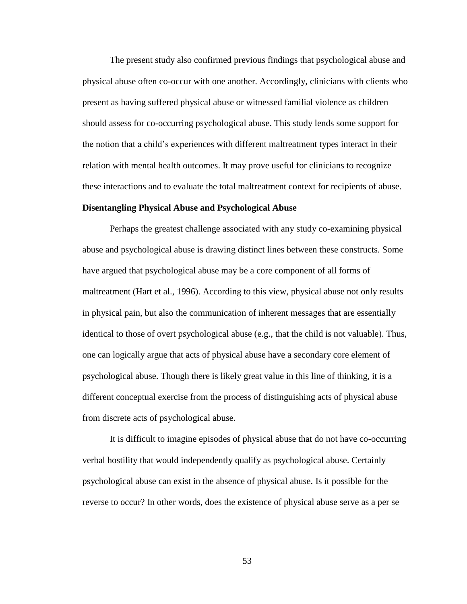The present study also confirmed previous findings that psychological abuse and physical abuse often co-occur with one another. Accordingly, clinicians with clients who present as having suffered physical abuse or witnessed familial violence as children should assess for co-occurring psychological abuse. This study lends some support for the notion that a child's experiences with different maltreatment types interact in their relation with mental health outcomes. It may prove useful for clinicians to recognize these interactions and to evaluate the total maltreatment context for recipients of abuse.

## **Disentangling Physical Abuse and Psychological Abuse**

Perhaps the greatest challenge associated with any study co-examining physical abuse and psychological abuse is drawing distinct lines between these constructs. Some have argued that psychological abuse may be a core component of all forms of maltreatment (Hart et al., 1996). According to this view, physical abuse not only results in physical pain, but also the communication of inherent messages that are essentially identical to those of overt psychological abuse (e.g., that the child is not valuable). Thus, one can logically argue that acts of physical abuse have a secondary core element of psychological abuse. Though there is likely great value in this line of thinking, it is a different conceptual exercise from the process of distinguishing acts of physical abuse from discrete acts of psychological abuse.

It is difficult to imagine episodes of physical abuse that do not have co-occurring verbal hostility that would independently qualify as psychological abuse. Certainly psychological abuse can exist in the absence of physical abuse. Is it possible for the reverse to occur? In other words, does the existence of physical abuse serve as a per se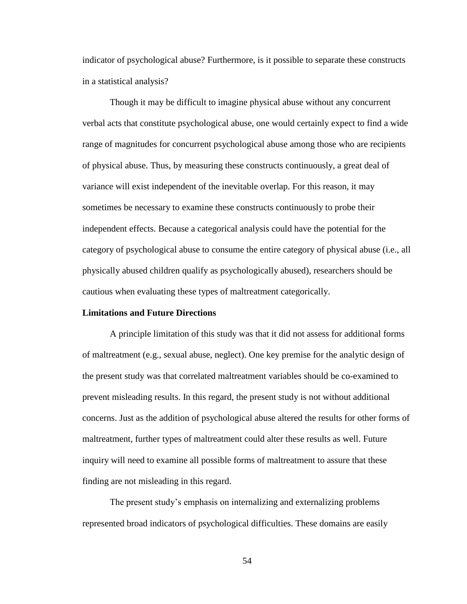indicator of psychological abuse? Furthermore, is it possible to separate these constructs in a statistical analysis?

Though it may be difficult to imagine physical abuse without any concurrent verbal acts that constitute psychological abuse, one would certainly expect to find a wide range of magnitudes for concurrent psychological abuse among those who are recipients of physical abuse. Thus, by measuring these constructs continuously, a great deal of variance will exist independent of the inevitable overlap. For this reason, it may sometimes be necessary to examine these constructs continuously to probe their independent effects. Because a categorical analysis could have the potential for the category of psychological abuse to consume the entire category of physical abuse (i.e., all physically abused children qualify as psychologically abused), researchers should be cautious when evaluating these types of maltreatment categorically.

#### **Limitations and Future Directions**

A principle limitation of this study was that it did not assess for additional forms of maltreatment (e.g., sexual abuse, neglect). One key premise for the analytic design of the present study was that correlated maltreatment variables should be co-examined to prevent misleading results. In this regard, the present study is not without additional concerns. Just as the addition of psychological abuse altered the results for other forms of maltreatment, further types of maltreatment could alter these results as well. Future inquiry will need to examine all possible forms of maltreatment to assure that these finding are not misleading in this regard.

The present study's emphasis on internalizing and externalizing problems represented broad indicators of psychological difficulties. These domains are easily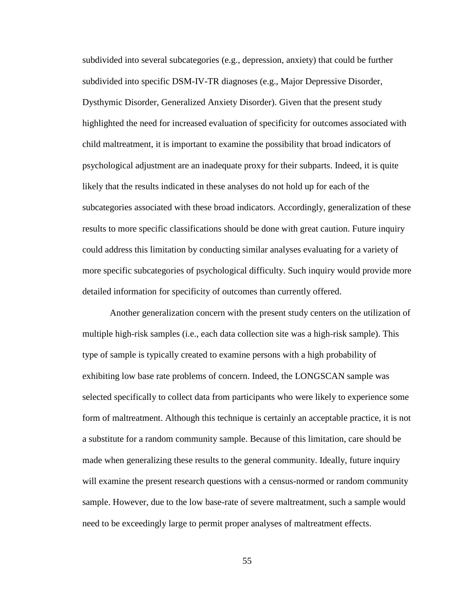subdivided into several subcategories (e.g., depression, anxiety) that could be further subdivided into specific DSM-IV-TR diagnoses (e.g., Major Depressive Disorder, Dysthymic Disorder, Generalized Anxiety Disorder). Given that the present study highlighted the need for increased evaluation of specificity for outcomes associated with child maltreatment, it is important to examine the possibility that broad indicators of psychological adjustment are an inadequate proxy for their subparts. Indeed, it is quite likely that the results indicated in these analyses do not hold up for each of the subcategories associated with these broad indicators. Accordingly, generalization of these results to more specific classifications should be done with great caution. Future inquiry could address this limitation by conducting similar analyses evaluating for a variety of more specific subcategories of psychological difficulty. Such inquiry would provide more detailed information for specificity of outcomes than currently offered.

Another generalization concern with the present study centers on the utilization of multiple high-risk samples (i.e., each data collection site was a high-risk sample). This type of sample is typically created to examine persons with a high probability of exhibiting low base rate problems of concern. Indeed, the LONGSCAN sample was selected specifically to collect data from participants who were likely to experience some form of maltreatment. Although this technique is certainly an acceptable practice, it is not a substitute for a random community sample. Because of this limitation, care should be made when generalizing these results to the general community. Ideally, future inquiry will examine the present research questions with a census-normed or random community sample. However, due to the low base-rate of severe maltreatment, such a sample would need to be exceedingly large to permit proper analyses of maltreatment effects.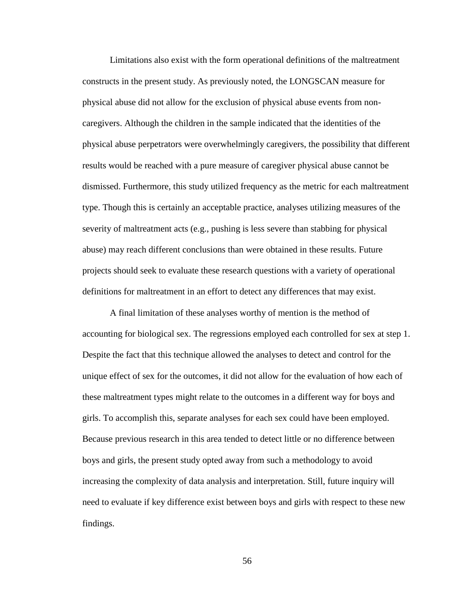Limitations also exist with the form operational definitions of the maltreatment constructs in the present study. As previously noted, the LONGSCAN measure for physical abuse did not allow for the exclusion of physical abuse events from noncaregivers. Although the children in the sample indicated that the identities of the physical abuse perpetrators were overwhelmingly caregivers, the possibility that different results would be reached with a pure measure of caregiver physical abuse cannot be dismissed. Furthermore, this study utilized frequency as the metric for each maltreatment type. Though this is certainly an acceptable practice, analyses utilizing measures of the severity of maltreatment acts (e.g., pushing is less severe than stabbing for physical abuse) may reach different conclusions than were obtained in these results. Future projects should seek to evaluate these research questions with a variety of operational definitions for maltreatment in an effort to detect any differences that may exist.

A final limitation of these analyses worthy of mention is the method of accounting for biological sex. The regressions employed each controlled for sex at step 1. Despite the fact that this technique allowed the analyses to detect and control for the unique effect of sex for the outcomes, it did not allow for the evaluation of how each of these maltreatment types might relate to the outcomes in a different way for boys and girls. To accomplish this, separate analyses for each sex could have been employed. Because previous research in this area tended to detect little or no difference between boys and girls, the present study opted away from such a methodology to avoid increasing the complexity of data analysis and interpretation. Still, future inquiry will need to evaluate if key difference exist between boys and girls with respect to these new findings.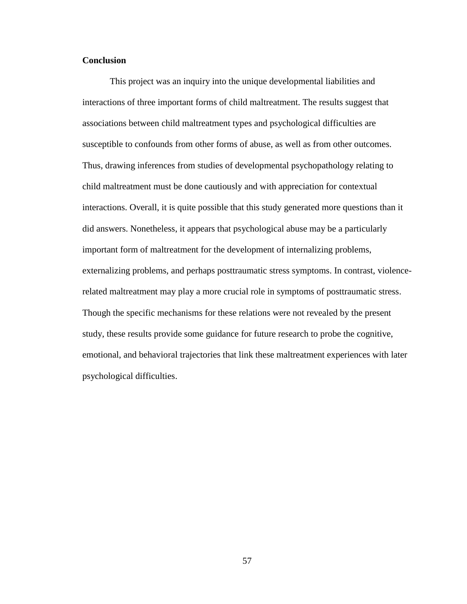## **Conclusion**

This project was an inquiry into the unique developmental liabilities and interactions of three important forms of child maltreatment. The results suggest that associations between child maltreatment types and psychological difficulties are susceptible to confounds from other forms of abuse, as well as from other outcomes. Thus, drawing inferences from studies of developmental psychopathology relating to child maltreatment must be done cautiously and with appreciation for contextual interactions. Overall, it is quite possible that this study generated more questions than it did answers. Nonetheless, it appears that psychological abuse may be a particularly important form of maltreatment for the development of internalizing problems, externalizing problems, and perhaps posttraumatic stress symptoms. In contrast, violencerelated maltreatment may play a more crucial role in symptoms of posttraumatic stress. Though the specific mechanisms for these relations were not revealed by the present study, these results provide some guidance for future research to probe the cognitive, emotional, and behavioral trajectories that link these maltreatment experiences with later psychological difficulties.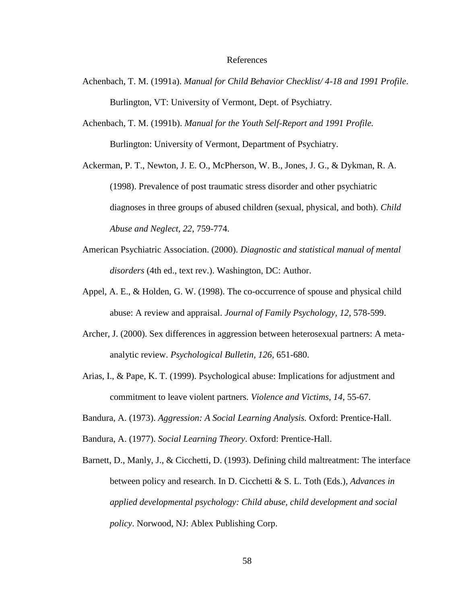#### References

- Achenbach, T. M. (1991a). *Manual for Child Behavior Checklist/ 4-18 and 1991 Profile*. Burlington, VT: University of Vermont, Dept. of Psychiatry.
- Achenbach, T. M. (1991b). *Manual for the Youth Self-Report and 1991 Profile.*  Burlington: University of Vermont, Department of Psychiatry.

Ackerman, P. T., Newton, J. E. O., McPherson, W. B., Jones, J. G., & Dykman, R. A. (1998). Prevalence of post traumatic stress disorder and other psychiatric diagnoses in three groups of abused children (sexual, physical, and both). *Child Abuse and Neglect, 22*, 759-774.

- American Psychiatric Association. (2000). *Diagnostic and statistical manual of mental disorders* (4th ed., text rev.). Washington, DC: Author.
- Appel, A. E., & Holden, G. W. (1998). The co-occurrence of spouse and physical child abuse: A review and appraisal. *Journal of Family Psychology, 12*, 578-599.
- Archer, J. (2000). Sex differences in aggression between heterosexual partners: A metaanalytic review. *Psychological Bulletin, 126*, 651-680.
- Arias, I., & Pape, K. T. (1999). Psychological abuse: Implications for adjustment and commitment to leave violent partners. *Violence and Victims, 14*, 55-67.
- Bandura, A. (1973). *Aggression: A Social Learning Analysis.* Oxford: Prentice-Hall.
- Bandura, A. (1977). *Social Learning Theory*. Oxford: Prentice-Hall.
- Barnett, D., Manly, J., & Cicchetti, D. (1993). Defining child maltreatment: The interface between policy and research. In D. Cicchetti & S. L. Toth (Eds.), *Advances in applied developmental psychology: Child abuse, child development and social policy*. Norwood, NJ: Ablex Publishing Corp.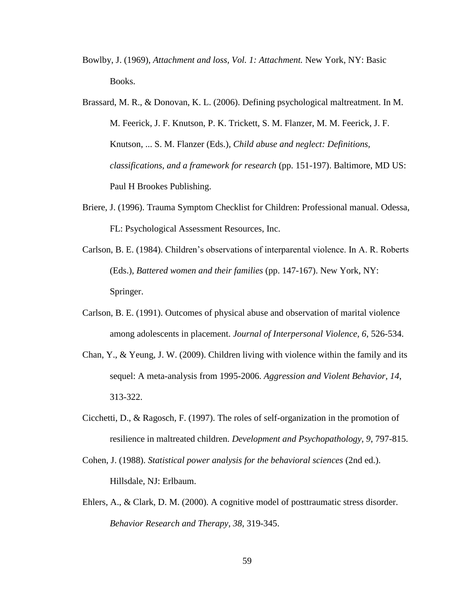- Bowlby, J. (1969), *Attachment and loss, Vol. 1: Attachment.* New York, NY: Basic Books.
- Brassard, M. R., & Donovan, K. L. (2006). Defining psychological maltreatment. In M. M. Feerick, J. F. Knutson, P. K. Trickett, S. M. Flanzer, M. M. Feerick, J. F. Knutson, ... S. M. Flanzer (Eds.), *Child abuse and neglect: Definitions, classifications, and a framework for research* (pp. 151-197). Baltimore, MD US: Paul H Brookes Publishing.
- Briere, J. (1996). Trauma Symptom Checklist for Children: Professional manual. Odessa, FL: Psychological Assessment Resources, Inc.
- Carlson, B. E. (1984). Children's observations of interparental violence. In A. R. Roberts (Eds.), *Battered women and their families* (pp. 147-167). New York, NY: Springer.
- Carlson, B. E. (1991). Outcomes of physical abuse and observation of marital violence among adolescents in placement. *Journal of Interpersonal Violence, 6*, 526-534.
- Chan, Y., & Yeung, J. W. (2009). Children living with violence within the family and its sequel: A meta-analysis from 1995-2006. *Aggression and Violent Behavior, 14*, 313-322.
- Cicchetti, D., & Ragosch, F. (1997). The roles of self-organization in the promotion of resilience in maltreated children. *Development and Psychopathology, 9*, 797-815.
- Cohen, J. (1988). *Statistical power analysis for the behavioral sciences* (2nd ed.). Hillsdale, NJ: Erlbaum.
- Ehlers, A., & Clark, D. M. (2000). A cognitive model of posttraumatic stress disorder. *Behavior Research and Therapy, 38*, 319-345.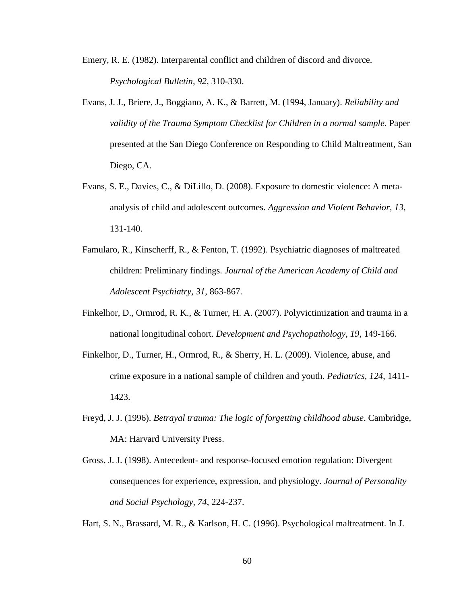- Emery, R. E. (1982). Interparental conflict and children of discord and divorce. *Psychological Bulletin, 92*, 310-330.
- Evans, J. J., Briere, J., Boggiano, A. K., & Barrett, M. (1994, January). *Reliability and validity of the Trauma Symptom Checklist for Children in a normal sample*. Paper presented at the San Diego Conference on Responding to Child Maltreatment, San Diego, CA.
- Evans, S. E., Davies, C., & DiLillo, D. (2008). Exposure to domestic violence: A metaanalysis of child and adolescent outcomes. *Aggression and Violent Behavior, 13*, 131-140.
- Famularo, R., Kinscherff, R., & Fenton, T. (1992). Psychiatric diagnoses of maltreated children: Preliminary findings. *Journal of the American Academy of Child and Adolescent Psychiatry, 31*, 863-867.
- Finkelhor, D., Ormrod, R. K., & Turner, H. A. (2007). Polyvictimization and trauma in a national longitudinal cohort. *Development and Psychopathology, 19*, 149-166.
- Finkelhor, D., Turner, H., Ormrod, R., & Sherry, H. L. (2009). Violence, abuse, and crime exposure in a national sample of children and youth. *Pediatrics, 124*, 1411- 1423.
- Freyd, J. J. (1996). *Betrayal trauma: The logic of forgetting childhood abuse*. Cambridge, MA: Harvard University Press.
- Gross, J. J. (1998). Antecedent- and response-focused emotion regulation: Divergent consequences for experience, expression, and physiology. *Journal of Personality and Social Psychology, 74*, 224-237.
- Hart, S. N., Brassard, M. R., & Karlson, H. C. (1996). Psychological maltreatment. In J.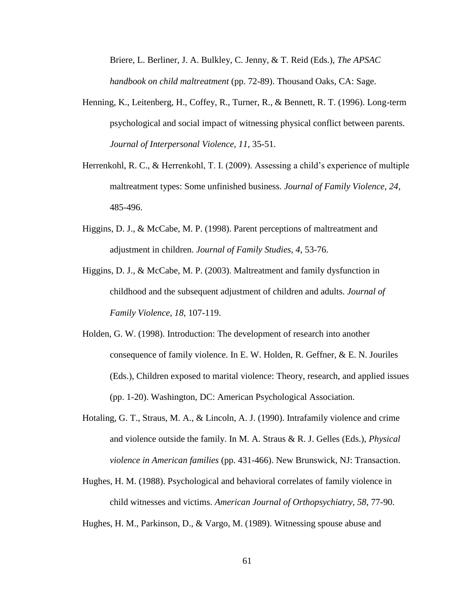Briere, L. Berliner, J. A. Bulkley, C. Jenny, & T. Reid (Eds.), *The APSAC handbook on child maltreatment* (pp. 72-89). Thousand Oaks, CA: Sage.

- Henning, K., Leitenberg, H., Coffey, R., Turner, R., & Bennett, R. T. (1996). Long-term psychological and social impact of witnessing physical conflict between parents. *Journal of Interpersonal Violence, 11*, 35-51.
- Herrenkohl, R. C., & Herrenkohl, T. I. (2009). Assessing a child's experience of multiple maltreatment types: Some unfinished business. *Journal of Family Violence, 24*, 485-496.
- Higgins, D. J., & McCabe, M. P. (1998). Parent perceptions of maltreatment and adjustment in children. *Journal of Family Studies, 4*, 53-76.
- Higgins, D. J., & McCabe, M. P. (2003). Maltreatment and family dysfunction in childhood and the subsequent adjustment of children and adults. *Journal of Family Violence, 18*, 107-119.
- Holden, G. W. (1998). Introduction: The development of research into another consequence of family violence. In E. W. Holden, R. Geffner, & E. N. Jouriles (Eds.), Children exposed to marital violence: Theory, research, and applied issues (pp. 1-20). Washington, DC: American Psychological Association.
- Hotaling, G. T., Straus, M. A., & Lincoln, A. J. (1990). Intrafamily violence and crime and violence outside the family. In M. A. Straus & R. J. Gelles (Eds.), *Physical violence in American families* (pp. 431-466). New Brunswick, NJ: Transaction.
- Hughes, H. M. (1988). Psychological and behavioral correlates of family violence in child witnesses and victims. *American Journal of Orthopsychiatry, 58*, 77-90.

Hughes, H. M., Parkinson, D., & Vargo, M. (1989). Witnessing spouse abuse and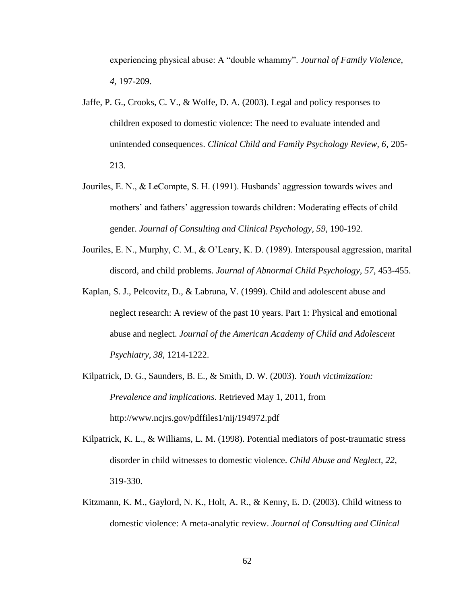experiencing physical abuse: A "double whammy". *Journal of Family Violence, 4*, 197-209.

- Jaffe, P. G., Crooks, C. V., & Wolfe, D. A. (2003). Legal and policy responses to children exposed to domestic violence: The need to evaluate intended and unintended consequences. *Clinical Child and Family Psychology Review, 6*, 205- 213.
- Jouriles, E. N., & LeCompte, S. H. (1991). Husbands' aggression towards wives and mothers' and fathers' aggression towards children: Moderating effects of child gender. *Journal of Consulting and Clinical Psychology, 59*, 190-192.
- Jouriles, E. N., Murphy, C. M., & O'Leary, K. D. (1989). Interspousal aggression, marital discord, and child problems. *Journal of Abnormal Child Psychology, 57*, 453-455.
- Kaplan, S. J., Pelcovitz, D., & Labruna, V. (1999). Child and adolescent abuse and neglect research: A review of the past 10 years. Part 1: Physical and emotional abuse and neglect. *Journal of the American Academy of Child and Adolescent Psychiatry, 38*, 1214-1222.
- Kilpatrick, D. G., Saunders, B. E., & Smith, D. W. (2003). *Youth victimization: Prevalence and implications*. Retrieved May 1, 2011, from http://www.ncjrs.gov/pdffiles1/nij/194972.pdf
- Kilpatrick, K. L., & Williams, L. M. (1998). Potential mediators of post-traumatic stress disorder in child witnesses to domestic violence. *Child Abuse and Neglect, 22*, 319-330.
- Kitzmann, K. M., Gaylord, N. K., Holt, A. R., & Kenny, E. D. (2003). Child witness to domestic violence: A meta-analytic review. *Journal of Consulting and Clinical*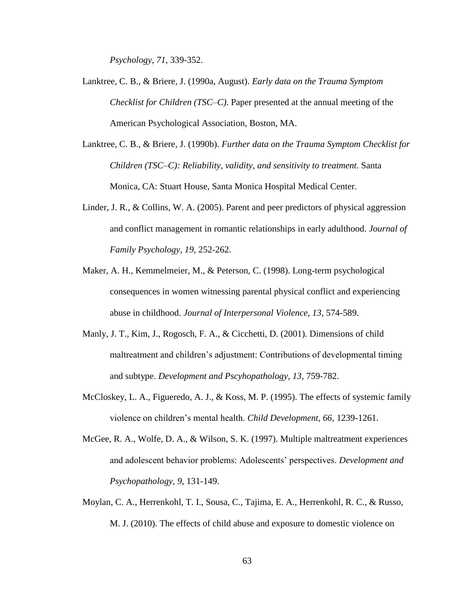*Psychology, 71*, 339-352.

- Lanktree, C. B., & Briere, J. (1990a, August). *Early data on the Trauma Symptom Checklist for Children (TSC–C)*. Paper presented at the annual meeting of the American Psychological Association, Boston, MA.
- Lanktree, C. B., & Briere, J. (1990b). *Further data on the Trauma Symptom Checklist for Children (TSC–C): Reliability, validity, and sensitivity to treatment*. Santa Monica, CA: Stuart House, Santa Monica Hospital Medical Center.
- Linder, J. R., & Collins, W. A. (2005). Parent and peer predictors of physical aggression and conflict management in romantic relationships in early adulthood. *Journal of Family Psychology, 19*, 252-262.
- Maker, A. H., Kemmelmeier, M., & Peterson, C. (1998). Long-term psychological consequences in women witnessing parental physical conflict and experiencing abuse in childhood. *Journal of Interpersonal Violence, 13*, 574-589.
- Manly, J. T., Kim, J., Rogosch, F. A., & Cicchetti, D. (2001). Dimensions of child maltreatment and children's adjustment: Contributions of developmental timing and subtype. *Development and Pscyhopathology, 13*, 759-782.
- McCloskey, L. A., Figueredo, A. J., & Koss, M. P. (1995). The effects of systemic family violence on children's mental health. *Child Development, 66*, 1239-1261.
- McGee, R. A., Wolfe, D. A., & Wilson, S. K. (1997). Multiple maltreatment experiences and adolescent behavior problems: Adolescents' perspectives. *Development and Psychopathology, 9*, 131-149.
- Moylan, C. A., Herrenkohl, T. I., Sousa, C., Tajima, E. A., Herrenkohl, R. C., & Russo, M. J. (2010). The effects of child abuse and exposure to domestic violence on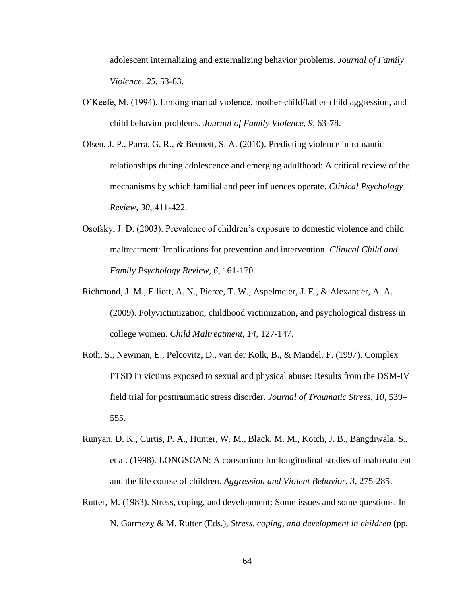adolescent internalizing and externalizing behavior problems. *Journal of Family Violence, 25*, 53-63.

- O'Keefe, M. (1994). Linking marital violence, mother-child/father-child aggression, and child behavior problems. *Journal of Family Violence, 9*, 63-78.
- Olsen, J. P., Parra, G. R., & Bennett, S. A. (2010). Predicting violence in romantic relationships during adolescence and emerging adulthood: A critical review of the mechanisms by which familial and peer influences operate. *Clinical Psychology Review, 30*, 411-422.
- Osofsky, J. D. (2003). Prevalence of children's exposure to domestic violence and child maltreatment: Implications for prevention and intervention. *Clinical Child and Family Psychology Review, 6*, 161-170.
- Richmond, J. M., Elliott, A. N., Pierce, T. W., Aspelmeier, J. E., & Alexander, A. A. (2009). Polyvictimization, childhood victimization, and psychological distress in college women. *Child Maltreatment, 14*, 127-147.
- Roth, S., Newman, E., Pelcovitz, D., van der Kolk, B., & Mandel, F. (1997). Complex PTSD in victims exposed to sexual and physical abuse: Results from the DSM-IV field trial for posttraumatic stress disorder. *Journal of Traumatic Stress, 10,* 539– 555.
- Runyan, D. K., Curtis, P. A., Hunter, W. M., Black, M. M., Kotch, J. B., Bangdiwala, S., et al. (1998). LONGSCAN: A consortium for longitudinal studies of maltreatment and the life course of children. *Aggression and Violent Behavior, 3*, 275-285.
- Rutter, M. (1983). Stress, coping, and development: Some issues and some questions. In N. Garmezy & M. Rutter (Eds.), *Stress, coping, and development in children* (pp.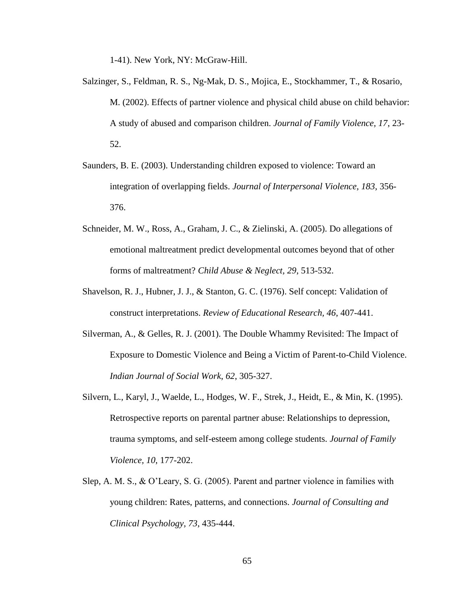1-41). New York, NY: McGraw-Hill.

- Salzinger, S., Feldman, R. S., Ng-Mak, D. S., Mojica, E., Stockhammer, T., & Rosario, M. (2002). Effects of partner violence and physical child abuse on child behavior: A study of abused and comparison children. *Journal of Family Violence, 17*, 23- 52.
- Saunders, B. E. (2003). Understanding children exposed to violence: Toward an integration of overlapping fields. *Journal of Interpersonal Violence, 183*, 356- 376.
- Schneider, M. W., Ross, A., Graham, J. C., & Zielinski, A. (2005). Do allegations of emotional maltreatment predict developmental outcomes beyond that of other forms of maltreatment? *Child Abuse & Neglect, 29*, 513-532.
- Shavelson, R. J., Hubner, J. J., & Stanton, G. C. (1976). Self concept: Validation of construct interpretations. *Review of Educational Research, 46*, 407-441.
- Silverman, A., & Gelles, R. J. (2001). The Double Whammy Revisited: The Impact of Exposure to Domestic Violence and Being a Victim of Parent-to-Child Violence. *Indian Journal of Social Work*, *62*, 305-327.
- Silvern, L., Karyl, J., Waelde, L., Hodges, W. F., Strek, J., Heidt, E., & Min, K. (1995). Retrospective reports on parental partner abuse: Relationships to depression, trauma symptoms, and self-esteem among college students. *Journal of Family Violence, 10*, 177-202.
- Slep, A. M. S., & O'Leary, S. G. (2005). Parent and partner violence in families with young children: Rates, patterns, and connections. *Journal of Consulting and Clinical Psychology, 73*, 435-444.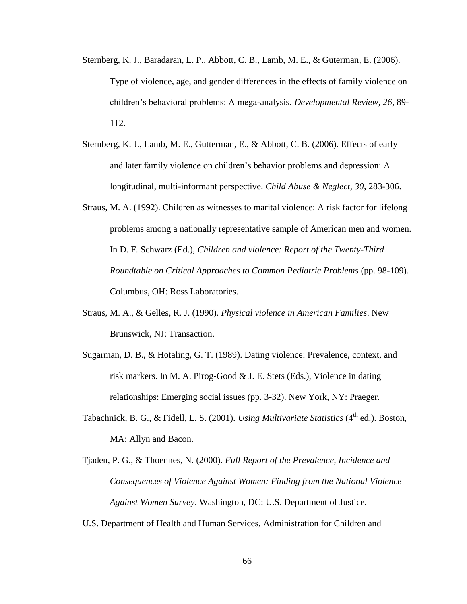- Sternberg, K. J., Baradaran, L. P., Abbott, C. B., Lamb, M. E., & Guterman, E. (2006). Type of violence, age, and gender differences in the effects of family violence on children's behavioral problems: A mega-analysis. *Developmental Review, 26*, 89- 112.
- Sternberg, K. J., Lamb, M. E., Gutterman, E., & Abbott, C. B. (2006). Effects of early and later family violence on children's behavior problems and depression: A longitudinal, multi-informant perspective. *Child Abuse & Neglect, 30*, 283-306.
- Straus, M. A. (1992). Children as witnesses to marital violence: A risk factor for lifelong problems among a nationally representative sample of American men and women. In D. F. Schwarz (Ed.), *Children and violence: Report of the Twenty-Third Roundtable on Critical Approaches to Common Pediatric Problems* (pp. 98-109). Columbus, OH: Ross Laboratories.
- Straus, M. A., & Gelles, R. J. (1990). *Physical violence in American Families*. New Brunswick, NJ: Transaction.
- Sugarman, D. B., & Hotaling, G. T. (1989). Dating violence: Prevalence, context, and risk markers. In M. A. Pirog-Good & J. E. Stets (Eds.), Violence in dating relationships: Emerging social issues (pp. 3-32). New York, NY: Praeger.
- Tabachnick, B. G., & Fidell, L. S. (2001). *Using Multivariate Statistics* (4<sup>th</sup> ed.). Boston, MA: Allyn and Bacon.
- Tjaden, P. G., & Thoennes, N. (2000). *Full Report of the Prevalence, Incidence and Consequences of Violence Against Women: Finding from the National Violence Against Women Survey*. Washington, DC: U.S. Department of Justice.
- U.S. Department of Health and Human Services, Administration for Children and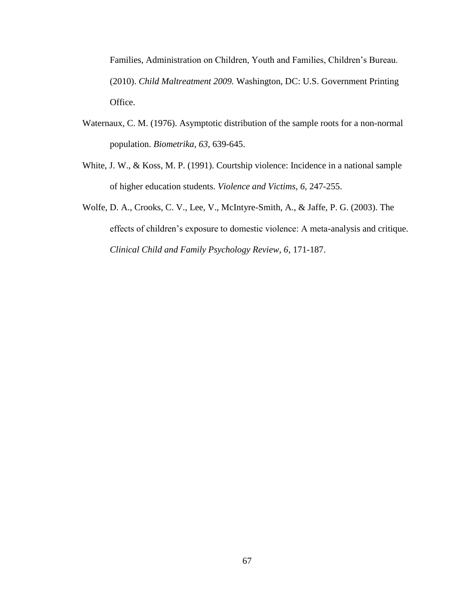Families, Administration on Children, Youth and Families, Children's Bureau. (2010). *Child Maltreatment 2009.* Washington, DC: U.S. Government Printing Office.

- Waternaux, C. M. (1976). Asymptotic distribution of the sample roots for a non-normal population. *Biometrika, 63*, 639-645.
- White, J. W., & Koss, M. P. (1991). Courtship violence: Incidence in a national sample of higher education students. *Violence and Victims, 6*, 247-255.
- Wolfe, D. A., Crooks, C. V., Lee, V., McIntyre-Smith, A., & Jaffe, P. G. (2003). The effects of children's exposure to domestic violence: A meta-analysis and critique. *Clinical Child and Family Psychology Review, 6*, 171-187.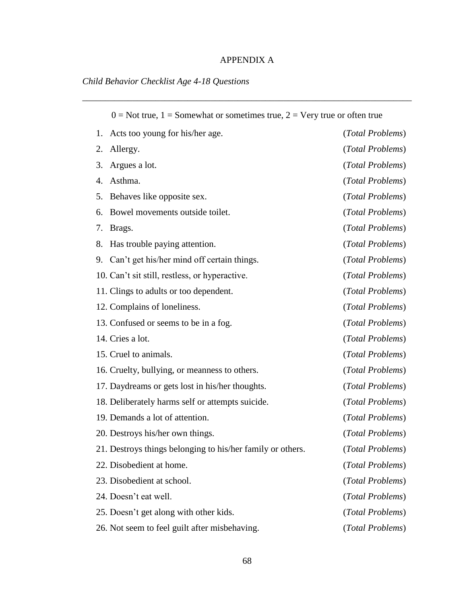## APPENDIX A

\_\_\_\_\_\_\_\_\_\_\_\_\_\_\_\_\_\_\_\_\_\_\_\_\_\_\_\_\_\_\_\_\_\_\_\_\_\_\_\_\_\_\_\_\_\_\_\_\_\_\_\_\_\_\_\_\_\_\_\_\_\_\_\_\_\_\_\_\_\_\_\_

# *Child Behavior Checklist Age 4-18 Questions*

| $0 = Not$ true, $1 = Somewhat$ or sometimes true, $2 = Very$ true or often true |                                                            |                  |
|---------------------------------------------------------------------------------|------------------------------------------------------------|------------------|
|                                                                                 | Acts too young for his/her age.<br>1.                      | (Total Problems) |
|                                                                                 | 2.<br>Allergy.                                             | (Total Problems) |
|                                                                                 | 3.<br>Argues a lot.                                        | (Total Problems) |
|                                                                                 | Asthma.<br>4.                                              | (Total Problems) |
|                                                                                 | Behaves like opposite sex.<br>5.                           | (Total Problems) |
|                                                                                 | Bowel movements outside toilet.<br>6.                      | (Total Problems) |
|                                                                                 | 7.<br>Brags.                                               | (Total Problems) |
|                                                                                 | Has trouble paying attention.<br>8.                        | (Total Problems) |
|                                                                                 | 9. Can't get his/her mind off certain things.              | (Total Problems) |
|                                                                                 | 10. Can't sit still, restless, or hyperactive.             | (Total Problems) |
|                                                                                 | 11. Clings to adults or too dependent.                     | (Total Problems) |
|                                                                                 | 12. Complains of loneliness.                               | (Total Problems) |
|                                                                                 | 13. Confused or seems to be in a fog.                      | (Total Problems) |
|                                                                                 | 14. Cries a lot.                                           | (Total Problems) |
|                                                                                 | 15. Cruel to animals.                                      | (Total Problems) |
|                                                                                 | 16. Cruelty, bullying, or meanness to others.              | (Total Problems) |
|                                                                                 | 17. Daydreams or gets lost in his/her thoughts.            | (Total Problems) |
|                                                                                 | 18. Deliberately harms self or attempts suicide.           | (Total Problems) |
|                                                                                 | 19. Demands a lot of attention.                            | (Total Problems) |
|                                                                                 | 20. Destroys his/her own things.                           | (Total Problems) |
|                                                                                 | 21. Destroys things belonging to his/her family or others. | (Total Problems) |
|                                                                                 | 22. Disobedient at home.                                   | (Total Problems) |
|                                                                                 | 23. Disobedient at school.                                 | (Total Problems) |
|                                                                                 | 24. Doesn't eat well.                                      | (Total Problems) |
|                                                                                 | 25. Doesn't get along with other kids.                     | (Total Problems) |
|                                                                                 | 26. Not seem to feel guilt after misbehaving.              | (Total Problems) |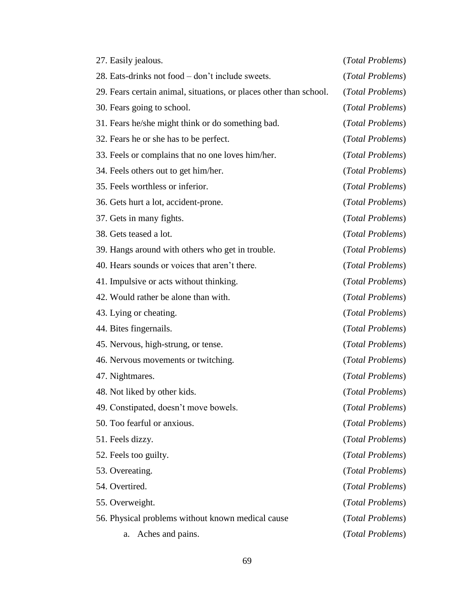| 27. Easily jealous.                                                | (Total Problems) |
|--------------------------------------------------------------------|------------------|
| 28. Eats-drinks not food – don't include sweets.                   | (Total Problems) |
| 29. Fears certain animal, situations, or places other than school. | (Total Problems) |
| 30. Fears going to school.                                         | (Total Problems) |
| 31. Fears he/she might think or do something bad.                  | (Total Problems) |
| 32. Fears he or she has to be perfect.                             | (Total Problems) |
| 33. Feels or complains that no one loves him/her.                  | (Total Problems) |
| 34. Feels others out to get him/her.                               | (Total Problems) |
| 35. Feels worthless or inferior.                                   | (Total Problems) |
| 36. Gets hurt a lot, accident-prone.                               | (Total Problems) |
| 37. Gets in many fights.                                           | (Total Problems) |
| 38. Gets teased a lot.                                             | (Total Problems) |
| 39. Hangs around with others who get in trouble.                   | (Total Problems) |
| 40. Hears sounds or voices that aren't there.                      | (Total Problems) |
| 41. Impulsive or acts without thinking.                            | (Total Problems) |
| 42. Would rather be alone than with.                               | (Total Problems) |
| 43. Lying or cheating.                                             | (Total Problems) |
| 44. Bites fingernails.                                             | (Total Problems) |
| 45. Nervous, high-strung, or tense.                                | (Total Problems) |
| 46. Nervous movements or twitching.                                | (Total Problems) |
| 47. Nightmares.                                                    | (Total Problems) |
| 48. Not liked by other kids.                                       | (Total Problems) |
| 49. Constipated, doesn't move bowels.                              | (Total Problems) |
| 50. Too fearful or anxious.                                        | (Total Problems) |
| 51. Feels dizzy.                                                   | (Total Problems) |
| 52. Feels too guilty.                                              | (Total Problems) |
| 53. Overeating.                                                    | (Total Problems) |
| 54. Overtired.                                                     | (Total Problems) |
| 55. Overweight.                                                    | (Total Problems) |
| 56. Physical problems without known medical cause                  | (Total Problems) |
| Aches and pains.<br>a.                                             | (Total Problems) |
|                                                                    |                  |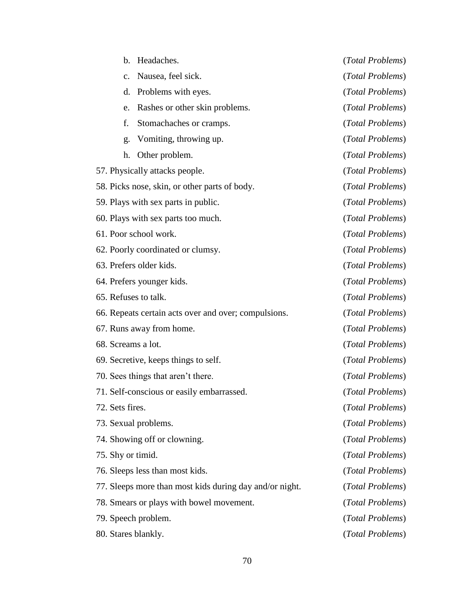| $\mathbf{b}$ .                  | Headaches.                                              | (Total Problems) |
|---------------------------------|---------------------------------------------------------|------------------|
| $\mathcal{C}$ .                 | Nausea, feel sick.                                      | (Total Problems) |
| d.                              | Problems with eyes.                                     | (Total Problems) |
| e.                              | Rashes or other skin problems.                          | (Total Problems) |
| f.                              | Stomachaches or cramps.                                 | (Total Problems) |
| g.                              | Vomiting, throwing up.                                  | (Total Problems) |
| h.                              | Other problem.                                          | (Total Problems) |
| 57. Physically attacks people.  |                                                         | (Total Problems) |
|                                 | 58. Picks nose, skin, or other parts of body.           | (Total Problems) |
|                                 | 59. Plays with sex parts in public.                     | (Total Problems) |
|                                 | 60. Plays with sex parts too much.                      | (Total Problems) |
| 61. Poor school work.           |                                                         | (Total Problems) |
|                                 | 62. Poorly coordinated or clumsy.                       | (Total Problems) |
| 63. Prefers older kids.         |                                                         | (Total Problems) |
| 64. Prefers younger kids.       |                                                         | (Total Problems) |
| 65. Refuses to talk.            |                                                         | (Total Problems) |
|                                 | 66. Repeats certain acts over and over; compulsions.    | (Total Problems) |
| 67. Runs away from home.        |                                                         | (Total Problems) |
| 68. Screams a lot.              |                                                         | (Total Problems) |
|                                 | 69. Secretive, keeps things to self.                    | (Total Problems) |
|                                 | 70. Sees things that aren't there.                      | (Total Problems) |
|                                 | 71. Self-conscious or easily embarrassed.               | (Total Problems) |
| 72. Sets fires.                 |                                                         | (Total Problems) |
| 73. Sexual problems.            |                                                         | (Total Problems) |
| 74. Showing off or clowning.    |                                                         | (Total Problems) |
| 75. Shy or timid.               |                                                         | (Total Problems) |
| 76. Sleeps less than most kids. |                                                         | (Total Problems) |
|                                 | 77. Sleeps more than most kids during day and/or night. | (Total Problems) |
|                                 | 78. Smears or plays with bowel movement.                | (Total Problems) |
| 79. Speech problem.             |                                                         | (Total Problems) |
| 80. Stares blankly.             |                                                         | (Total Problems) |
|                                 |                                                         |                  |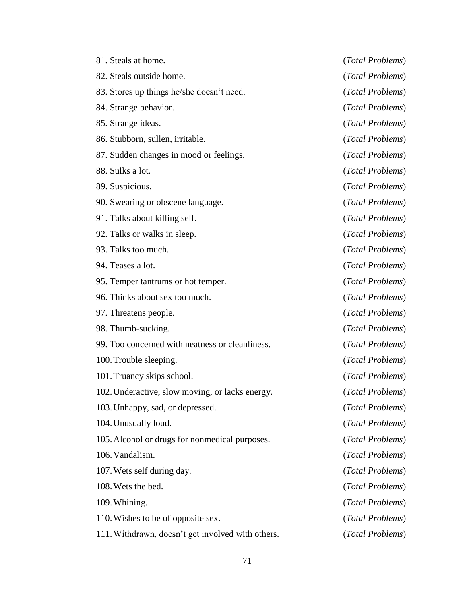| 81. Steals at home.                               | (Total Problems) |
|---------------------------------------------------|------------------|
| 82. Steals outside home.                          | (Total Problems) |
| 83. Stores up things he/she doesn't need.         | (Total Problems) |
| 84. Strange behavior.                             | (Total Problems) |
| 85. Strange ideas.                                | (Total Problems) |
| 86. Stubborn, sullen, irritable.                  | (Total Problems) |
| 87. Sudden changes in mood or feelings.           | (Total Problems) |
| 88. Sulks a lot.                                  | (Total Problems) |
| 89. Suspicious.                                   | (Total Problems) |
| 90. Swearing or obscene language.                 | (Total Problems) |
| 91. Talks about killing self.                     | (Total Problems) |
| 92. Talks or walks in sleep.                      | (Total Problems) |
| 93. Talks too much.                               | (Total Problems) |
| 94. Teases a lot.                                 | (Total Problems) |
| 95. Temper tantrums or hot temper.                | (Total Problems) |
| 96. Thinks about sex too much.                    | (Total Problems) |
| 97. Threatens people.                             | (Total Problems) |
| 98. Thumb-sucking.                                | (Total Problems) |
| 99. Too concerned with neatness or cleanliness.   | (Total Problems) |
| 100. Trouble sleeping.                            | (Total Problems) |
| 101. Truancy skips school.                        | (Total Problems) |
| 102. Underactive, slow moving, or lacks energy.   | (Total Problems) |
| 103. Unhappy, sad, or depressed.                  | (Total Problems) |
| 104. Unusually loud.                              | (Total Problems) |
| 105. Alcohol or drugs for nonmedical purposes.    | (Total Problems) |
| 106. Vandalism.                                   | (Total Problems) |
| 107. Wets self during day.                        | (Total Problems) |
| 108. Wets the bed.                                | (Total Problems) |
| 109. Whining.                                     | (Total Problems) |
| 110. Wishes to be of opposite sex.                | (Total Problems) |
| 111. Withdrawn, doesn't get involved with others. | (Total Problems) |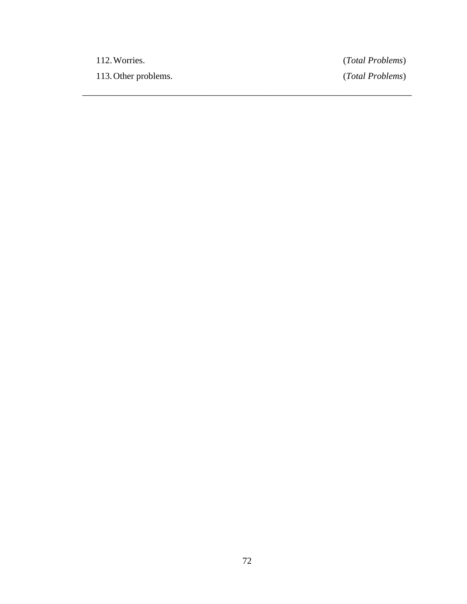112.Worries. (*Total Problems*) 113.Other problems. (*Total Problems*)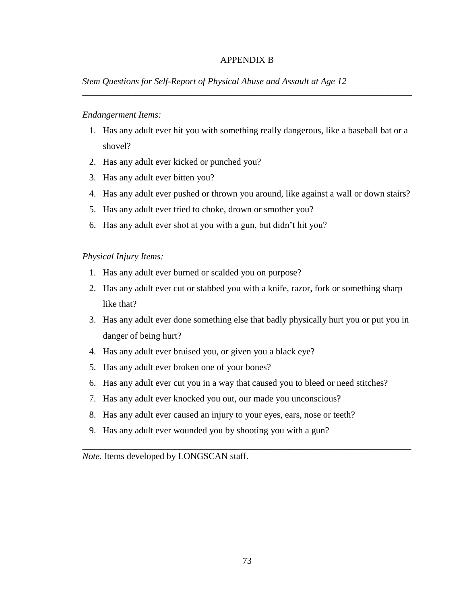#### APPENDIX B

\_\_\_\_\_\_\_\_\_\_\_\_\_\_\_\_\_\_\_\_\_\_\_\_\_\_\_\_\_\_\_\_\_\_\_\_\_\_\_\_\_\_\_\_\_\_\_\_\_\_\_\_\_\_\_\_\_\_\_\_\_\_\_\_\_\_\_\_\_\_\_\_

#### *Stem Questions for Self-Report of Physical Abuse and Assault at Age 12*

#### *Endangerment Items:*

- 1. Has any adult ever hit you with something really dangerous, like a baseball bat or a shovel?
- 2. Has any adult ever kicked or punched you?
- 3. Has any adult ever bitten you?
- 4. Has any adult ever pushed or thrown you around, like against a wall or down stairs?
- 5. Has any adult ever tried to choke, drown or smother you?
- 6. Has any adult ever shot at you with a gun, but didn't hit you?

#### *Physical Injury Items:*

- 1. Has any adult ever burned or scalded you on purpose?
- 2. Has any adult ever cut or stabbed you with a knife, razor, fork or something sharp like that?
- 3. Has any adult ever done something else that badly physically hurt you or put you in danger of being hurt?
- 4. Has any adult ever bruised you, or given you a black eye?
- 5. Has any adult ever broken one of your bones?
- 6. Has any adult ever cut you in a way that caused you to bleed or need stitches?

\_\_\_\_\_\_\_\_\_\_\_\_\_\_\_\_\_\_\_\_\_\_\_\_\_\_\_\_\_\_\_\_\_\_\_\_\_\_\_\_\_\_\_\_\_\_\_\_\_\_\_\_\_\_\_\_\_\_\_\_\_\_\_\_\_\_\_\_\_\_\_\_\_\_\_

- 7. Has any adult ever knocked you out, our made you unconscious?
- 8. Has any adult ever caused an injury to your eyes, ears, nose or teeth?
- 9. Has any adult ever wounded you by shooting you with a gun?

*Note.* Items developed by LONGSCAN staff.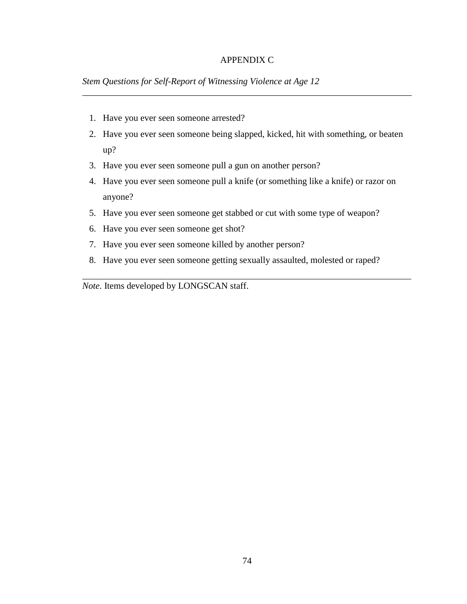#### APPENDIX C

\_\_\_\_\_\_\_\_\_\_\_\_\_\_\_\_\_\_\_\_\_\_\_\_\_\_\_\_\_\_\_\_\_\_\_\_\_\_\_\_\_\_\_\_\_\_\_\_\_\_\_\_\_\_\_\_\_\_\_\_\_\_\_\_\_\_\_\_\_\_\_\_

*Stem Questions for Self-Report of Witnessing Violence at Age 12*

- 1. Have you ever seen someone arrested?
- 2. Have you ever seen someone being slapped, kicked, hit with something, or beaten up?
- 3. Have you ever seen someone pull a gun on another person?
- 4. Have you ever seen someone pull a knife (or something like a knife) or razor on anyone?
- 5. Have you ever seen someone get stabbed or cut with some type of weapon?
- 6. Have you ever seen someone get shot?
- 7. Have you ever seen someone killed by another person?
- 8. Have you ever seen someone getting sexually assaulted, molested or raped?

\_\_\_\_\_\_\_\_\_\_\_\_\_\_\_\_\_\_\_\_\_\_\_\_\_\_\_\_\_\_\_\_\_\_\_\_\_\_\_\_\_\_\_\_\_\_\_\_\_\_\_\_\_\_\_\_\_\_\_\_\_\_\_\_\_\_\_\_\_\_\_\_\_\_\_

*Note.* Items developed by LONGSCAN staff.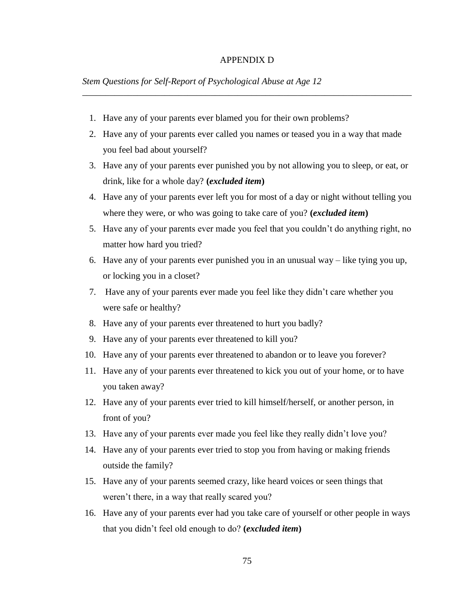#### APPENDIX D

\_\_\_\_\_\_\_\_\_\_\_\_\_\_\_\_\_\_\_\_\_\_\_\_\_\_\_\_\_\_\_\_\_\_\_\_\_\_\_\_\_\_\_\_\_\_\_\_\_\_\_\_\_\_\_\_\_\_\_\_\_\_\_\_\_\_\_\_\_\_\_\_

#### *Stem Questions for Self-Report of Psychological Abuse at Age 12*

- 1. Have any of your parents ever blamed you for their own problems?
- 2. Have any of your parents ever called you names or teased you in a way that made you feel bad about yourself?
- 3. Have any of your parents ever punished you by not allowing you to sleep, or eat, or drink, like for a whole day? **(***excluded item***)**
- 4. Have any of your parents ever left you for most of a day or night without telling you where they were, or who was going to take care of you? **(***excluded item***)**
- 5. Have any of your parents ever made you feel that you couldn't do anything right, no matter how hard you tried?
- 6. Have any of your parents ever punished you in an unusual way like tying you up, or locking you in a closet?
- 7. Have any of your parents ever made you feel like they didn't care whether you were safe or healthy?
- 8. Have any of your parents ever threatened to hurt you badly?
- 9. Have any of your parents ever threatened to kill you?
- 10. Have any of your parents ever threatened to abandon or to leave you forever?
- 11. Have any of your parents ever threatened to kick you out of your home, or to have you taken away?
- 12. Have any of your parents ever tried to kill himself/herself, or another person, in front of you?
- 13. Have any of your parents ever made you feel like they really didn't love you?
- 14. Have any of your parents ever tried to stop you from having or making friends outside the family?
- 15. Have any of your parents seemed crazy, like heard voices or seen things that weren't there, in a way that really scared you?
- 16. Have any of your parents ever had you take care of yourself or other people in ways that you didn't feel old enough to do? **(***excluded item***)**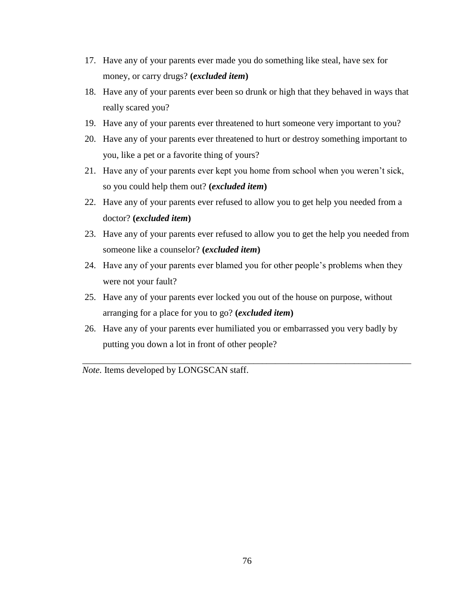- 17. Have any of your parents ever made you do something like steal, have sex for money, or carry drugs? **(***excluded item***)**
- 18. Have any of your parents ever been so drunk or high that they behaved in ways that really scared you?
- 19. Have any of your parents ever threatened to hurt someone very important to you?
- 20. Have any of your parents ever threatened to hurt or destroy something important to you, like a pet or a favorite thing of yours?
- 21. Have any of your parents ever kept you home from school when you weren't sick, so you could help them out? **(***excluded item***)**
- 22. Have any of your parents ever refused to allow you to get help you needed from a doctor? **(***excluded item***)**
- 23. Have any of your parents ever refused to allow you to get the help you needed from someone like a counselor? **(***excluded item***)**
- 24. Have any of your parents ever blamed you for other people's problems when they were not your fault?
- 25. Have any of your parents ever locked you out of the house on purpose, without arranging for a place for you to go? **(***excluded item***)**
- 26. Have any of your parents ever humiliated you or embarrassed you very badly by putting you down a lot in front of other people?

\_\_\_\_\_\_\_\_\_\_\_\_\_\_\_\_\_\_\_\_\_\_\_\_\_\_\_\_\_\_\_\_\_\_\_\_\_\_\_\_\_\_\_\_\_\_\_\_\_\_\_\_\_\_\_\_\_\_\_\_\_\_\_\_\_\_\_\_\_\_\_\_\_\_\_

*Note.* Items developed by LONGSCAN staff.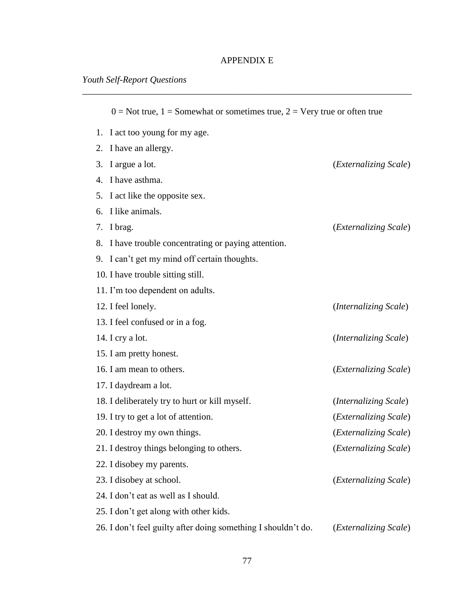## APPENDIX E

| $0 = Not$ true, $1 = Somewhat$ or sometimes true, $2 = Very$ true or often true |                                |
|---------------------------------------------------------------------------------|--------------------------------|
| 1. I act too young for my age.                                                  |                                |
| I have an allergy.<br>2.                                                        |                                |
| I argue a lot.<br>3.                                                            | ( <i>Externalizing Scale</i> ) |
| I have asthma.<br>4.                                                            |                                |
| I act like the opposite sex.<br>5.                                              |                                |
| I like animals.<br>6.                                                           |                                |
| I brag.<br>7.                                                                   | ( <i>Externalizing Scale</i> ) |
| 8. I have trouble concentrating or paying attention.                            |                                |
| 9. I can't get my mind off certain thoughts.                                    |                                |
| 10. I have trouble sitting still.                                               |                                |
| 11. I'm too dependent on adults.                                                |                                |
| 12. I feel lonely.                                                              | (Internalizing Scale)          |
| 13. I feel confused or in a fog.                                                |                                |
| 14. I cry a lot.                                                                | (Internalizing Scale)          |
| 15. I am pretty honest.                                                         |                                |
| 16. I am mean to others.                                                        | ( <i>Externalizing Scale</i> ) |
| 17. I daydream a lot.                                                           |                                |
| 18. I deliberately try to hurt or kill myself.                                  | (Internalizing Scale)          |
| 19. I try to get a lot of attention.                                            | ( <i>Externalizing Scale</i> ) |
| 20. I destroy my own things.                                                    | ( <i>Externalizing Scale</i> ) |
| 21. I destroy things belonging to others.                                       | ( <i>Externalizing Scale</i> ) |
| 22. I disobey my parents.                                                       |                                |
| 23. I disobey at school.                                                        | ( <i>Externalizing Scale</i> ) |
| 24. I don't eat as well as I should.                                            |                                |
| 25. I don't get along with other kids.                                          |                                |
| 26. I don't feel guilty after doing something I shouldn't do.                   | (Externalizing Scale)          |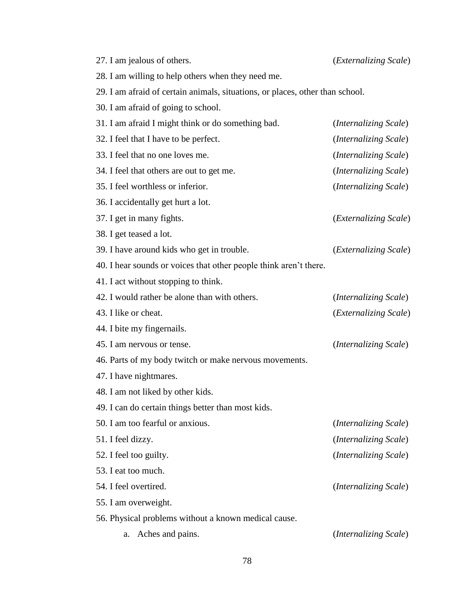| 27. I am jealous of others.                                                   | ( <i>Externalizing Scale</i> ) |
|-------------------------------------------------------------------------------|--------------------------------|
| 28. I am willing to help others when they need me.                            |                                |
| 29. I am afraid of certain animals, situations, or places, other than school. |                                |
| 30. I am afraid of going to school.                                           |                                |
| 31. I am afraid I might think or do something bad.                            | ( <i>Internalizing Scale</i> ) |
| 32. I feel that I have to be perfect.                                         | (Internalizing Scale)          |
| 33. I feel that no one loves me.                                              | (Internalizing Scale)          |
| 34. I feel that others are out to get me.                                     | (Internalizing Scale)          |
| 35. I feel worthless or inferior.                                             | (Internalizing Scale)          |
| 36. I accidentally get hurt a lot.                                            |                                |
| 37. I get in many fights.                                                     | ( <i>Externalizing Scale</i> ) |
| 38. I get teased a lot.                                                       |                                |
| 39. I have around kids who get in trouble.                                    | ( <i>Externalizing Scale</i> ) |
| 40. I hear sounds or voices that other people think aren't there.             |                                |
| 41. I act without stopping to think.                                          |                                |
| 42. I would rather be alone than with others.                                 | ( <i>Internalizing Scale</i> ) |
| 43. I like or cheat.                                                          | ( <i>Externalizing Scale</i> ) |
| 44. I bite my fingernails.                                                    |                                |
| 45. I am nervous or tense.                                                    | ( <i>Internalizing Scale</i> ) |
| 46. Parts of my body twitch or make nervous movements.                        |                                |
| 47. I have nightmares.                                                        |                                |
| 48. I am not liked by other kids.                                             |                                |
| 49. I can do certain things better than most kids.                            |                                |
| 50. I am too fearful or anxious.                                              | ( <i>Internalizing Scale</i> ) |
| 51. I feel dizzy.                                                             | (Internalizing Scale)          |
| 52. I feel too guilty.                                                        | ( <i>Internalizing Scale</i> ) |
| 53. I eat too much.                                                           |                                |
| 54. I feel overtired.                                                         | (Internalizing Scale)          |
| 55. I am overweight.                                                          |                                |
| 56. Physical problems without a known medical cause.                          |                                |
| Aches and pains.<br>a.                                                        | ( <i>Internalizing Scale</i> ) |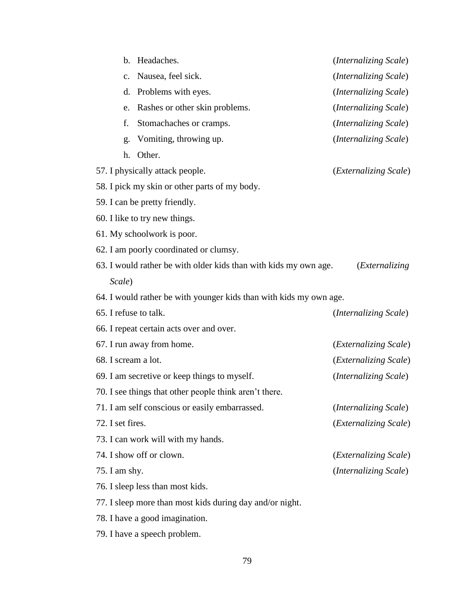| Headaches.<br>$\mathbf{b}$ .                                       | ( <i>Internalizing Scale</i> ) |
|--------------------------------------------------------------------|--------------------------------|
| Nausea, feel sick.<br>$\mathbf{c}$ .                               | (Internalizing Scale)          |
| Problems with eyes.<br>d.                                          | (Internalizing Scale)          |
| Rashes or other skin problems.<br>e.                               | (Internalizing Scale)          |
| Stomachaches or cramps.<br>f.                                      | ( <i>Internalizing Scale</i> ) |
| Vomiting, throwing up.<br>g.                                       | ( <i>Internalizing Scale</i> ) |
| Other.<br>h.                                                       |                                |
| 57. I physically attack people.                                    | ( <i>Externalizing Scale</i> ) |
| 58. I pick my skin or other parts of my body.                      |                                |
| 59. I can be pretty friendly.                                      |                                |
| 60. I like to try new things.                                      |                                |
| 61. My schoolwork is poor.                                         |                                |
| 62. I am poorly coordinated or clumsy.                             |                                |
| 63. I would rather be with older kids than with kids my own age.   | <i>(Externalizing)</i>         |
| Scale)                                                             |                                |
|                                                                    |                                |
| 64. I would rather be with younger kids than with kids my own age. |                                |
| 65. I refuse to talk.                                              | ( <i>Internalizing Scale</i> ) |
| 66. I repeat certain acts over and over.                           |                                |
| 67. I run away from home.                                          | ( <i>Externalizing Scale</i> ) |
| 68. I scream a lot.                                                | (Externalizing Scale)          |
| 69. I am secretive or keep things to myself.                       | (Internalizing Scale)          |
| 70. I see things that other people think aren't there.             |                                |
| 71. I am self conscious or easily embarrassed.                     | (Internalizing Scale)          |
| 72. I set fires.                                                   | (Externalizing Scale)          |
| 73. I can work will with my hands.                                 |                                |
| 74. I show off or clown.                                           | ( <i>Externalizing Scale</i> ) |
| 75. I am shy.                                                      | ( <i>Internalizing Scale</i> ) |
| 76. I sleep less than most kids.                                   |                                |
| 77. I sleep more than most kids during day and/or night.           |                                |

79. I have a speech problem.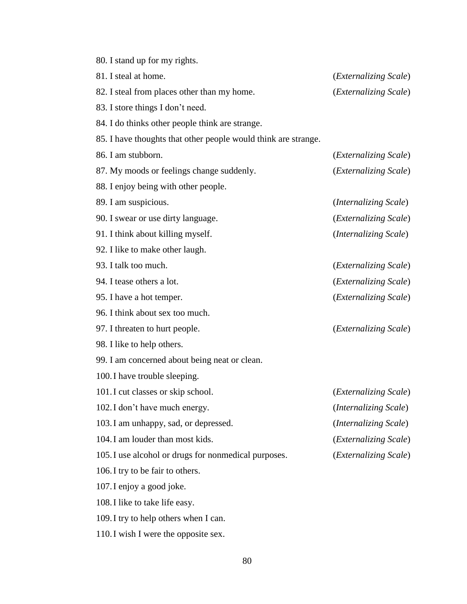| 80. I stand up for my rights.                                  |                                |
|----------------------------------------------------------------|--------------------------------|
| 81. I steal at home.                                           | ( <i>Externalizing Scale</i> ) |
| 82. I steal from places other than my home.                    | ( <i>Externalizing Scale</i> ) |
| 83. I store things I don't need.                               |                                |
| 84. I do thinks other people think are strange.                |                                |
| 85. I have thoughts that other people would think are strange. |                                |
| 86. I am stubborn.                                             | ( <i>Externalizing Scale</i> ) |
| 87. My moods or feelings change suddenly.                      | (Externalizing Scale)          |
| 88. I enjoy being with other people.                           |                                |
| 89. I am suspicious.                                           | ( <i>Internalizing Scale</i> ) |
| 90. I swear or use dirty language.                             | (Externalizing Scale)          |
| 91. I think about killing myself.                              | (Internalizing Scale)          |
| 92. I like to make other laugh.                                |                                |
| 93. I talk too much.                                           | ( <i>Externalizing Scale</i> ) |
| 94. I tease others a lot.                                      | ( <i>Externalizing Scale</i> ) |
| 95. I have a hot temper.                                       | (Externalizing Scale)          |
| 96. I think about sex too much.                                |                                |
| 97. I threaten to hurt people.                                 | ( <i>Externalizing Scale</i> ) |
| 98. I like to help others.                                     |                                |
| 99. I am concerned about being neat or clean.                  |                                |
| 100. I have trouble sleeping.                                  |                                |
| 101. I cut classes or skip school.                             | ( <i>Externalizing Scale</i> ) |
| 102. I don't have much energy.                                 | (Internalizing Scale)          |
| 103.I am unhappy, sad, or depressed.                           | (Internalizing Scale)          |
| 104. I am louder than most kids.                               | ( <i>Externalizing Scale</i> ) |
| 105. I use alcohol or drugs for nonmedical purposes.           | (Externalizing Scale)          |
| 106. I try to be fair to others.                               |                                |
| 107. I enjoy a good joke.                                      |                                |
| 108. I like to take life easy.                                 |                                |
| 109. I try to help others when I can.                          |                                |

110.I wish I were the opposite sex.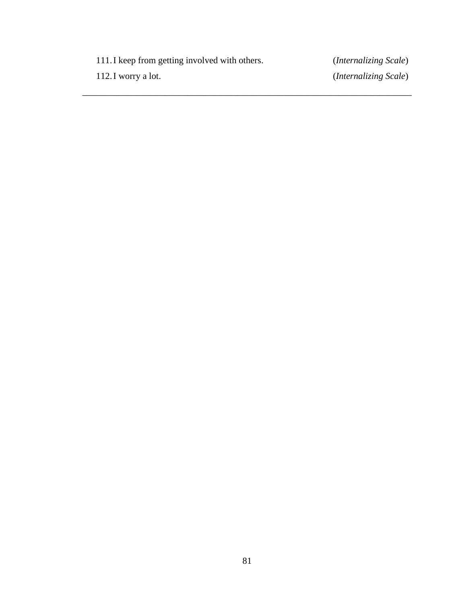111.I keep from getting involved with others. (*Internalizing Scale*) 112.I worry a lot. (*Internalizing Scale*)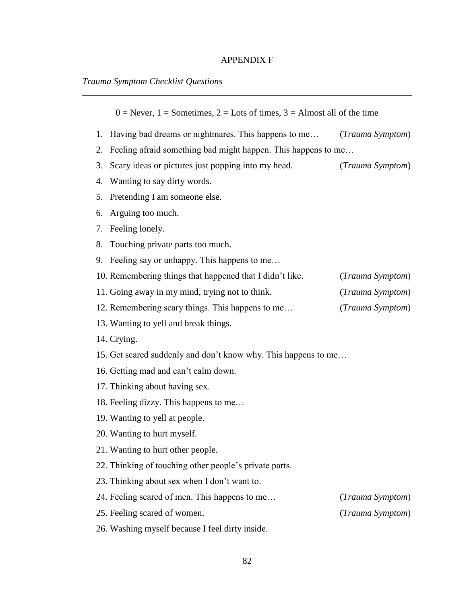## APPENDIX F

\_\_\_\_\_\_\_\_\_\_\_\_\_\_\_\_\_\_\_\_\_\_\_\_\_\_\_\_\_\_\_\_\_\_\_\_\_\_\_\_\_\_\_\_\_\_\_\_\_\_\_\_\_\_\_\_\_\_\_\_\_\_\_\_\_\_\_\_\_\_\_\_

## *Trauma Symptom Checklist Questions*

| $0 =$ Never, $1 =$ Sometimes, $2 =$ Lots of times, $3 =$ Almost all of the time |                  |
|---------------------------------------------------------------------------------|------------------|
| 1. Having bad dreams or nightmares. This happens to me                          | (Trauma Symptom) |
| Feeling afraid something bad might happen. This happens to me<br>2.             |                  |
| Scary ideas or pictures just popping into my head.<br>3.                        | (Trauma Symptom) |
| Wanting to say dirty words.<br>4.                                               |                  |
| Pretending I am someone else.<br>5.                                             |                  |
| Arguing too much.<br>6.                                                         |                  |
| Feeling lonely.<br>7.                                                           |                  |
| Touching private parts too much.<br>8.                                          |                  |
| 9. Feeling say or unhappy. This happens to me                                   |                  |
| 10. Remembering things that happened that I didn't like.                        | (Trauma Symptom) |
| 11. Going away in my mind, trying not to think.                                 | (Trauma Symptom) |
| 12. Remembering scary things. This happens to me                                | (Trauma Symptom) |
| 13. Wanting to yell and break things.                                           |                  |
| 14. Crying.                                                                     |                  |
| 15. Get scared suddenly and don't know why. This happens to me                  |                  |
| 16. Getting mad and can't calm down.                                            |                  |
| 17. Thinking about having sex.                                                  |                  |
| 18. Feeling dizzy. This happens to me                                           |                  |
| 19. Wanting to yell at people.                                                  |                  |
| 20. Wanting to hurt myself.                                                     |                  |
| 21. Wanting to hurt other people.                                               |                  |
| 22. Thinking of touching other people's private parts.                          |                  |
| 23. Thinking about sex when I don't want to.                                    |                  |
| 24. Feeling scared of men. This happens to me                                   | (Trauma Symptom) |
| 25. Feeling scared of women.                                                    | (Trauma Symptom) |
| 26. Washing myself because I feel dirty inside.                                 |                  |